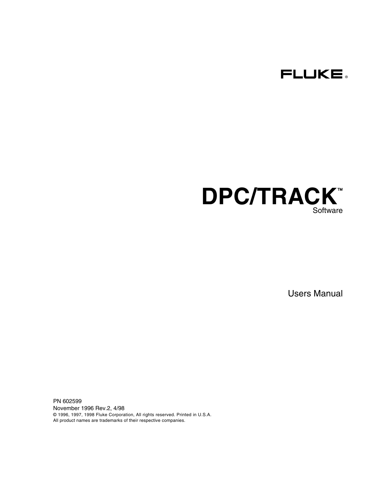



Users Manual

PN 602599 November 1996 Rev.2, 4/98 © 1996, 1997, 1998 Fluke Corporation, All rights reserved. Printed in U.S.A. All product names are trademarks of their respective companies.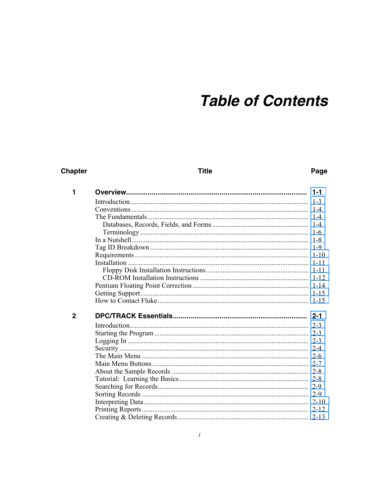# **Table of Contents**

## **Chapter**

**Title** 

#### Page

| 1            | $1 - 1$ |
|--------------|---------|
|              |         |
|              |         |
|              |         |
|              |         |
|              |         |
|              |         |
|              |         |
|              |         |
|              |         |
|              |         |
|              |         |
|              |         |
|              |         |
|              |         |
| $\mathbf{2}$ |         |
|              |         |
|              |         |
|              |         |
|              |         |
|              |         |
|              |         |
|              |         |
|              |         |
|              |         |
|              |         |
|              |         |
|              |         |
|              |         |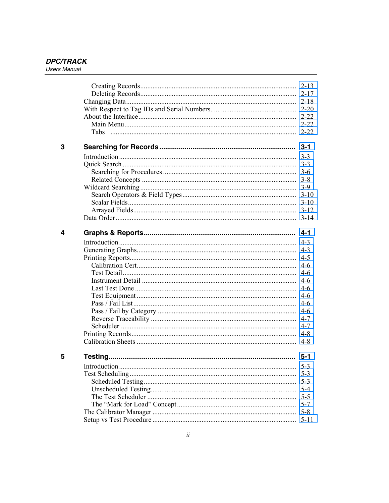|   |              | $2 - 13$ |
|---|--------------|----------|
|   |              |          |
|   |              |          |
|   |              |          |
|   |              |          |
|   |              |          |
|   |              |          |
| 3 |              |          |
|   |              |          |
|   |              |          |
|   |              |          |
|   |              |          |
|   |              |          |
|   |              |          |
|   |              |          |
|   |              |          |
|   |              |          |
|   |              |          |
| 4 |              | $4 - 1$  |
|   |              |          |
|   |              |          |
|   |              |          |
|   |              |          |
|   |              |          |
|   |              |          |
|   |              |          |
|   |              |          |
|   |              |          |
|   |              |          |
|   |              |          |
|   |              |          |
|   |              |          |
|   |              | $4 - 8$  |
| 5 |              | $5 - 1$  |
|   | Introduction | $5-3$    |
|   |              | $5-3$    |
|   |              | $5-3$    |
|   |              | $5 - 4$  |
|   |              | $5 - 5$  |
|   |              | $5 - 7$  |
|   |              | $5 - 8$  |
|   |              | $5 - 11$ |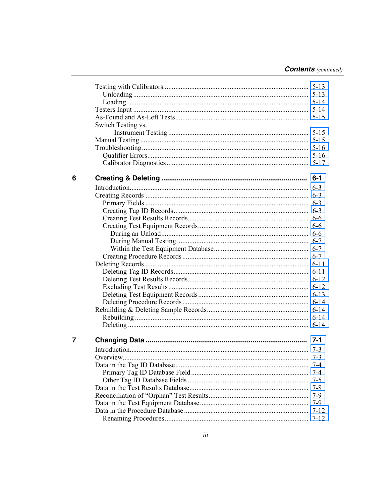| Switch Testing vs. |          |
|--------------------|----------|
|                    |          |
|                    |          |
|                    |          |
|                    |          |
|                    |          |
|                    |          |
|                    |          |
|                    |          |
|                    |          |
|                    |          |
|                    |          |
|                    |          |
|                    |          |
|                    |          |
|                    |          |
|                    |          |
|                    |          |
|                    |          |
|                    |          |
|                    |          |
|                    |          |
|                    |          |
|                    |          |
|                    |          |
|                    |          |
|                    |          |
|                    |          |
|                    |          |
|                    |          |
|                    | $7 - 4$  |
|                    | $7 - 5$  |
|                    | 7-8      |
|                    | 7-9      |
|                    | $7-9$    |
|                    | $7 - 12$ |
|                    | $7 - 12$ |
|                    |          |

 $\overline{7}$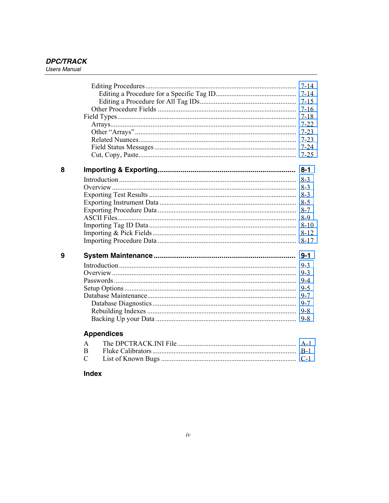|   |                       | $7 - 25$            |
|---|-----------------------|---------------------|
| 8 |                       |                     |
|   |                       | $8-3$               |
|   |                       | $8-3$               |
|   |                       |                     |
|   |                       |                     |
|   |                       |                     |
|   |                       | 8-9                 |
|   |                       | $8-10$              |
|   |                       | $8 - 12$            |
|   |                       | $8 - 17$            |
| 9 |                       |                     |
|   |                       |                     |
|   |                       |                     |
|   |                       | $9 - 4$             |
|   |                       | $9 - 5$             |
|   |                       | $9 - 7$             |
|   |                       |                     |
|   |                       |                     |
|   |                       | $9 - 8$             |
|   | <b>Appendices</b>     |                     |
|   | $DDCID + CII DII P'I$ | $\lambda$ $\lambda$ |

### **Index**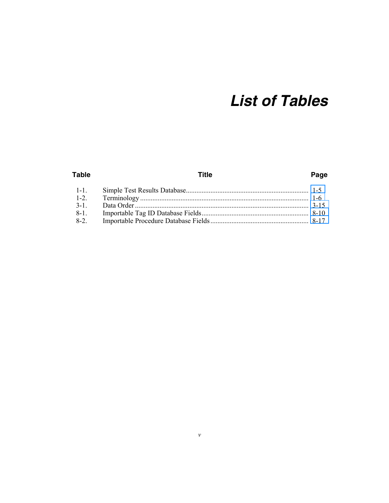# **List of Tables**

#### **Table Title** Page  $1 - 1$ .  $1 - 2$ .  $3-1$ .  $8-1$ .  $8-2$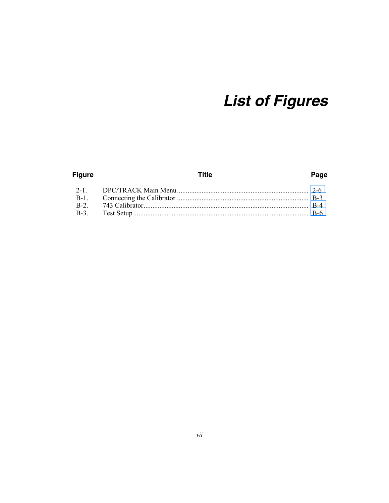# **List of Figures**

#### **Figure Title** Page  $2 - 1$  $B-1$ .  $B-2$ .  $B-3$ .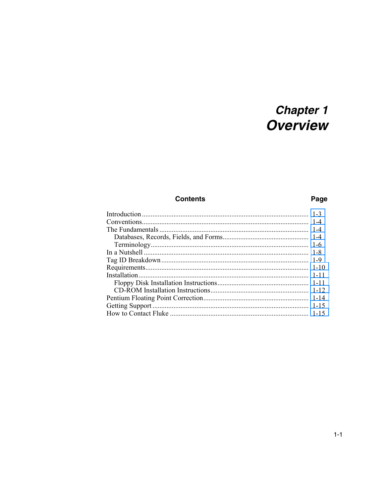# **Chapter 1**<br>**Overview**

## **Contents**

## Page

<span id="page-10-0"></span>

| $1 - 10$ |
|----------|
| $1 - 11$ |
|          |
|          |
|          |
| $1 - 15$ |
|          |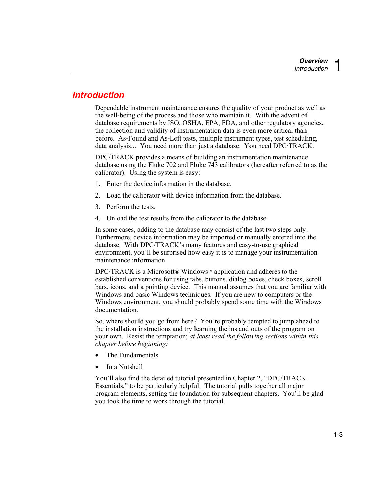## <span id="page-12-0"></span>*Introduction*

Dependable instrument maintenance ensures the quality of your product as well as the well-being of the process and those who maintain it. With the advent of database requirements by ISO, OSHA, EPA, FDA, and other regulatory agencies, the collection and validity of instrumentation data is even more critical than before. As-Found and As-Left tests, multiple instrument types, test scheduling, data analysis... You need more than just a database. You need DPC/TRACK.

DPC/TRACK provides a means of building an instrumentation maintenance database using the Fluke 702 and Fluke 743 calibrators (hereafter referred to as the calibrator). Using the system is easy:

- 1. Enter the device information in the database.
- 2. Load the calibrator with device information from the database.
- 3. Perform the tests.
- 4. Unload the test results from the calibrator to the database.

In some cases, adding to the database may consist of the last two steps only. Furthermore, device information may be imported or manually entered into the database. With DPC/TRACK's many features and easy-to-use graphical environment, you'll be surprised how easy it is to manage your instrumentation maintenance information.

DPC/TRACK is a Microsoft® Windows™ application and adheres to the established conventions for using tabs, buttons, dialog boxes, check boxes, scroll bars, icons, and a pointing device. This manual assumes that you are familiar with Windows and basic Windows techniques. If you are new to computers or the Windows environment, you should probably spend some time with the Windows documentation.

So, where should you go from here? You're probably tempted to jump ahead to the installation instructions and try learning the ins and outs of the program on your own. Resist the temptation; *at least read the following sections within this chapter before beginning:* 

- The Fundamentals
- In a Nutshell

You'll also find the detailed tutorial presented in Chapter 2, "DPC/TRACK Essentials," to be particularly helpful. The tutorial pulls together all major program elements, setting the foundation for subsequent chapters. You'll be glad you took the time to work through the tutorial.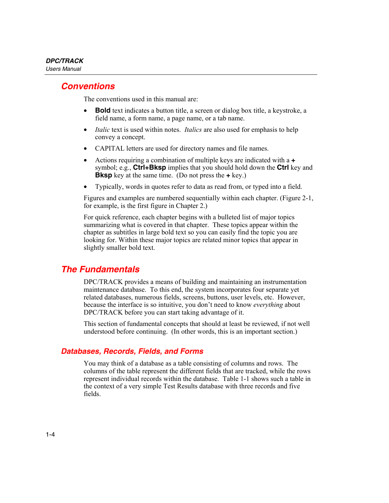## <span id="page-13-0"></span>*Conventions*

The conventions used in this manual are:

- **Bold** text indicates a button title, a screen or dialog box title, a keystroke, a field name, a form name, a page name, or a tab name.
- *Italic* text is used within notes. *Italics* are also used for emphasis to help convey a concept.
- CAPITAL letters are used for directory names and file names.
- Actions requiring a combination of multiple keys are indicated with a **+** symbol; e.g., **Ctrl+Bksp** implies that you should hold down the **Ctrl** key and **Bksp** key at the same time. (Do not press the **+** key.)
- Typically, words in quotes refer to data as read from, or typed into a field.

Figures and examples are numbered sequentially within each chapter. (Figure 2-1, for example, is the first figure in Chapter 2.)

For quick reference, each chapter begins with a bulleted list of major topics summarizing what is covered in that chapter. These topics appear within the chapter as subtitles in large bold text so you can easily find the topic you are looking for. Within these major topics are related minor topics that appear in slightly smaller bold text.

## *The Fundamentals*

DPC/TRACK provides a means of building and maintaining an instrumentation maintenance database. To this end, the system incorporates four separate yet related databases, numerous fields, screens, buttons, user levels, etc. However, because the interface is so intuitive, you don't need to know *everything* about DPC/TRACK before you can start taking advantage of it.

This section of fundamental concepts that should at least be reviewed, if not well understood before continuing. (In other words, this is an important section.)

## *Databases, Records, Fields, and Forms*

You may think of a database as a table consisting of columns and rows. The columns of the table represent the different fields that are tracked, while the rows represent individual records within the database. Table 1-1 shows such a table in the context of a very simple Test Results database with three records and five fields.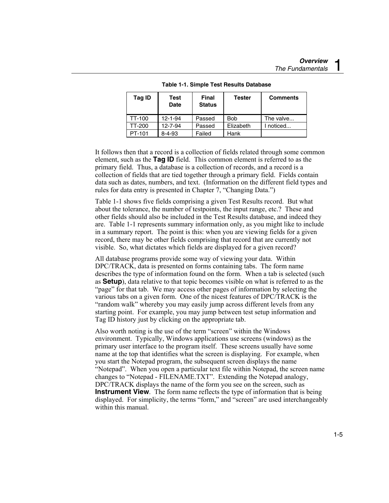<span id="page-14-0"></span>

| Tag ID | Test<br><b>Date</b> | <b>Final</b><br><b>Status</b> | <b>Tester</b> | <b>Comments</b> |
|--------|---------------------|-------------------------------|---------------|-----------------|
| TT-100 | $12 - 1 - 94$       | Passed                        | <b>Bob</b>    | The valve       |
| TT-200 | $12 - 7 - 94$       | Passed                        | Elizabeth     | I noticed       |
| PT-101 | 8-4-93              | Failed                        | Hank          |                 |

**Table 1-1. Simple Test Results Database** 

It follows then that a record is a collection of fields related through some common element, such as the **Tag ID** field. This common element is referred to as the primary field. Thus, a database is a collection of records, and a record is a collection of fields that are tied together through a primary field. Fields contain data such as dates, numbers, and text. (Information on the different field types and rules for data entry is presented in Chapter 7, "Changing Data.")

Table 1-1 shows five fields comprising a given Test Results record. But what about the tolerance, the number of testpoints, the input range, etc.? These and other fields should also be included in the Test Results database, and indeed they are. Table 1-1 represents summary information only, as you might like to include in a summary report. The point is this: when you are viewing fields for a given record, there may be other fields comprising that record that are currently not visible. So, what dictates which fields are displayed for a given record?

All database programs provide some way of viewing your data. Within DPC/TRACK, data is presented on forms containing tabs. The form name describes the type of information found on the form. When a tab is selected (such as **Setup**), data relative to that topic becomes visible on what is referred to as the "page" for that tab. We may access other pages of information by selecting the various tabs on a given form. One of the nicest features of DPC/TRACK is the "random walk" whereby you may easily jump across different levels from any starting point. For example, you may jump between test setup information and Tag ID history just by clicking on the appropriate tab.

Also worth noting is the use of the term "screen" within the Windows environment. Typically, Windows applications use screens (windows) as the primary user interface to the program itself. These screens usually have some name at the top that identifies what the screen is displaying. For example, when you start the Notepad program, the subsequent screen displays the name "Notepad". When you open a particular text file within Notepad, the screen name changes to "Notepad - FILENAME.TXT". Extending the Notepad analogy, DPC/TRACK displays the name of the form you see on the screen, such as **Instrument View**. The form name reflects the type of information that is being displayed. For simplicity, the terms "form," and "screen" are used interchangeably within this manual.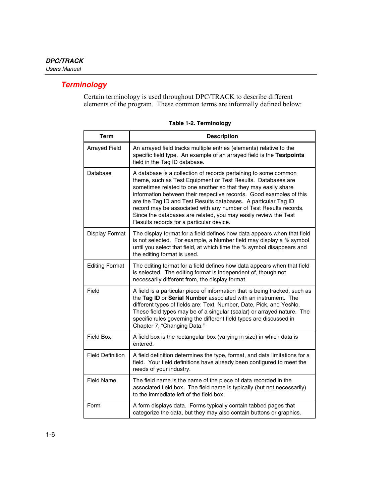## <span id="page-15-0"></span>*Terminology*

Certain terminology is used throughout DPC/TRACK to describe different elements of the program. These common terms are informally defined below:

| Term                    | <b>Description</b>                                                                                                                                                                                                                                                                                                                                                                                                                                                                                                             |
|-------------------------|--------------------------------------------------------------------------------------------------------------------------------------------------------------------------------------------------------------------------------------------------------------------------------------------------------------------------------------------------------------------------------------------------------------------------------------------------------------------------------------------------------------------------------|
| <b>Arrayed Field</b>    | An arrayed field tracks multiple entries (elements) relative to the<br>specific field type. An example of an arrayed field is the Testpoints<br>field in the Tag ID database.                                                                                                                                                                                                                                                                                                                                                  |
| Database                | A database is a collection of records pertaining to some common<br>theme, such as Test Equipment or Test Results. Databases are<br>sometimes related to one another so that they may easily share<br>information between their respective records. Good examples of this<br>are the Tag ID and Test Results databases. A particular Tag ID<br>record may be associated with any number of Test Results records.<br>Since the databases are related, you may easily review the Test<br>Results records for a particular device. |
| Display Format          | The display format for a field defines how data appears when that field<br>is not selected. For example, a Number field may display a % symbol<br>until you select that field, at which time the % symbol disappears and<br>the editing format is used.                                                                                                                                                                                                                                                                        |
| <b>Editing Format</b>   | The editing format for a field defines how data appears when that field<br>is selected. The editing format is independent of, though not<br>necessarily different from, the display format.                                                                                                                                                                                                                                                                                                                                    |
| Field                   | A field is a particular piece of information that is being tracked, such as<br>the Tag ID or Serial Number associated with an instrument. The<br>different types of fields are: Text, Number, Date, Pick, and YesNo.<br>These field types may be of a singular (scalar) or arrayed nature. The<br>specific rules governing the different field types are discussed in<br>Chapter 7, "Changing Data."                                                                                                                           |
| <b>Field Box</b>        | A field box is the rectangular box (varying in size) in which data is<br>entered.                                                                                                                                                                                                                                                                                                                                                                                                                                              |
| <b>Field Definition</b> | A field definition determines the type, format, and data limitations for a<br>field. Your field definitions have already been configured to meet the<br>needs of your industry.                                                                                                                                                                                                                                                                                                                                                |
| <b>Field Name</b>       | The field name is the name of the piece of data recorded in the<br>associated field box. The field name is typically (but not necessarily)<br>to the immediate left of the field box.                                                                                                                                                                                                                                                                                                                                          |
| Form                    | A form displays data. Forms typically contain tabbed pages that<br>categorize the data, but they may also contain buttons or graphics.                                                                                                                                                                                                                                                                                                                                                                                         |

#### **Table 1-2. Terminology**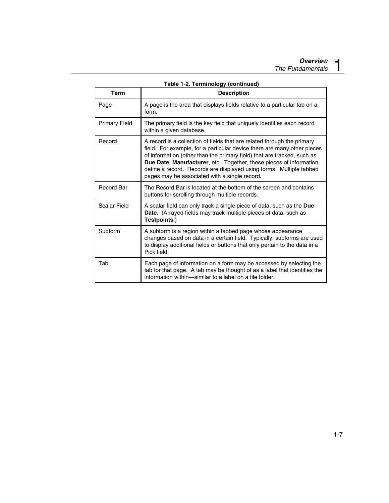| <b>Term</b>          | <b>Description</b>                                                                                                                                                                                                                                                                                                                                                                                                                 |
|----------------------|------------------------------------------------------------------------------------------------------------------------------------------------------------------------------------------------------------------------------------------------------------------------------------------------------------------------------------------------------------------------------------------------------------------------------------|
| Page                 | A page is the area that displays fields relative to a particular tab on a<br>form.                                                                                                                                                                                                                                                                                                                                                 |
| <b>Primary Field</b> | The primary field is the key field that uniquely identifies each record<br>within a given database.                                                                                                                                                                                                                                                                                                                                |
| Record               | A record is a collection of fields that are related through the primary<br>field. For example, for a particular device there are many other pieces<br>of information (other than the primary field) that are tracked, such as<br><b>Due Date, Manufacturer, etc. Together, these pieces of information</b><br>define a record. Records are displayed using forms. Multiple tabbed<br>pages may be associated with a single record. |
| <b>Record Bar</b>    | The Record Bar is located at the bottom of the screen and contains<br>buttons for scrolling through multiple records.                                                                                                                                                                                                                                                                                                              |
| Scalar Field         | A scalar field can only track a single piece of data, such as the Due<br><b>Date.</b> (Arrayed fields may track multiple pieces of data, such as<br>Testpoints.)                                                                                                                                                                                                                                                                   |
| Subform              | A subform is a region within a tabbed page whose appearance<br>changes based on data in a certain field. Typically, subforms are used<br>to display additional fields or buttons that only pertain to the data in a<br>Pick field.                                                                                                                                                                                                 |
| Tab                  | Each page of information on a form may be accessed by selecting the<br>tab for that page. A tab may be thought of as a label that identifies the<br>information within-similar to a label on a file folder.                                                                                                                                                                                                                        |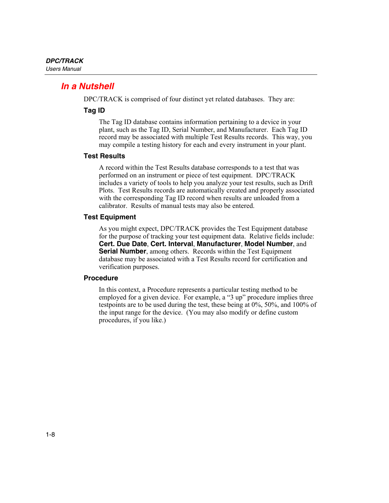## <span id="page-17-0"></span>*In a Nutshell*

DPC/TRACK is comprised of four distinct yet related databases. They are:

#### **Tag ID**

The Tag ID database contains information pertaining to a device in your plant, such as the Tag ID, Serial Number, and Manufacturer. Each Tag ID record may be associated with multiple Test Results records. This way, you may compile a testing history for each and every instrument in your plant.

#### **Test Results**

A record within the Test Results database corresponds to a test that was performed on an instrument or piece of test equipment. DPC/TRACK includes a variety of tools to help you analyze your test results, such as Drift Plots. Test Results records are automatically created and properly associated with the corresponding Tag ID record when results are unloaded from a calibrator. Results of manual tests may also be entered.

#### **Test Equipment**

As you might expect, DPC/TRACK provides the Test Equipment database for the purpose of tracking your test equipment data. Relative fields include: **Cert. Due Date**, **Cert. Interval**, **Manufacturer**, **Model Number**, and **Serial Number**, among others. Records within the Test Equipment database may be associated with a Test Results record for certification and verification purposes.

#### **Procedure**

In this context, a Procedure represents a particular testing method to be employed for a given device. For example, a "3 up" procedure implies three testpoints are to be used during the test, these being at 0%, 50%, and 100% of the input range for the device. (You may also modify or define custom procedures, if you like.)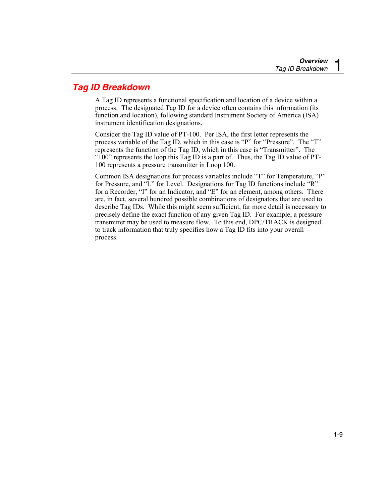## <span id="page-18-0"></span>*Tag ID Breakdown*

A Tag ID represents a functional specification and location of a device within a process. The designated Tag ID for a device often contains this information (its function and location), following standard Instrument Society of America (ISA) instrument identification designations.

Consider the Tag ID value of PT-100. Per ISA, the first letter represents the process variable of the Tag ID, which in this case is "P" for "Pressure". The "T" represents the function of the Tag ID, which in this case is "Transmitter". The "100" represents the loop this Tag ID is a part of. Thus, the Tag ID value of PT-100 represents a pressure transmitter in Loop 100.

Common ISA designations for process variables include "T" for Temperature, "P" for Pressure, and "L" for Level. Designations for Tag ID functions include "R" for a Recorder, "I" for an Indicator, and "E" for an element, among others. There are, in fact, several hundred possible combinations of designators that are used to describe Tag IDs. While this might seem sufficient, far more detail is necessary to precisely define the exact function of any given Tag ID. For example, a pressure transmitter may be used to measure flow. To this end, DPC/TRACK is designed to track information that truly specifies how a Tag ID fits into your overall process.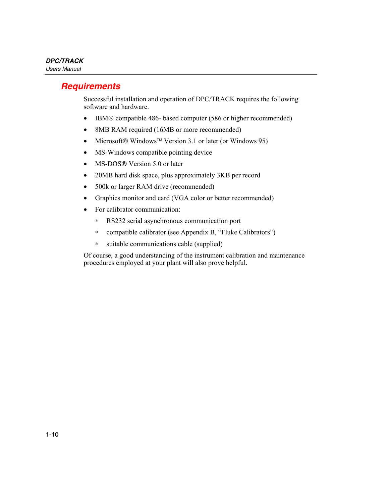## <span id="page-19-0"></span>*Requirements*

Successful installation and operation of DPC/TRACK requires the following software and hardware.

- IBM® compatible 486- based computer (586 or higher recommended)
- 8MB RAM required (16MB or more recommended)
- Microsoft<sup>®</sup> Windows<sup>™</sup> Version 3.1 or later (or Windows 95)
- MS-Windows compatible pointing device
- MS-DOS<sup>®</sup> Version 5.0 or later
- 20MB hard disk space, plus approximately 3KB per record
- 500k or larger RAM drive (recommended)
- Graphics monitor and card (VGA color or better recommended)
- For calibrator communication:
	- ∗ RS232 serial asynchronous communication port
	- ∗ compatible calibrator (see Appendix B, "Fluke Calibrators")
	- ∗ suitable communications cable (supplied)

Of course, a good understanding of the instrument calibration and maintenance procedures employed at your plant will also prove helpful.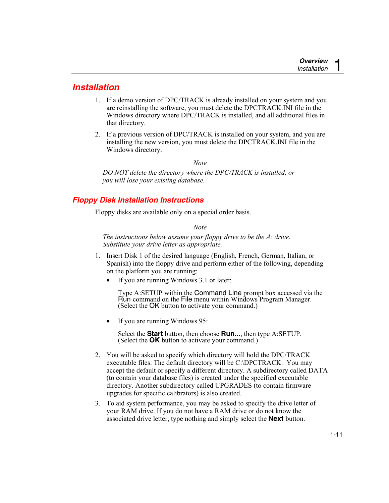## <span id="page-20-0"></span>*Installation*

- 1. If a demo version of DPC/TRACK is already installed on your system and you are reinstalling the software, you must delete the DPCTRACK.INI file in the Windows directory where DPC/TRACK is installed, and all additional files in that directory.
- 2. If a previous version of DPC/TRACK is installed on your system, and you are installing the new version, you must delete the DPCTRACK.INI file in the Windows directory.

*Note* 

*DO NOT delete the directory where the DPC/TRACK is installed, or you will lose your existing database.* 

## *Floppy Disk Installation Instructions*

Floppy disks are available only on a special order basis.

*Note* 

*The instructions below assume your floppy drive to be the A: drive. Substitute your drive letter as appropriate.* 

- 1. Insert Disk 1 of the desired language (English, French, German, Italian, or Spanish) into the floppy drive and perform either of the following, depending on the platform you are running:
	- If you are running Windows 3.1 or later:

Type A:SETUP within the Command Line prompt box accessed via the Run command on the File menu within Windows Program Manager. (Select the OK button to activate your command.)

• If you are running Windows 95:

Select the **Start** button, then choose **Run...**, then type A:SETUP. (Select the **OK** button to activate your command.)

- 2. You will be asked to specify which directory will hold the DPC/TRACK executable files. The default directory will be C:\DPCTRACK. You may accept the default or specify a different directory. A subdirectory called DATA (to contain your database files) is created under the specified executable directory. Another subdirectory called UPGRADES (to contain firmware upgrades for specific calibrators) is also created.
- 3. To aid system performance, you may be asked to specify the drive letter of your RAM drive. If you do not have a RAM drive or do not know the associated drive letter, type nothing and simply select the **Next** button.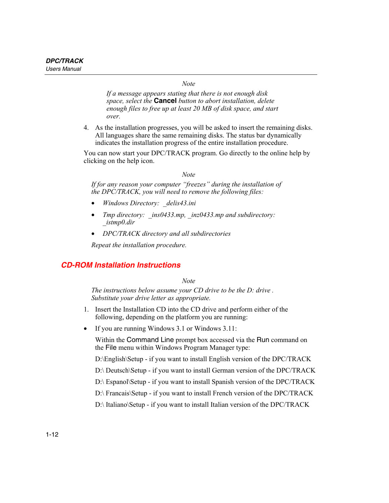*Note* 

*If a message appears stating that there is not enough disk space, select the* **Cancel** *button to abort installation, delete enough files to free up at least 20 MB of disk space, and start over.* 

<span id="page-21-0"></span>4. As the installation progresses, you will be asked to insert the remaining disks. All languages share the same remaining disks. The status bar dynamically indicates the installation progress of the entire installation procedure.

You can now start your DPC/TRACK program. Go directly to the online help by clicking on the help icon.

#### *Note*

*If for any reason your computer "freezes" during the installation of the DPC/TRACK, you will need to remove the following files:* 

- *Windows Directory: \_delis43.ini*
- *Tmp directory: ins0433.mp, inz0433.mp and subdirectory: \_istmp0.dir*
- *DPC/TRACK directory and all subdirectories*

*Repeat the installation procedure.* 

#### *CD-ROM Installation Instructions*

*Note* 

*The instructions below assume your CD drive to be the D: drive . Substitute your drive letter as appropriate.* 

- 1. Insert the Installation CD into the CD drive and perform either of the following, depending on the platform you are running:
- If you are running Windows 3.1 or Windows 3.11:

Within the Command Line prompt box accessed via the Run command on the File menu within Windows Program Manager type:

D:\English\Setup - if you want to install English version of the DPC/TRACK

D:\ Deutsch\Setup - if you want to install German version of the DPC/TRACK

D:\ Espanol\Setup - if you want to install Spanish version of the DPC/TRACK

D:\ Francais\Setup - if you want to install French version of the DPC/TRACK

D:\ Italiano\Setup - if you want to install Italian version of the DPC/TRACK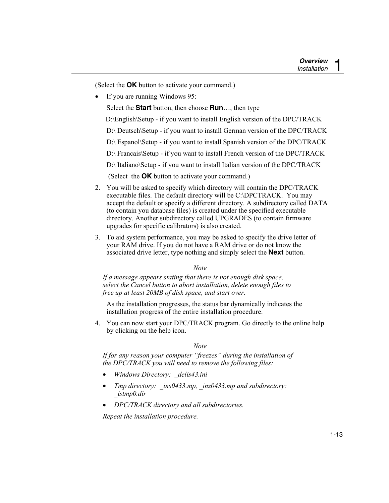(Select the **OK** button to activate your command.)

If you are running Windows 95:

Select the **Start** button, then choose **Run**…, then type

D:\English\Setup - if you want to install English version of the DPC/TRACK

D:\ Deutsch\Setup - if you want to install German version of the DPC/TRACK

D:\ Espanol\Setup - if you want to install Spanish version of the DPC/TRACK

D:\ Francais\Setup - if you want to install French version of the DPC/TRACK

D:\ Italiano\Setup - if you want to install Italian version of the DPC/TRACK

(Select the **OK** button to activate your command.)

- 2. You will be asked to specify which directory will contain the DPC/TRACK executable files. The default directory will be C:\DPCTRACK. You may accept the default or specify a different directory. A subdirectory called DATA (to contain you database files) is created under the specified executable directory. Another subdirectory called UPGRADES (to contain firmware upgrades for specific calibrators) is also created.
- 3. To aid system performance, you may be asked to specify the drive letter of your RAM drive. If you do not have a RAM drive or do not know the associated drive letter, type nothing and simply select the **Next** button.

*Note* 

*If a message appears stating that there is not enough disk space, select the Cancel button to abort installation, delete enough files to free up at least 20MB of disk space, and start over.* 

As the installation progresses, the status bar dynamically indicates the installation progress of the entire installation procedure.

4. You can now start your DPC/TRACK program. Go directly to the online help by clicking on the help icon.

#### *Note*

*If for any reason your computer "freezes" during the installation of the DPC/TRACK you will need to remove the following files:* 

- *Windows Directory: \_delis43.ini*
- *Tmp directory: \_ins0433.mp, \_inz0433.mp and subdirectory: \_istmp0.dir*
- *DPC/TRACK directory and all subdirectories.*

*Repeat the installation procedure.*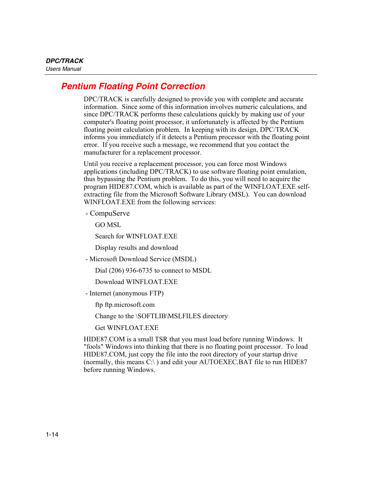## <span id="page-23-0"></span>*Pentium Floating Point Correction*

DPC/TRACK is carefully designed to provide you with complete and accurate information. Since some of this information involves numeric calculations, and since DPC/TRACK performs these calculations quickly by making use of your computer's floating point processor, it unfortunately is affected by the Pentium floating point calculation problem. In keeping with its design, DPC/TRACK informs you immediately if it detects a Pentium processor with the floating point error. If you receive such a message, we recommend that you contact the manufacturer for a replacement processor.

Until you receive a replacement processor, you can force most Windows applications (including DPC/TRACK) to use software floating point emulation, thus bypassing the Pentium problem. To do this, you will need to acquire the program HIDE87.COM, which is available as part of the WINFLOAT.EXE selfextracting file from the Microsoft Software Library (MSL). You can download WINFLOAT.EXE from the following services:

- CompuServe

GO MSL

Search for WINFLOAT EXE

Display results and download

- Microsoft Download Service (MSDL)

Dial (206) 936-6735 to connect to MSDL

Download WINFLOAT.EXE

- Internet (anonymous FTP)

ftp ftp.microsoft.com

Change to the \SOFTLIB\MSLFILES directory

Get WINFLOAT EXE

HIDE87.COM is a small TSR that you must load before running Windows. It "fools" Windows into thinking that there is no floating point processor. To load HIDE87.COM, just copy the file into the root directory of your startup drive (normally, this means C:\ ) and edit your AUTOEXEC.BAT file to run HIDE87 before running Windows.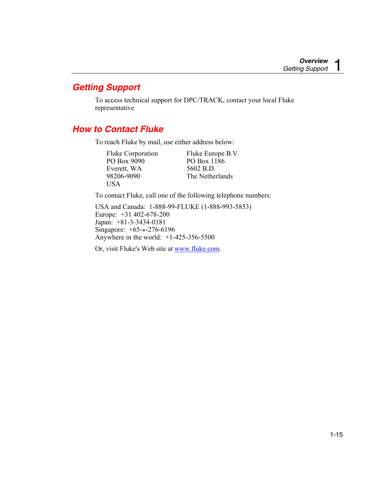## <span id="page-24-0"></span>*Getting Support*

To access technical support for DPC/TRACK, contact your local Fluke representative

## *How to Contact Fluke*

To reach Fluke by mail, use either address below:

| <b>Fluke Corporation</b> | Fluke Europe B.V. |
|--------------------------|-------------------|
| PO Box 9090              | PO Box 1186       |
| Everett, WA              | 5602 B.D.         |
| 98206-9090               | The Netherlands   |
| USA.                     |                   |

To contact Fluke, call one of the following telephone numbers:

USA and Canada: 1-888-99-FLUKE (1-888-993-5853) Europe: +31 402-678-200 Japan: +81-3-3434-0181 Singapore: +65-\*-276-6196 Anywhere in the world: +1-425-356-5500

Or, visit Fluke's Web site at www.fluke.com.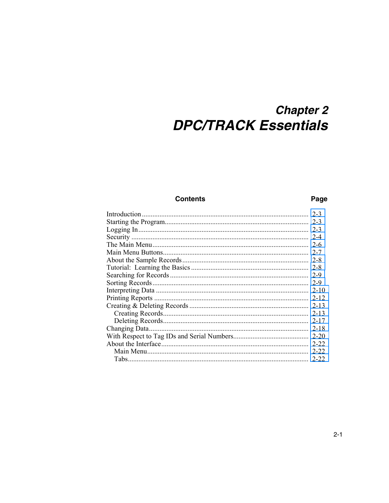## **Chapter 2 DPC/TRACK Essentials**

### **Contents**

#### Page

<span id="page-26-0"></span>

|                | $2 - 3$  |
|----------------|----------|
|                | $2 - 3$  |
|                | $2 - 3$  |
|                | $2 - 4$  |
|                | $2 - 6$  |
|                | $2 - 7$  |
|                | 2-8      |
|                | 2-8      |
|                | $2 - 9$  |
|                | $2 - 9$  |
|                | $2 - 10$ |
|                | $2 - 12$ |
|                | $2 - 13$ |
|                | $2 - 13$ |
|                | $2 - 17$ |
| Changing Data. | $2 - 18$ |
|                | $2 - 20$ |
|                | $2 - 22$ |
|                | $2 - 22$ |
|                | $2 - 22$ |
|                |          |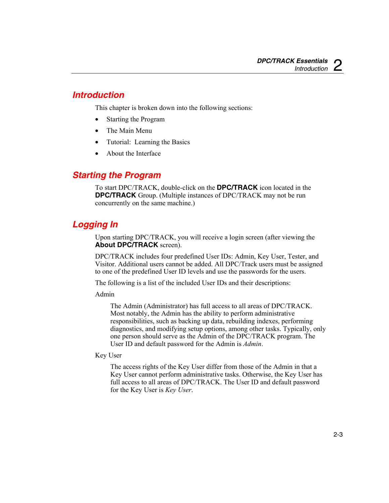## <span id="page-28-0"></span>*Introduction*

This chapter is broken down into the following sections:

- Starting the Program
- The Main Menu
- Tutorial: Learning the Basics
- About the Interface

## *Starting the Program*

To start DPC/TRACK, double-click on the **DPC/TRACK** icon located in the **DPC/TRACK** Group. (Multiple instances of DPC/TRACK may not be run concurrently on the same machine.)

## *Logging In*

Upon starting DPC/TRACK, you will receive a login screen (after viewing the **About DPC/TRACK** screen).

DPC/TRACK includes four predefined User IDs: Admin, Key User, Tester, and Visitor. Additional users cannot be added. All DPC/Track users must be assigned to one of the predefined User ID levels and use the passwords for the users.

The following is a list of the included User IDs and their descriptions:

Admin

The Admin (Administrator) has full access to all areas of DPC/TRACK. Most notably, the Admin has the ability to perform administrative responsibilities, such as backing up data, rebuilding indexes, performing diagnostics, and modifying setup options, among other tasks. Typically, only one person should serve as the Admin of the DPC/TRACK program. The User ID and default password for the Admin is *Admin*.

#### Key User

The access rights of the Key User differ from those of the Admin in that a Key User cannot perform administrative tasks. Otherwise, the Key User has full access to all areas of DPC/TRACK. The User ID and default password for the Key User is *Key User*.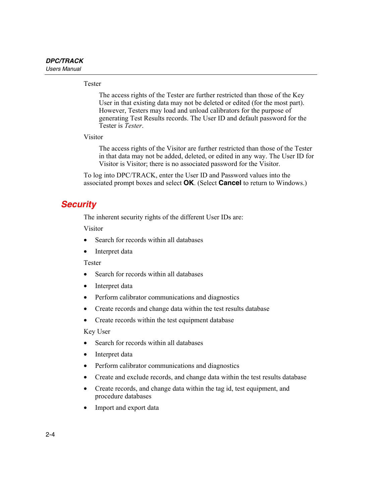#### <span id="page-29-0"></span>Tester

The access rights of the Tester are further restricted than those of the Key User in that existing data may not be deleted or edited (for the most part). However, Testers may load and unload calibrators for the purpose of generating Test Results records. The User ID and default password for the Tester is *Tester*.

Visitor

The access rights of the Visitor are further restricted than those of the Tester in that data may not be added, deleted, or edited in any way. The User ID for Visitor is Visitor; there is no associated password for the Visitor.

To log into DPC/TRACK, enter the User ID and Password values into the associated prompt boxes and select **OK**. (Select **Cancel** to return to Windows.)

## *Security*

The inherent security rights of the different User IDs are:

Visitor

- Search for records within all databases
- Interpret data

Tester

- Search for records within all databases
- Interpret data
- Perform calibrator communications and diagnostics
- Create records and change data within the test results database
- Create records within the test equipment database

Key User

- Search for records within all databases
- Interpret data
- Perform calibrator communications and diagnostics
- Create and exclude records, and change data within the test results database
- Create records, and change data within the tag id, test equipment, and procedure databases
- Import and export data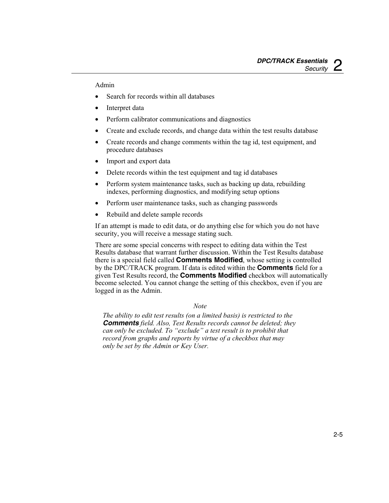#### Admin

- Search for records within all databases
- Interpret data
- Perform calibrator communications and diagnostics
- Create and exclude records, and change data within the test results database
- Create records and change comments within the tag id, test equipment, and procedure databases
- Import and export data
- Delete records within the test equipment and tag id databases
- Perform system maintenance tasks, such as backing up data, rebuilding indexes, performing diagnostics, and modifying setup options
- Perform user maintenance tasks, such as changing passwords
- Rebuild and delete sample records

If an attempt is made to edit data, or do anything else for which you do not have security, you will receive a message stating such.

There are some special concerns with respect to editing data within the Test Results database that warrant further discussion. Within the Test Results database there is a special field called **Comments Modified**, whose setting is controlled by the DPC/TRACK program. If data is edited within the **Comments** field for a given Test Results record, the **Comments Modified** checkbox will automatically become selected. You cannot change the setting of this checkbox, even if you are logged in as the Admin.

#### *Note*

*The ability to edit test results (on a limited basis) is restricted to the Comments field. Also, Test Results records cannot be deleted; they can only be excluded. To "exclude" a test result is to prohibit that record from graphs and reports by virtue of a checkbox that may only be set by the Admin or Key User.*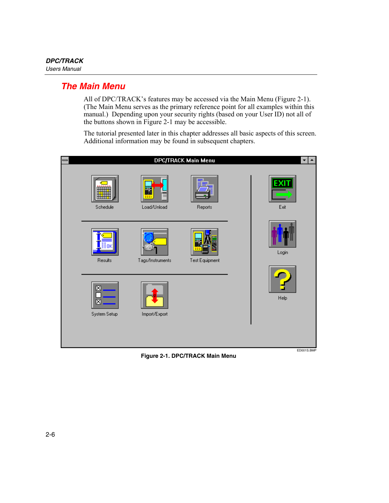## <span id="page-31-0"></span>*The Main Menu*

All of DPC/TRACK's features may be accessed via the Main Menu (Figure 2-1). (The Main Menu serves as the primary reference point for all examples within this manual.) Depending upon your security rights (based on your User ID) not all of the buttons shown in Figure 2-1 may be accessible.

The tutorial presented later in this chapter addresses all basic aspects of this screen. Additional information may be found in subsequent chapters.



**Figure 2-1. DPC/TRACK Main Menu**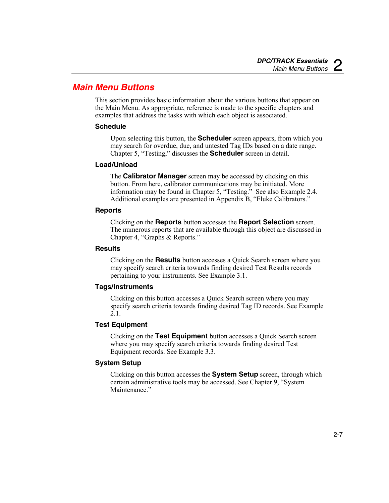## <span id="page-32-0"></span>*Main Menu Buttons*

This section provides basic information about the various buttons that appear on the Main Menu. As appropriate, reference is made to the specific chapters and examples that address the tasks with which each object is associated.

#### **Schedule**

Upon selecting this button, the **Scheduler** screen appears, from which you may search for overdue, due, and untested Tag IDs based on a date range. Chapter 5, "Testing," discusses the **Scheduler** screen in detail.

#### **Load/Unload**

The **Calibrator Manager** screen may be accessed by clicking on this button. From here, calibrator communications may be initiated. More information may be found in Chapter 5, "Testing." See also Example 2.4. Additional examples are presented in Appendix B, "Fluke Calibrators."

#### **Reports**

Clicking on the **Reports** button accesses the **Report Selection** screen. The numerous reports that are available through this object are discussed in Chapter 4, "Graphs & Reports."

#### **Results**

Clicking on the **Results** button accesses a Quick Search screen where you may specify search criteria towards finding desired Test Results records pertaining to your instruments. See Example 3.1.

#### **Tags/Instruments**

Clicking on this button accesses a Quick Search screen where you may specify search criteria towards finding desired Tag ID records. See Example 2.1.

#### **Test Equipment**

Clicking on the **Test Equipment** button accesses a Quick Search screen where you may specify search criteria towards finding desired Test Equipment records. See Example 3.3.

#### **System Setup**

Clicking on this button accesses the **System Setup** screen, through which certain administrative tools may be accessed. See Chapter 9, "System Maintenance<sup>"</sup>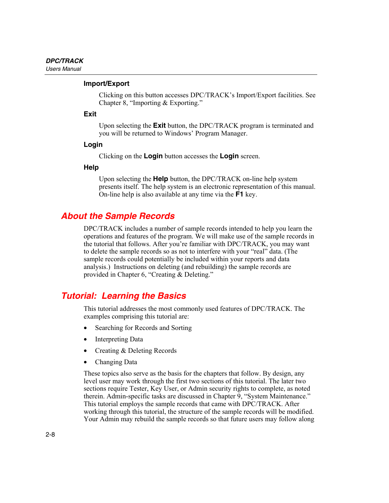#### <span id="page-33-0"></span>**Import/Export**

Clicking on this button accesses DPC/TRACK's Import/Export facilities. See Chapter 8, "Importing & Exporting."

#### **Exit**

Upon selecting the **Exit** button, the DPC/TRACK program is terminated and you will be returned to Windows' Program Manager.

#### **Login**

Clicking on the **Login** button accesses the **Login** screen.

#### **Help**

Upon selecting the **Help** button, the DPC/TRACK on-line help system presents itself. The help system is an electronic representation of this manual. On-line help is also available at any time via the **F1** key.

## *About the Sample Records*

DPC/TRACK includes a number of sample records intended to help you learn the operations and features of the program. We will make use of the sample records in the tutorial that follows. After you're familiar with DPC/TRACK, you may want to delete the sample records so as not to interfere with your "real" data. (The sample records could potentially be included within your reports and data analysis.) Instructions on deleting (and rebuilding) the sample records are provided in Chapter 6, "Creating & Deleting."

## *Tutorial: Learning the Basics*

This tutorial addresses the most commonly used features of DPC/TRACK. The examples comprising this tutorial are:

- Searching for Records and Sorting
- Interpreting Data
- Creating & Deleting Records
- Changing Data

These topics also serve as the basis for the chapters that follow. By design, any level user may work through the first two sections of this tutorial. The later two sections require Tester, Key User, or Admin security rights to complete, as noted therein. Admin-specific tasks are discussed in Chapter 9, "System Maintenance." This tutorial employs the sample records that came with DPC/TRACK. After working through this tutorial, the structure of the sample records will be modified. Your Admin may rebuild the sample records so that future users may follow along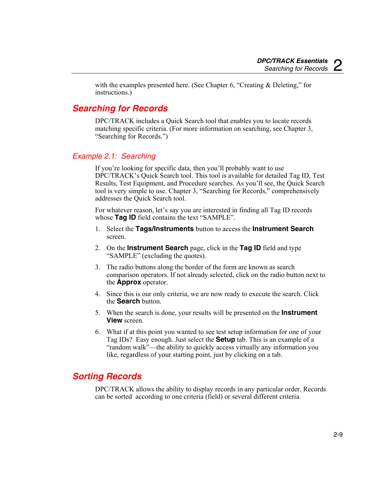with the examples presented here. (See Chapter 6, "Creating & Deleting," for instructions.)

## <span id="page-34-0"></span>*Searching for Records*

DPC/TRACK includes a Quick Search tool that enables you to locate records matching specific criteria. (For more information on searching, see Chapter 3, "Searching for Records.")

### *Example 2.1: Searching*

If you're looking for specific data, then you'll probably want to use DPC/TRACK's Quick Search tool. This tool is available for detailed Tag ID, Test Results, Test Equipment, and Procedure searches. As you'll see, the Quick Search tool is very simple to use. Chapter 3, "Searching for Records," comprehensively addresses the Quick Search tool.

For whatever reason, let's say you are interested in finding all Tag ID records whose **Tag ID** field contains the text "SAMPLE".

- 1. Select the **Tags/Instruments** button to access the **Instrument Search** screen.
- 2. On the **Instrument Search** page, click in the **Tag ID** field and type "SAMPLE" (excluding the quotes).
- 3. The radio buttons along the border of the form are known as search comparison operators. If not already selected, click on the radio button next to the **Approx** operator.
- 4. Since this is our only criteria, we are now ready to execute the search. Click the **Search** button.
- 5. When the search is done, your results will be presented on the **Instrument View** screen.
- 6. What if at this point you wanted to see test setup information for one of your Tag IDs? Easy enough. Just select the **Setup** tab. This is an example of a "random walk"—the ability to quickly access virtually any information you like, regardless of your starting point, just by clicking on a tab.

## *Sorting Records*

DPC/TRACK allows the ability to display records in any particular order. Records can be sorted according to one criteria (field) or several different criteria.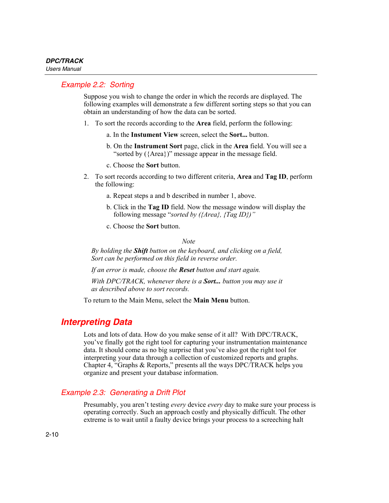## <span id="page-35-0"></span>*Example 2.2: Sorting*

Suppose you wish to change the order in which the records are displayed. The following examples will demonstrate a few different sorting steps so that you can obtain an understanding of how the data can be sorted.

- 1. To sort the records according to the **Area** field, perform the following:
	- a. In the **Instument View** screen, select the **Sort...** button.
	- b. On the **Instrument Sort** page, click in the **Area** field. You will see a "sorted by ({Area})" message appear in the message field.
	- c. Choose the **Sort** button.
- 2. To sort records according to two different criteria, **Area** and **Tag ID**, perform the following:
	- a. Repeat steps a and b described in number 1, above.
	- b. Click in the **Tag ID** field. Now the message window will display the following message "*sorted by ({Area}, {Tag ID})"*
	- c. Choose the **Sort** button.

*Note* 

*By holding the Shift button on the keyboard, and clicking on a field, Sort can be performed on this field in reverse order.* 

*If an error is made, choose the Reset button and start again.* 

*With DPC/TRACK, whenever there is a Sort... button you may use it as described above to sort records.* 

To return to the Main Menu, select the **Main Menu** button.

## *Interpreting Data*

Lots and lots of data. How do you make sense of it all? With DPC/TRACK, you've finally got the right tool for capturing your instrumentation maintenance data. It should come as no big surprise that you've also got the right tool for interpreting your data through a collection of customized reports and graphs. Chapter 4, "Graphs & Reports," presents all the ways DPC/TRACK helps you organize and present your database information.

## *Example 2.3: Generating a Drift Plot*

Presumably, you aren't testing *every* device *every* day to make sure your process is operating correctly. Such an approach costly and physically difficult. The other extreme is to wait until a faulty device brings your process to a screeching halt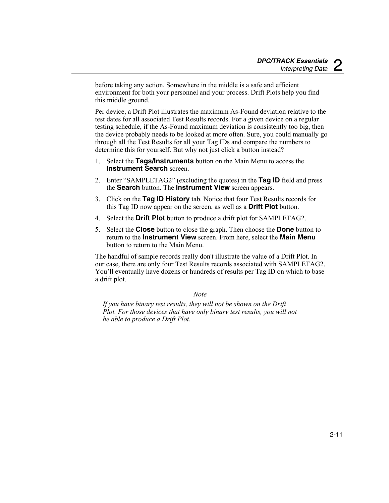before taking any action. Somewhere in the middle is a safe and efficient environment for both your personnel and your process. Drift Plots help you find this middle ground.

Per device, a Drift Plot illustrates the maximum As-Found deviation relative to the test dates for all associated Test Results records. For a given device on a regular testing schedule, if the As-Found maximum deviation is consistently too big, then the device probably needs to be looked at more often. Sure, you could manually go through all the Test Results for all your Tag IDs and compare the numbers to determine this for yourself. But why not just click a button instead?

- 1. Select the **Tags/Instruments** button on the Main Menu to access the **Instrument Search** screen.
- 2. Enter "SAMPLETAG2" (excluding the quotes) in the **Tag ID** field and press the **Search** button. The **Instrument View** screen appears.
- 3. Click on the **Tag ID History** tab. Notice that four Test Results records for this Tag ID now appear on the screen, as well as a **Drift Plot** button.
- 4. Select the **Drift Plot** button to produce a drift plot for SAMPLETAG2.
- 5. Select the **Close** button to close the graph. Then choose the **Done** button to return to the **Instrument View** screen. From here, select the **Main Menu** button to return to the Main Menu.

The handful of sample records really don't illustrate the value of a Drift Plot. In our case, there are only four Test Results records associated with SAMPLETAG2. You'll eventually have dozens or hundreds of results per Tag ID on which to base a drift plot.

#### *Note*

*If you have binary test results, they will not be shown on the Drift Plot. For those devices that have only binary test results, you will not be able to produce a Drift Plot.*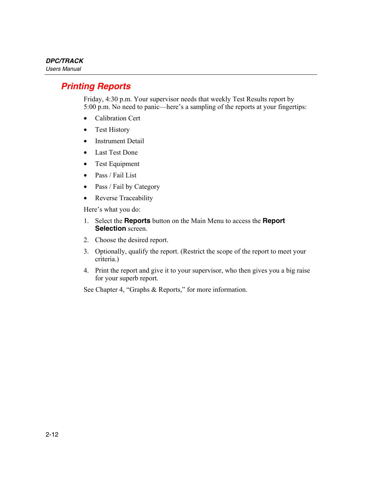# *Printing Reports*

Friday, 4:30 p.m. Your supervisor needs that weekly Test Results report by 5:00 p.m. No need to panic—here's a sampling of the reports at your fingertips:

- Calibration Cert
- Test History
- Instrument Detail
- Last Test Done
- Test Equipment
- Pass / Fail List
- Pass / Fail by Category
- Reverse Traceability

Here's what you do:

- 1. Select the **Reports** button on the Main Menu to access the **Report Selection** screen.
- 2. Choose the desired report.
- 3. Optionally, qualify the report. (Restrict the scope of the report to meet your criteria.)
- 4. Print the report and give it to your supervisor, who then gives you a big raise for your superb report.

See Chapter 4, "Graphs & Reports," for more information.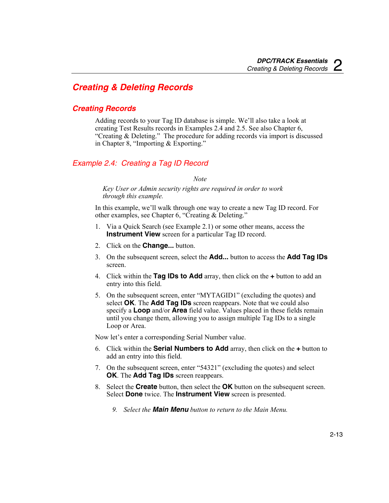# *Creating & Deleting Records*

### *Creating Records*

Adding records to your Tag ID database is simple. We'll also take a look at creating Test Results records in Examples 2.4 and 2.5. See also Chapter 6, "Creating & Deleting." The procedure for adding records via import is discussed in Chapter 8, "Importing & Exporting."

## *Example 2.4: Creating a Tag ID Record*

*Note* 

*Key User or Admin security rights are required in order to work through this example.* 

In this example, we'll walk through one way to create a new Tag ID record. For other examples, see Chapter 6, "Creating & Deleting."

- 1. Via a Quick Search (see Example 2.1) or some other means, access the **Instrument View** screen for a particular Tag ID record.
- 2. Click on the **Change...** button.
- 3. On the subsequent screen, select the **Add...** button to access the **Add Tag IDs** screen.
- 4. Click within the **Tag IDs to Add** array, then click on the **+** button to add an entry into this field.
- 5. On the subsequent screen, enter "MYTAGID1" (excluding the quotes) and select **OK**. The **Add Tag IDs** screen reappears. Note that we could also specify a **Loop** and/or **Area** field value. Values placed in these fields remain until you change them, allowing you to assign multiple Tag IDs to a single Loop or Area.

Now let's enter a corresponding Serial Number value.

- 6. Click within the **Serial Numbers to Add** array, then click on the **+** button to add an entry into this field.
- 7. On the subsequent screen, enter "54321" (excluding the quotes) and select **OK**. The **Add Tag IDs** screen reappears.
- 8. Select the **Create** button, then select the **OK** button on the subsequent screen. Select **Done** twice. The **Instrument View** screen is presented.
	- *9. Select the Main Menu button to return to the Main Menu.*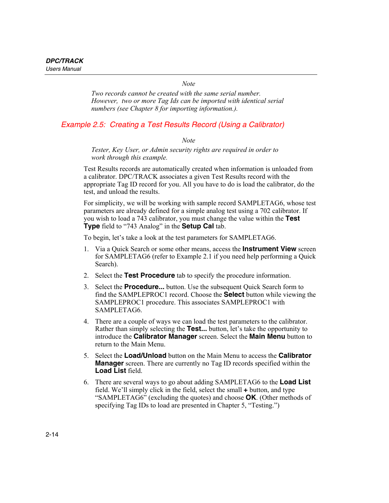*Note* 

*Two records cannot be created with the same serial number. However, two or more Tag Ids can be imported with identical serial numbers (see Chapter 8 for importing information.).* 

#### *Example 2.5: Creating a Test Results Record (Using a Calibrator)*

*Note* 

*Tester, Key User, or Admin security rights are required in order to work through this example.* 

Test Results records are automatically created when information is unloaded from a calibrator. DPC/TRACK associates a given Test Results record with the appropriate Tag ID record for you. All you have to do is load the calibrator, do the test, and unload the results.

For simplicity, we will be working with sample record SAMPLETAG6, whose test parameters are already defined for a simple analog test using a 702 calibrator. If you wish to load a 743 calibrator, you must change the value within the **Test Type** field to "743 Analog" in the **Setup Cal** tab.

To begin, let's take a look at the test parameters for SAMPLETAG6.

- 1. Via a Quick Search or some other means, access the **Instrument View** screen for SAMPLETAG6 (refer to Example 2.1 if you need help performing a Quick Search).
- 2. Select the **Test Procedure** tab to specify the procedure information.
- 3. Select the **Procedure...** button. Use the subsequent Quick Search form to find the SAMPLEPROC1 record. Choose the **Select** button while viewing the SAMPLEPROC1 procedure. This associates SAMPLEPROC1 with SAMPLETAG6.
- 4. There are a couple of ways we can load the test parameters to the calibrator. Rather than simply selecting the **Test...** button, let's take the opportunity to introduce the **Calibrator Manager** screen. Select the **Main Menu** button to return to the Main Menu.
- 5. Select the **Load/Unload** button on the Main Menu to access the **Calibrator Manager** screen. There are currently no Tag ID records specified within the **Load List** field.
- 6. There are several ways to go about adding SAMPLETAG6 to the **Load List** field. We'll simply click in the field, select the small **+** button, and type "SAMPLETAG6" (excluding the quotes) and choose **OK**. (Other methods of specifying Tag IDs to load are presented in Chapter 5, "Testing.")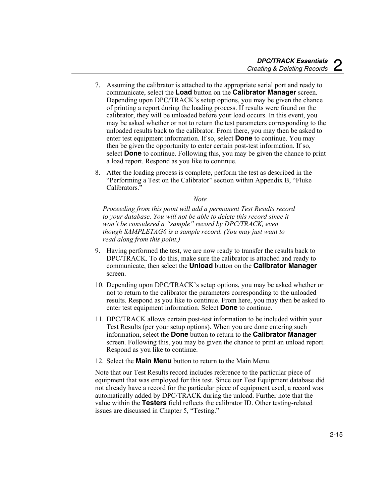- 7. Assuming the calibrator is attached to the appropriate serial port and ready to communicate, select the **Load** button on the **Calibrator Manager** screen. Depending upon DPC/TRACK's setup options, you may be given the chance of printing a report during the loading process. If results were found on the calibrator, they will be unloaded before your load occurs. In this event, you may be asked whether or not to return the test parameters corresponding to the unloaded results back to the calibrator. From there, you may then be asked to enter test equipment information. If so, select **Done** to continue. You may then be given the opportunity to enter certain post-test information. If so, select **Done** to continue. Following this, you may be given the chance to print a load report. Respond as you like to continue.
- 8. After the loading process is complete, perform the test as described in the "Performing a Test on the Calibrator" section within Appendix B, "Fluke Calibrators."

#### *Note*

*Proceeding from this point will add a permanent Test Results record to your database. You will not be able to delete this record since it won't be considered a "sample" record by DPC/TRACK, even though SAMPLETAG6 is a sample record. (You may just want to read along from this point.)* 

- 9. Having performed the test, we are now ready to transfer the results back to DPC/TRACK. To do this, make sure the calibrator is attached and ready to communicate, then select the **Unload** button on the **Calibrator Manager** screen.
- 10. Depending upon DPC/TRACK's setup options, you may be asked whether or not to return to the calibrator the parameters corresponding to the unloaded results. Respond as you like to continue. From here, you may then be asked to enter test equipment information. Select **Done** to continue.
- 11. DPC/TRACK allows certain post-test information to be included within your Test Results (per your setup options). When you are done entering such information, select the **Done** button to return to the **Calibrator Manager** screen. Following this, you may be given the chance to print an unload report. Respond as you like to continue.
- 12. Select the **Main Menu** button to return to the Main Menu.

Note that our Test Results record includes reference to the particular piece of equipment that was employed for this test. Since our Test Equipment database did not already have a record for the particular piece of equipment used, a record was automatically added by DPC/TRACK during the unload. Further note that the value within the **Testers** field reflects the calibrator ID. Other testing-related issues are discussed in Chapter 5, "Testing."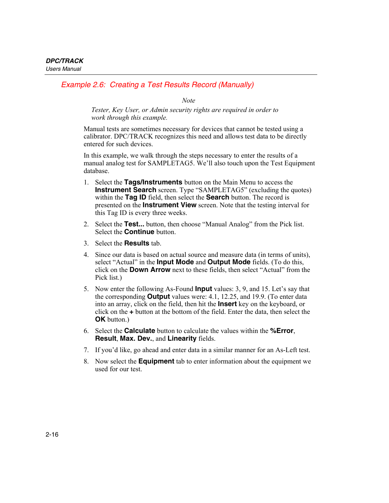## *Example 2.6: Creating a Test Results Record (Manually)*

*Note* 

*Tester, Key User, or Admin security rights are required in order to work through this example.* 

Manual tests are sometimes necessary for devices that cannot be tested using a calibrator. DPC/TRACK recognizes this need and allows test data to be directly entered for such devices.

In this example, we walk through the steps necessary to enter the results of a manual analog test for SAMPLETAG5. We'll also touch upon the Test Equipment database.

- 1. Select the **Tags/Instruments** button on the Main Menu to access the **Instrument Search** screen. Type "SAMPLETAG5" (excluding the quotes) within the **Tag ID** field, then select the **Search** button. The record is presented on the **Instrument View** screen. Note that the testing interval for this Tag ID is every three weeks.
- 2. Select the **Test...** button, then choose "Manual Analog" from the Pick list. Select the **Continue** button.
- 3. Select the **Results** tab.
- 4. Since our data is based on actual source and measure data (in terms of units), select "Actual" in the **Input Mode** and **Output Mode** fields. (To do this, click on the **Down Arrow** next to these fields, then select "Actual" from the Pick list.)
- 5. Now enter the following As-Found **Input** values: 3, 9, and 15. Let's say that the corresponding **Output** values were: 4.1, 12.25, and 19.9. (To enter data into an array, click on the field, then hit the **Insert** key on the keyboard, or click on the **+** button at the bottom of the field. Enter the data, then select the **OK** button.)
- 6. Select the **Calculate** button to calculate the values within the **%Error**, **Result**, **Max. Dev.**, and **Linearity** fields.
- 7. If you'd like, go ahead and enter data in a similar manner for an As-Left test.
- 8. Now select the **Equipment** tab to enter information about the equipment we used for our test.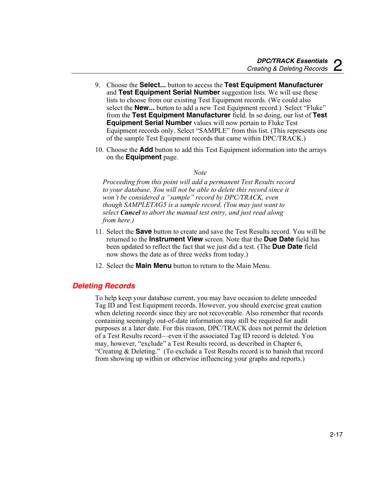- 9. Choose the **Select...** button to access the **Test Equipment Manufacturer** and **Test Equipment Serial Number** suggestion lists. We will use these lists to choose from our existing Test Equipment records. (We could also select the **New...** button to add a new Test Equipment record.) Select "Fluke" from the **Test Equipment Manufacturer** field. In so doing, our list of **Test Equipment Serial Number** values will now pertain to Fluke Test Equipment records only. Select "SAMPLE" from this list. (This represents one of the sample Test Equipment records that came within DPC/TRACK.)
- 10. Choose the **Add** button to add this Test Equipment information into the arrays on the **Equipment** page.

#### *Note*

*Proceeding from this point will add a permanent Test Results record to your database. You will not be able to delete this record since it won't be considered a "sample" record by DPC/TRACK, even though SAMPLETAG5 is a sample record. (You may just want to select Cancel to abort the manual test entry, and just read along from here.)* 

- 11. Select the **Save** button to create and save the Test Results record. You will be returned to the **Instrument View** screen. Note that the **Due Date** field has been updated to reflect the fact that we just did a test. (The **Due Date** field now shows the date as of three weeks from today.)
- 12. Select the **Main Menu** button to return to the Main Menu.

#### *Deleting Records*

To help keep your database current, you may have occasion to delete unneeded Tag ID and Test Equipment records. However, you should exercise great caution when deleting records since they are not recoverable. Also remember that records containing seemingly out-of-date information may still be required for audit purposes at a later date. For this reason, DPC/TRACK does not permit the deletion of a Test Results record—even if the associated Tag ID record is deleted. You may, however, "exclude" a Test Results record, as described in Chapter 6, "Creating & Deleting." (To exclude a Test Results record is to banish that record from showing up within or otherwise influencing your graphs and reports.)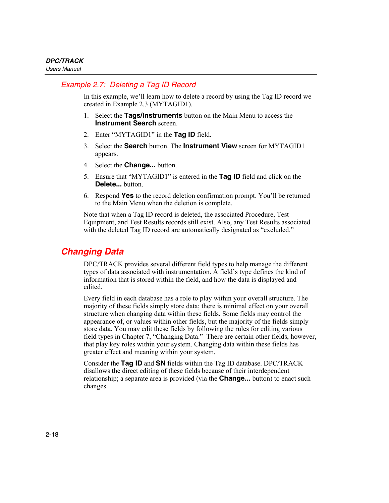## *Example 2.7: Deleting a Tag ID Record*

In this example, we'll learn how to delete a record by using the Tag ID record we created in Example 2.3 (MYTAGID1).

- 1. Select the **Tags/Instruments** button on the Main Menu to access the **Instrument Search** screen.
- 2. Enter "MYTAGID1" in the **Tag ID** field.
- 3. Select the **Search** button. The **Instrument View** screen for MYTAGID1 appears.
- 4. Select the **Change...** button.
- 5. Ensure that "MYTAGID1" is entered in the **Tag ID** field and click on the **Delete...** button.
- 6. Respond **Yes** to the record deletion confirmation prompt. You'll be returned to the Main Menu when the deletion is complete.

Note that when a Tag ID record is deleted, the associated Procedure, Test Equipment, and Test Results records still exist. Also, any Test Results associated with the deleted Tag ID record are automatically designated as "excluded."

# *Changing Data*

DPC/TRACK provides several different field types to help manage the different types of data associated with instrumentation. A field's type defines the kind of information that is stored within the field, and how the data is displayed and edited.

Every field in each database has a role to play within your overall structure. The majority of these fields simply store data; there is minimal effect on your overall structure when changing data within these fields. Some fields may control the appearance of, or values within other fields, but the majority of the fields simply store data. You may edit these fields by following the rules for editing various field types in Chapter 7, "Changing Data." There are certain other fields, however, that play key roles within your system. Changing data within these fields has greater effect and meaning within your system.

Consider the **Tag ID** and **SN** fields within the Tag ID database. DPC/TRACK disallows the direct editing of these fields because of their interdependent relationship; a separate area is provided (via the **Change...** button) to enact such changes.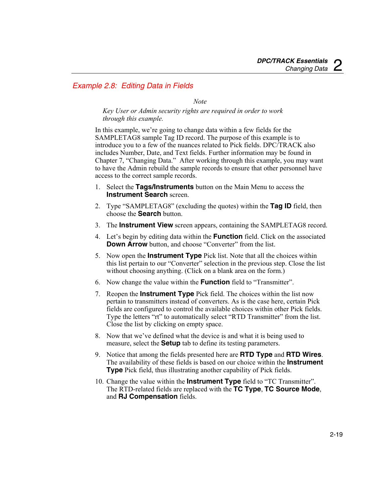#### *Example 2.8: Editing Data in Fields*

#### *Note*

*Key User or Admin security rights are required in order to work through this example.* 

In this example, we're going to change data within a few fields for the SAMPLETAG8 sample Tag ID record. The purpose of this example is to introduce you to a few of the nuances related to Pick fields. DPC/TRACK also includes Number, Date, and Text fields. Further information may be found in Chapter 7, "Changing Data." After working through this example, you may want to have the Admin rebuild the sample records to ensure that other personnel have access to the correct sample records.

- 1. Select the **Tags/Instruments** button on the Main Menu to access the **Instrument Search** screen.
- 2. Type "SAMPLETAG8" (excluding the quotes) within the **Tag ID** field, then choose the **Search** button.
- 3. The **Instrument View** screen appears, containing the SAMPLETAG8 record.
- 4. Let's begin by editing data within the **Function** field. Click on the associated **Down Arrow** button, and choose "Converter" from the list.
- 5. Now open the **Instrument Type** Pick list. Note that all the choices within this list pertain to our "Converter" selection in the previous step. Close the list without choosing anything. (Click on a blank area on the form.)
- 6. Now change the value within the **Function** field to "Transmitter".
- 7. Reopen the **Instrument Type** Pick field. The choices within the list now pertain to transmitters instead of converters. As is the case here, certain Pick fields are configured to control the available choices within other Pick fields. Type the letters "rt" to automatically select "RTD Transmitter" from the list. Close the list by clicking on empty space.
- 8. Now that we've defined what the device is and what it is being used to measure, select the **Setup** tab to define its testing parameters.
- 9. Notice that among the fields presented here are **RTD Type** and **RTD Wires**. The availability of these fields is based on our choice within the **Instrument Type** Pick field, thus illustrating another capability of Pick fields.
- 10. Change the value within the **Instrument Type** field to "TC Transmitter". The RTD-related fields are replaced with the **TC Type**, **TC Source Mode**, and **RJ Compensation** fields.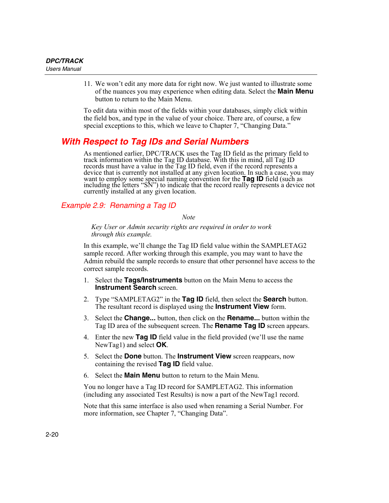11. We won't edit any more data for right now. We just wanted to illustrate some of the nuances you may experience when editing data. Select the **Main Menu** button to return to the Main Menu.

To edit data within most of the fields within your databases, simply click within the field box, and type in the value of your choice. There are, of course, a few special exceptions to this, which we leave to Chapter 7, "Changing Data."

# *With Respect to Tag IDs and Serial Numbers*

As mentioned earlier, DPC/TRACK uses the Tag ID field as the primary field to track information within the Tag ID database. With this in mind, all Tag ID records must have a value in the Tag ID field, even if the record represents a device that is currently not installed at any given location. In such a case, you may want to employ some special naming convention for the **Tag ID** field (such as including the letters "SN") to indicate that the record really represents a device not currently installed at any given location.

#### *Example 2.9: Renaming a Tag ID*

*Note* 

*Key User or Admin security rights are required in order to work through this example.* 

In this example, we'll change the Tag ID field value within the SAMPLETAG2 sample record. After working through this example, you may want to have the Admin rebuild the sample records to ensure that other personnel have access to the correct sample records.

- 1. Select the **Tags/Instruments** button on the Main Menu to access the **Instrument Search** screen.
- 2. Type "SAMPLETAG2" in the **Tag ID** field, then select the **Search** button. The resultant record is displayed using the **Instrument View** form.
- 3. Select the **Change...** button, then click on the **Rename...** button within the Tag ID area of the subsequent screen. The **Rename Tag ID** screen appears.
- 4. Enter the new **Tag ID** field value in the field provided (we'll use the name NewTag1) and select **OK**.
- 5. Select the **Done** button. The **Instrument View** screen reappears, now containing the revised **Tag ID** field value.
- 6. Select the **Main Menu** button to return to the Main Menu.

You no longer have a Tag ID record for SAMPLETAG2. This information (including any associated Test Results) is now a part of the NewTag1 record.

Note that this same interface is also used when renaming a Serial Number. For more information, see Chapter 7, "Changing Data".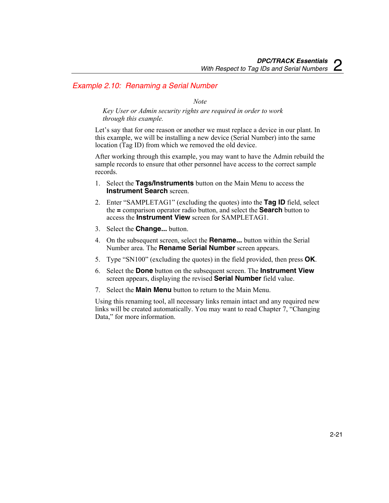#### *Example 2.10: Renaming a Serial Number*

*Note* 

*Key User or Admin security rights are required in order to work through this example.* 

Let's say that for one reason or another we must replace a device in our plant. In this example, we will be installing a new device (Serial Number) into the same location (Tag ID) from which we removed the old device.

After working through this example, you may want to have the Admin rebuild the sample records to ensure that other personnel have access to the correct sample records.

- 1. Select the **Tags/Instruments** button on the Main Menu to access the **Instrument Search** screen.
- 2. Enter "SAMPLETAG1" (excluding the quotes) into the **Tag ID** field, select the **=** comparison operator radio button, and select the **Search** button to access the **Instrument View** screen for SAMPLETAG1.
- 3. Select the **Change...** button.
- 4. On the subsequent screen, select the **Rename...** button within the Serial Number area. The **Rename Serial Number** screen appears.
- 5. Type "SN100" (excluding the quotes) in the field provided, then press **OK**.
- 6. Select the **Done** button on the subsequent screen. The **Instrument View** screen appears, displaying the revised **Serial Number** field value.
- 7. Select the **Main Menu** button to return to the Main Menu.

Using this renaming tool, all necessary links remain intact and any required new links will be created automatically. You may want to read Chapter 7, "Changing Data," for more information.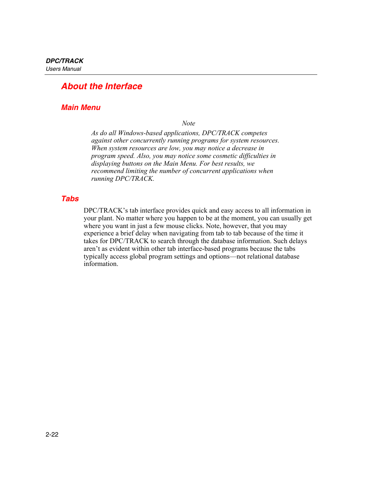# *About the Interface*

## *Main Menu*

*Note* 

*As do all Windows-based applications, DPC/TRACK competes against other concurrently running programs for system resources. When system resources are low, you may notice a decrease in program speed. Also, you may notice some cosmetic difficulties in displaying buttons on the Main Menu. For best results, we recommend limiting the number of concurrent applications when running DPC/TRACK.* 

#### *Tabs*

DPC/TRACK's tab interface provides quick and easy access to all information in your plant. No matter where you happen to be at the moment, you can usually get where you want in just a few mouse clicks. Note, however, that you may experience a brief delay when navigating from tab to tab because of the time it takes for DPC/TRACK to search through the database information. Such delays aren't as evident within other tab interface-based programs because the tabs typically access global program settings and options—not relational database information.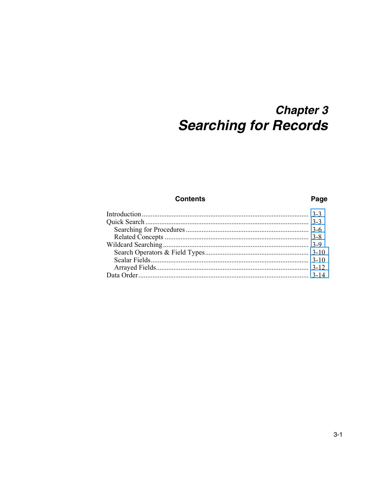# **Chapter 3 Searching for Records**

#### **Contents**

#### Page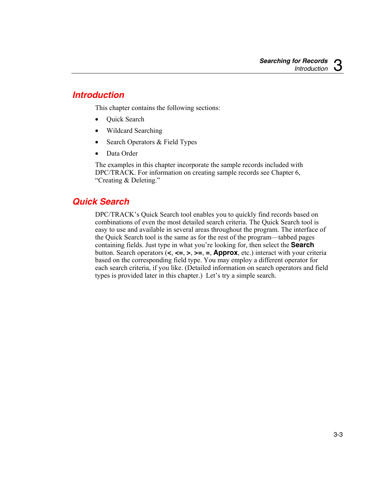# <span id="page-50-0"></span>*Introduction*

This chapter contains the following sections:

- Quick Search
- Wildcard Searching
- Search Operators & Field Types
- Data Order

The examples in this chapter incorporate the sample records included with DPC/TRACK. For information on creating sample records see Chapter 6, "Creating & Deleting."

# *Quick Search*

DPC/TRACK's Quick Search tool enables you to quickly find records based on combinations of even the most detailed search criteria. The Quick Search tool is easy to use and available in several areas throughout the program. The interface of the Quick Search tool is the same as for the rest of the program—tabbed pages containing fields. Just type in what you're looking for, then select the **Search** button. Search operators (**<**, **<=**, **>**, **>=**, **=**, **Approx**, etc.) interact with your criteria based on the corresponding field type. You may employ a different operator for each search criteria, if you like. (Detailed information on search operators and field types is provided later in this chapter.) Let's try a simple search.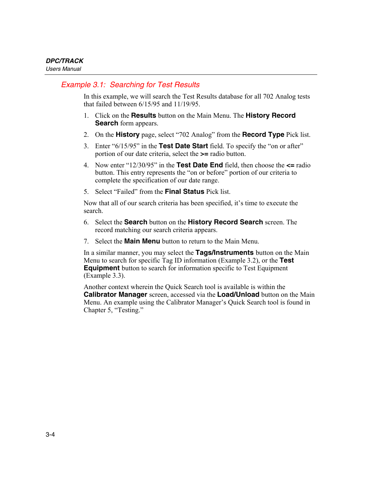## *Example 3.1: Searching for Test Results*

In this example, we will search the Test Results database for all 702 Analog tests that failed between 6/15/95 and 11/19/95.

- 1. Click on the **Results** button on the Main Menu. The **History Record Search** form appears.
- 2. On the **History** page, select "702 Analog" from the **Record Type** Pick list.
- 3. Enter "6/15/95" in the **Test Date Start** field. To specify the "on or after" portion of our date criteria, select the **>=** radio button.
- 4. Now enter "12/30/95" in the **Test Date End** field, then choose the **<=** radio button. This entry represents the "on or before" portion of our criteria to complete the specification of our date range.
- 5. Select "Failed" from the **Final Status** Pick list.

Now that all of our search criteria has been specified, it's time to execute the search.

- 6. Select the **Search** button on the **History Record Search** screen. The record matching our search criteria appears.
- 7. Select the **Main Menu** button to return to the Main Menu.

In a similar manner, you may select the **Tags/Instruments** button on the Main Menu to search for specific Tag ID information (Example 3.2), or the **Test Equipment** button to search for information specific to Test Equipment (Example 3.3).

Another context wherein the Quick Search tool is available is within the **Calibrator Manager** screen, accessed via the **Load/Unload** button on the Main Menu. An example using the Calibrator Manager's Quick Search tool is found in Chapter 5, "Testing."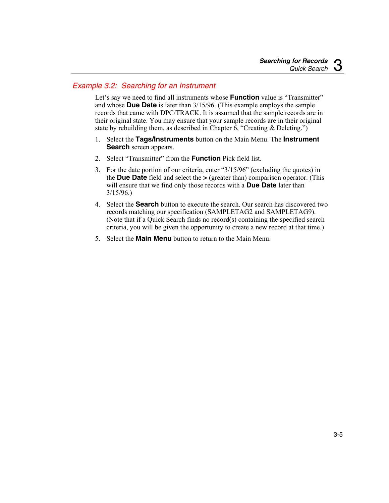## *Example 3.2: Searching for an Instrument*

Let's say we need to find all instruments whose **Function** value is "Transmitter" and whose **Due Date** is later than 3/15/96. (This example employs the sample records that came with DPC/TRACK. It is assumed that the sample records are in their original state. You may ensure that your sample records are in their original state by rebuilding them, as described in Chapter  $6$ , "Creating & Deleting.")

- 1. Select the **Tags/Instruments** button on the Main Menu. The **Instrument Search** screen appears.
- 2. Select "Transmitter" from the **Function** Pick field list.
- 3. For the date portion of our criteria, enter "3/15/96" (excluding the quotes) in the **Due Date** field and select the **>** (greater than) comparison operator. (This will ensure that we find only those records with a **Due Date** later than 3/15/96.)
- 4. Select the **Search** button to execute the search. Our search has discovered two records matching our specification (SAMPLETAG2 and SAMPLETAG9). (Note that if a Quick Search finds no record(s) containing the specified search criteria, you will be given the opportunity to create a new record at that time.)
- 5. Select the **Main Menu** button to return to the Main Menu.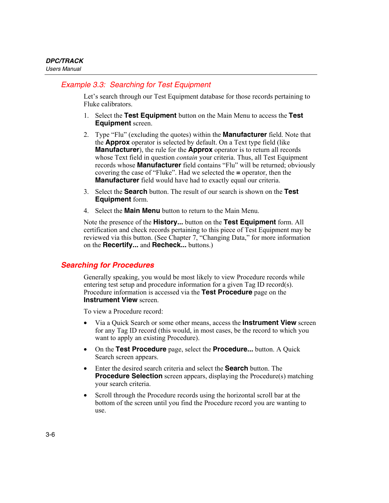## <span id="page-53-0"></span>*Example 3.3: Searching for Test Equipment*

Let's search through our Test Equipment database for those records pertaining to Fluke calibrators.

- 1. Select the **Test Equipment** button on the Main Menu to access the **Test Equipment** screen.
- 2. Type "Flu" (excluding the quotes) within the **Manufacturer** field. Note that the **Approx** operator is selected by default. On a Text type field (like **Manufacturer**), the rule for the **Approx** operator is to return all records whose Text field in question *contain* your criteria. Thus, all Test Equipment records whose **Manufacturer** field contains "Flu" will be returned; obviously covering the case of "Fluke". Had we selected the **=** operator, then the **Manufacturer** field would have had to exactly equal our criteria.
- 3. Select the **Search** button. The result of our search is shown on the **Test Equipment** form.
- 4. Select the **Main Menu** button to return to the Main Menu.

Note the presence of the **History...** button on the **Test Equipment** form. All certification and check records pertaining to this piece of Test Equipment may be reviewed via this button. (See Chapter 7, "Changing Data," for more information on the **Recertify...** and **Recheck...** buttons.)

#### *Searching for Procedures*

Generally speaking, you would be most likely to view Procedure records while entering test setup and procedure information for a given Tag ID record(s). Procedure information is accessed via the **Test Procedure** page on the **Instrument View screen.** 

To view a Procedure record:

- Via a Quick Search or some other means, access the **Instrument View** screen for any Tag ID record (this would, in most cases, be the record to which you want to apply an existing Procedure).
- On the **Test Procedure** page, select the **Procedure...** button. A Quick Search screen appears.
- Enter the desired search criteria and select the **Search** button. The **Procedure Selection** screen appears, displaying the Procedure(s) matching your search criteria.
- Scroll through the Procedure records using the horizontal scroll bar at the bottom of the screen until you find the Procedure record you are wanting to use.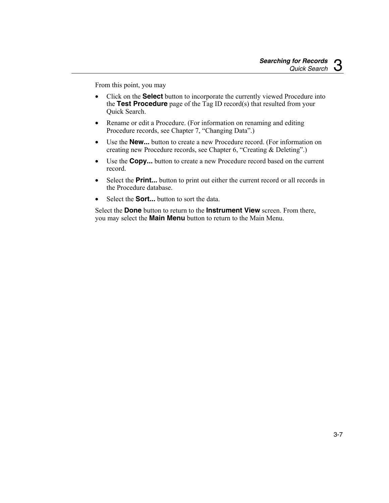From this point, you may

- Click on the **Select** button to incorporate the currently viewed Procedure into the **Test Procedure** page of the Tag ID record(s) that resulted from your Quick Search.
- Rename or edit a Procedure. (For information on renaming and editing Procedure records, see Chapter 7, "Changing Data".)
- Use the **New...** button to create a new Procedure record. (For information on creating new Procedure records, see Chapter 6, "Creating & Deleting".)
- Use the **Copy...** button to create a new Procedure record based on the current record.
- Select the **Print...** button to print out either the current record or all records in the Procedure database.
- Select the **Sort...** button to sort the data.

Select the **Done** button to return to the **Instrument View** screen. From there, you may select the **Main Menu** button to return to the Main Menu.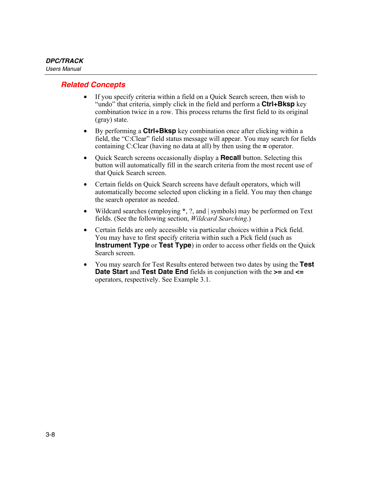## <span id="page-55-0"></span>*Related Concepts*

- If you specify criteria within a field on a Quick Search screen, then wish to "undo" that criteria, simply click in the field and perform a **Ctrl+Bksp** key combination twice in a row. This process returns the first field to its original (gray) state.
- By performing a **Ctrl+Bksp** key combination once after clicking within a field, the "C:Clear" field status message will appear. You may search for fields containing C:Clear (having no data at all) by then using the **=** operator.
- Quick Search screens occasionally display a **Recall** button. Selecting this button will automatically fill in the search criteria from the most recent use of that Quick Search screen.
- Certain fields on Quick Search screens have default operators, which will automatically become selected upon clicking in a field. You may then change the search operator as needed.
- Wildcard searches (employing  $\ast$ , ?, and | symbols) may be performed on Text fields. (See the following section, *Wildcard Searching*.)
- Certain fields are only accessible via particular choices within a Pick field. You may have to first specify criteria within such a Pick field (such as **Instrument Type** or **Test Type**) in order to access other fields on the Quick Search screen.
- You may search for Test Results entered between two dates by using the **Test Date Start** and **Test Date End** fields in conjunction with the **>=** and **<=** operators, respectively. See Example 3.1.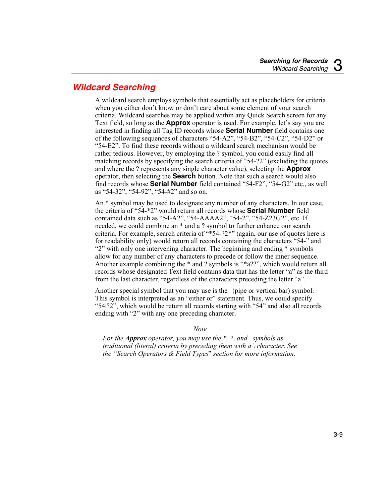# <span id="page-56-0"></span>*Wildcard Searching*

A wildcard search employs symbols that essentially act as placeholders for criteria when you either don't know or don't care about some element of your search criteria. Wildcard searches may be applied within any Quick Search screen for any Text field, so long as the **Approx** operator is used. For example, let's say you are interested in finding all Tag ID records whose **Serial Number** field contains one of the following sequences of characters "54-A2", "54-B2", "54-C2", "54-D2" or "54-E2". To find these records without a wildcard search mechanism would be rather tedious. However, by employing the ? symbol, you could easily find all matching records by specifying the search criteria of "54-?2" (excluding the quotes and where the ? represents any single character value), selecting the **Approx** operator, then selecting the **Search** button. Note that such a search would also find records whose **Serial Number** field contained "54-F2", "54-G2" etc., as well as "54-32", "54-92", "54-#2" and so on.

An \* symbol may be used to designate any number of any characters. In our case, the criteria of "54-\*2" would return all records whose **Serial Number** field contained data such as "54-A2", "54-AAAA2", "54-2", "54-Z23G2", etc. If needed, we could combine an \* and a ? symbol to further enhance our search criteria. For example, search criteria of "\*54-?2\*" (again, our use of quotes here is for readability only) would return all records containing the characters "54-" and "2" with only one intervening character. The beginning and ending \* symbols allow for any number of any characters to precede or follow the inner sequence. Another example combining the \* and ? symbols is "\*a??", which would return all records whose designated Text field contains data that has the letter "a" as the third from the last character, regardless of the characters preceding the letter "a".

Another special symbol that you may use is the | (pipe or vertical bar) symbol. This symbol is interpreted as an "either or" statement. Thus, we could specify "54|?2", which would be return all records starting with "54" and also all records ending with "2" with any one preceding character.

#### *Note*

*For the Approx operator, you may use the \*, ?, and | symbols as traditional (literal) criteria by preceding them with a \ character. See the "Search Operators & Field Types*" *section for more information.*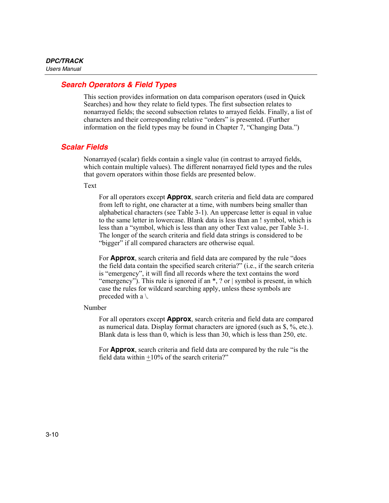## <span id="page-57-0"></span>*Search Operators & Field Types*

This section provides information on data comparison operators (used in Quick Searches) and how they relate to field types. The first subsection relates to nonarrayed fields; the second subsection relates to arrayed fields. Finally, a list of characters and their corresponding relative "orders" is presented. (Further information on the field types may be found in Chapter 7, "Changing Data.")

## *Scalar Fields*

Nonarrayed (scalar) fields contain a single value (in contrast to arrayed fields, which contain multiple values). The different nonarrayed field types and the rules that govern operators within those fields are presented below.

Text

For all operators except **Approx**, search criteria and field data are compared from left to right, one character at a time, with numbers being smaller than alphabetical characters (see Table 3-1). An uppercase letter is equal in value to the same letter in lowercase. Blank data is less than an ! symbol, which is less than a "symbol, which is less than any other Text value, per Table 3-1. The longer of the search criteria and field data strings is considered to be "bigger" if all compared characters are otherwise equal.

For **Approx**, search criteria and field data are compared by the rule "does the field data contain the specified search criteria?" (i.e., if the search criteria is "emergency", it will find all records where the text contains the word "emergency"). This rule is ignored if an \*, ? or | symbol is present, in which case the rules for wildcard searching apply, unless these symbols are preceded with a \.

Number

For all operators except **Approx**, search criteria and field data are compared as numerical data. Display format characters are ignored (such as \$, %, etc.). Blank data is less than 0, which is less than 30, which is less than 250, etc.

For **Approx**, search criteria and field data are compared by the rule "is the field data within  $\pm 10\%$  of the search criteria?"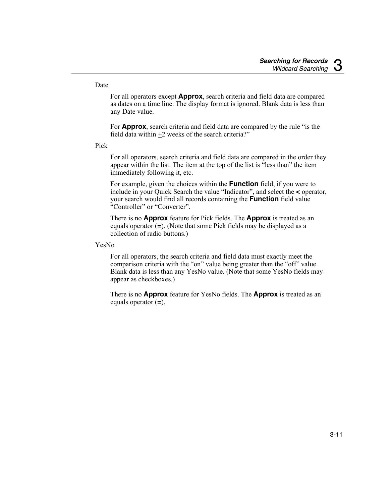#### Date

For all operators except **Approx**, search criteria and field data are compared as dates on a time line. The display format is ignored. Blank data is less than any Date value.

For **Approx**, search criteria and field data are compared by the rule "is the field data within  $+2$  weeks of the search criteria?"

Pick

For all operators, search criteria and field data are compared in the order they appear within the list. The item at the top of the list is "less than" the item immediately following it, etc.

For example, given the choices within the **Function** field, if you were to include in your Quick Search the value "Indicator", and select the **<** operator, your search would find all records containing the **Function** field value "Controller" or "Converter".

There is no **Approx** feature for Pick fields. The **Approx** is treated as an equals operator (**=**). (Note that some Pick fields may be displayed as a collection of radio buttons.)

YesNo

For all operators, the search criteria and field data must exactly meet the comparison criteria with the "on" value being greater than the "off" value. Blank data is less than any YesNo value. (Note that some YesNo fields may appear as checkboxes.)

There is no **Approx** feature for YesNo fields. The **Approx** is treated as an equals operator (**=**).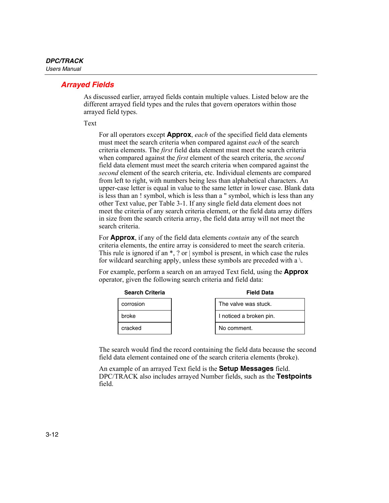## <span id="page-59-0"></span>*Arrayed Fields*

As discussed earlier, arrayed fields contain multiple values. Listed below are the different arrayed field types and the rules that govern operators within those arrayed field types.

Text

For all operators except **Approx**, *each* of the specified field data elements must meet the search criteria when compared against *each* of the search criteria elements. The *first* field data element must meet the search criteria when compared against the *first* element of the search criteria, the *second* field data element must meet the search criteria when compared against the *second* element of the search criteria, etc. Individual elements are compared from left to right, with numbers being less than alphabetical characters. An upper-case letter is equal in value to the same letter in lower case. Blank data is less than an ! symbol, which is less than a " symbol, which is less than any other Text value, per Table 3-1. If any single field data element does not meet the criteria of any search criteria element, or the field data array differs in size from the search criteria array, the field data array will not meet the search criteria.

For **Approx**, if any of the field data elements *contain* any of the search criteria elements, the entire array is considered to meet the search criteria. This rule is ignored if an \*, ? or | symbol is present, in which case the rules for wildcard searching apply, unless these symbols are preceded with a  $\lambda$ .

For example, perform a search on an arrayed Text field, using the **Approx** operator, given the following search criteria and field data:



The search would find the record containing the field data because the second field data element contained one of the search criteria elements (broke).

An example of an arrayed Text field is the **Setup Messages** field. DPC/TRACK also includes arrayed Number fields, such as the **Testpoints** field.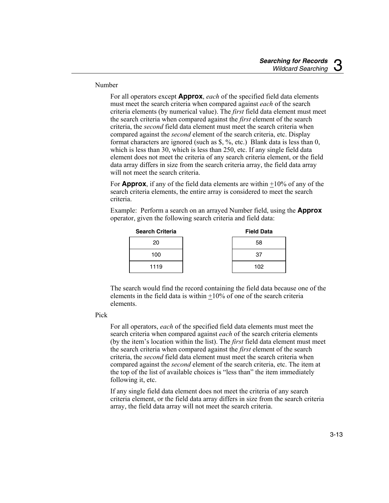Number

For all operators except **Approx**, *each* of the specified field data elements must meet the search criteria when compared against *each* of the search criteria elements (by numerical value). The *first* field data element must meet the search criteria when compared against the *first* element of the search criteria, the *second* field data element must meet the search criteria when compared against the *second* element of the search criteria, etc. Display format characters are ignored (such as \$, %, etc.) Blank data is less than 0, which is less than 30, which is less than 250, etc. If any single field data element does not meet the criteria of any search criteria element, or the field data array differs in size from the search criteria array, the field data array will not meet the search criteria.

For **Approx**, if any of the field data elements are within +10% of any of the search criteria elements, the entire array is considered to meet the search criteria.

Example: Perform a search on an arrayed Number field, using the **Approx** operator, given the following search criteria and field data:

| <b>Search Criteria</b> | <b>Field Data</b> |
|------------------------|-------------------|
| 20                     | 58                |
| 100                    | 37                |
| 1119                   | 102               |

The search would find the record containing the field data because one of the elements in the field data is within  $+10\%$  of one of the search criteria elements.

#### Pick

For all operators, *each* of the specified field data elements must meet the search criteria when compared against *each* of the search criteria elements (by the item's location within the list). The *first* field data element must meet the search criteria when compared against the *first* element of the search criteria, the *second* field data element must meet the search criteria when compared against the *second* element of the search criteria, etc. The item at the top of the list of available choices is "less than" the item immediately following it, etc.

If any single field data element does not meet the criteria of any search criteria element, or the field data array differs in size from the search criteria array, the field data array will not meet the search criteria.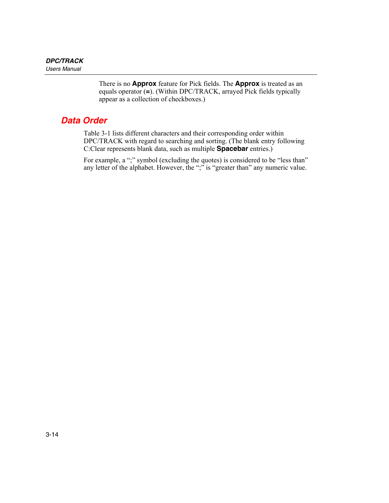There is no **Approx** feature for Pick fields. The **Approx** is treated as an equals operator (**=**). (Within DPC/TRACK, arrayed Pick fields typically appear as a collection of checkboxes.)

# <span id="page-61-0"></span>*Data Order*

Table 3-1 lists different characters and their corresponding order within DPC/TRACK with regard to searching and sorting. (The blank entry following C:Clear represents blank data, such as multiple **Spacebar** entries.)

For example, a ";" symbol (excluding the quotes) is considered to be "less than" any letter of the alphabet. However, the ";" is "greater than" any numeric value.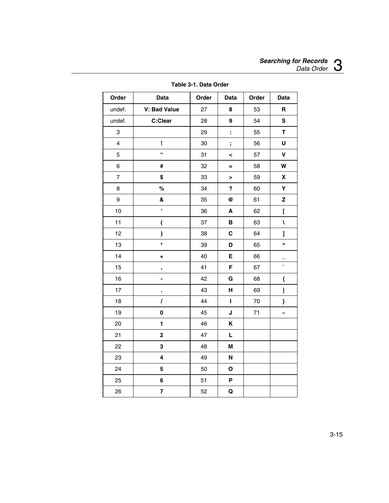| Order          | Data                     | Order | Data         | Order | Data                    |
|----------------|--------------------------|-------|--------------|-------|-------------------------|
| undef.         | V: Bad Value             | 27    | 8            | 53    | $\mathbf R$             |
| undef.         | C:Clear                  | 28    | 9            | 54    | S                       |
| 3              |                          | 29    | t,           | 55    | T                       |
| $\overline{4}$ | Ţ                        | 30    | $\mathbf{.}$ | 56    | U                       |
| 5              | $\mathbf{a}$             | 31    | <            | 57    | $\mathbf V$             |
| 6              | #                        | 32    | $=$          | 58    | W                       |
| $\overline{7}$ | \$                       | 33    | $\,$         | 59    | X                       |
| 8              | $\%$                     | 34    | ?            | 60    | Υ                       |
| 9              | &                        | 35    | @            | 61    | Z                       |
| 10             | $\pmb{\epsilon}$         | 36    | A            | 62    | ſ                       |
| 11             | $\overline{\mathcal{L}}$ | 37    | в            | 63    | $\overline{\mathbf{A}}$ |
| 12             | $\lambda$                | 38    | C            | 64    | l                       |
| 13             | $\star$                  | 39    | D            | 65    | ٨                       |
| 14             | ÷                        | 40    | Е            | 66    |                         |
| 15             | ,                        | 41    | F            | 67    | $\ddot{\phantom{0}}$    |
| 16             | ÷,                       | 42    | G            | 68    | {                       |
| 17             |                          | 43    | н            | 69    | I                       |
| 18             | $\overline{I}$           | 44    | $\mathbf{I}$ | 70    | ł                       |
| 19             | 0                        | 45    | J            | 71    | $\ddot{\phantom{0}}$    |
| 20             | $\blacksquare$           | 46    | K            |       |                         |
| 21             | $\mathbf 2$              | 47    | Г            |       |                         |
| 22             | 3                        | 48    | M            |       |                         |
| 23             | 4                        | 49    | N            |       |                         |
| 24             | 5                        | 50    | $\mathbf{o}$ |       |                         |
| 25             | 6                        | 51    | P            |       |                         |
| 26             | $\overline{\mathbf{r}}$  | 52    | Q            |       |                         |

**Table 3-1. Data Order**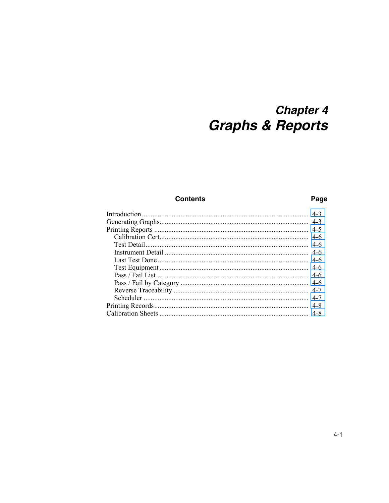# **Chapter 4 Graphs & Reports**

#### **Contents**

#### Page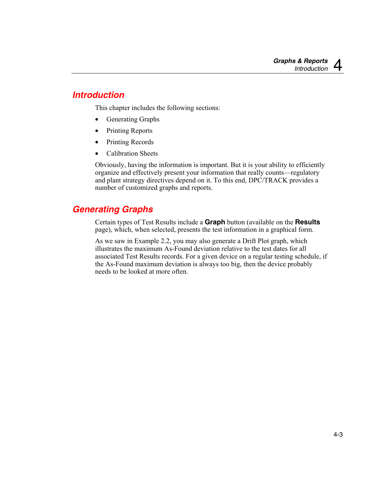# <span id="page-66-0"></span>*Introduction*

This chapter includes the following sections:

- Generating Graphs
- Printing Reports
- Printing Records
- Calibration Sheets

Obviously, having the information is important. But it is your ability to efficiently organize and effectively present your information that really counts—regulatory and plant strategy directives depend on it. To this end, DPC/TRACK provides a number of customized graphs and reports.

# *Generating Graphs*

Certain types of Test Results include a **Graph** button (available on the **Results** page), which, when selected, presents the test information in a graphical form.

As we saw in Example 2.2, you may also generate a Drift Plot graph, which illustrates the maximum As-Found deviation relative to the test dates for all associated Test Results records. For a given device on a regular testing schedule, if the As-Found maximum deviation is always too big, then the device probably needs to be looked at more often.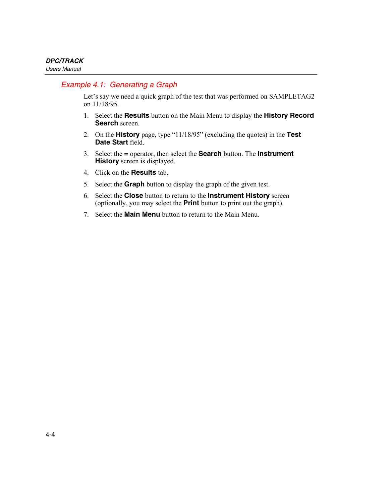### *Example 4.1: Generating a Graph*

Let's say we need a quick graph of the test that was performed on SAMPLETAG2 on 11/18/95.

- 1. Select the **Results** button on the Main Menu to display the **History Record Search** screen.
- 2. On the **History** page, type "11/18/95" (excluding the quotes) in the **Test Date Start** field.
- 3. Select the **=** operator, then select the **Search** button. The **Instrument History** screen is displayed.
- 4. Click on the **Results** tab.
- 5. Select the **Graph** button to display the graph of the given test.
- 6. Select the **Close** button to return to the **Instrument History** screen (optionally, you may select the **Print** button to print out the graph).
- 7. Select the **Main Menu** button to return to the Main Menu.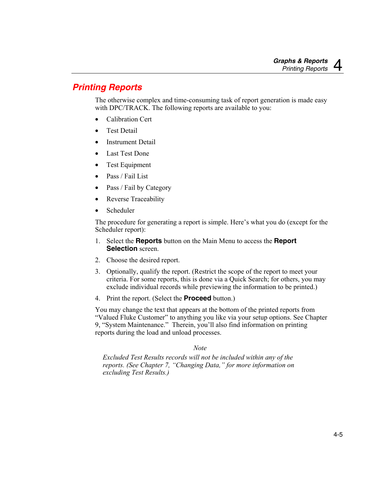# <span id="page-68-0"></span>*Printing Reports*

The otherwise complex and time-consuming task of report generation is made easy with DPC/TRACK. The following reports are available to you:

- Calibration Cert
- **Test Detail**
- Instrument Detail
- Last Test Done
- Test Equipment
- Pass / Fail List
- Pass / Fail by Category
- Reverse Traceability
- Scheduler

The procedure for generating a report is simple. Here's what you do (except for the Scheduler report):

- 1. Select the **Reports** button on the Main Menu to access the **Report Selection** screen.
- 2. Choose the desired report.
- 3. Optionally, qualify the report. (Restrict the scope of the report to meet your criteria. For some reports, this is done via a Quick Search; for others, you may exclude individual records while previewing the information to be printed.)
- 4. Print the report. (Select the **Proceed** button.)

You may change the text that appears at the bottom of the printed reports from "Valued Fluke Customer" to anything you like via your setup options. See Chapter 9, "System Maintenance." Therein, you'll also find information on printing reports during the load and unload processes.

#### *Note*

*Excluded Test Results records will not be included within any of the reports. (See Chapter 7, "Changing Data," for more information on excluding Test Results.)*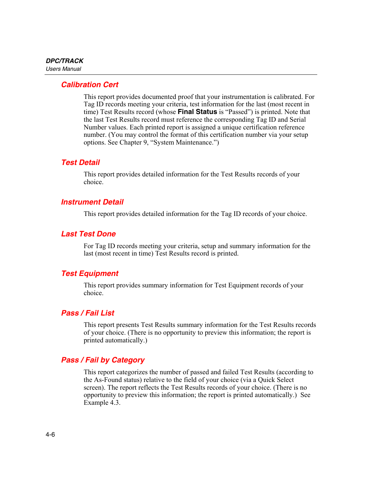## <span id="page-69-0"></span>*Calibration Cert*

This report provides documented proof that your instrumentation is calibrated. For Tag ID records meeting your criteria, test information for the last (most recent in time) Test Results record (whose **Final Status** is "Passed") is printed. Note that the last Test Results record must reference the corresponding Tag ID and Serial Number values. Each printed report is assigned a unique certification reference number. (You may control the format of this certification number via your setup options. See Chapter 9, "System Maintenance.")

#### *Test Detail*

This report provides detailed information for the Test Results records of your choice.

#### *Instrument Detail*

This report provides detailed information for the Tag ID records of your choice.

#### *Last Test Done*

For Tag ID records meeting your criteria, setup and summary information for the last (most recent in time) Test Results record is printed.

#### *Test Equipment*

This report provides summary information for Test Equipment records of your choice.

#### *Pass / Fail List*

This report presents Test Results summary information for the Test Results records of your choice. (There is no opportunity to preview this information; the report is printed automatically.)

#### *Pass / Fail by Category*

This report categorizes the number of passed and failed Test Results (according to the As-Found status) relative to the field of your choice (via a Quick Select screen). The report reflects the Test Results records of your choice. (There is no opportunity to preview this information; the report is printed automatically.) See Example 4.3.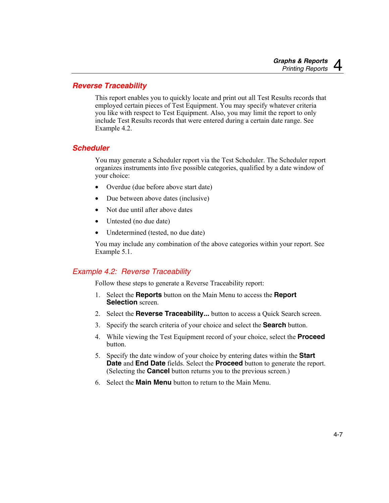#### <span id="page-70-0"></span>*Reverse Traceability*

This report enables you to quickly locate and print out all Test Results records that employed certain pieces of Test Equipment. You may specify whatever criteria you like with respect to Test Equipment. Also, you may limit the report to only include Test Results records that were entered during a certain date range. See Example 4.2.

#### *Scheduler*

You may generate a Scheduler report via the Test Scheduler. The Scheduler report organizes instruments into five possible categories, qualified by a date window of your choice:

- Overdue (due before above start date)
- Due between above dates (inclusive)
- Not due until after above dates
- Untested (no due date)
- Undetermined (tested, no due date)

You may include any combination of the above categories within your report. See Example 5.1.

## *Example 4.2: Reverse Traceability*

Follow these steps to generate a Reverse Traceability report:

- 1. Select the **Reports** button on the Main Menu to access the **Report Selection** screen.
- 2. Select the **Reverse Traceability...** button to access a Quick Search screen.
- 3. Specify the search criteria of your choice and select the **Search** button.
- 4. While viewing the Test Equipment record of your choice, select the **Proceed** button.
- 5. Specify the date window of your choice by entering dates within the **Start Date** and **End Date** fields. Select the **Proceed** button to generate the report. (Selecting the **Cancel** button returns you to the previous screen.)
- 6. Select the **Main Menu** button to return to the Main Menu.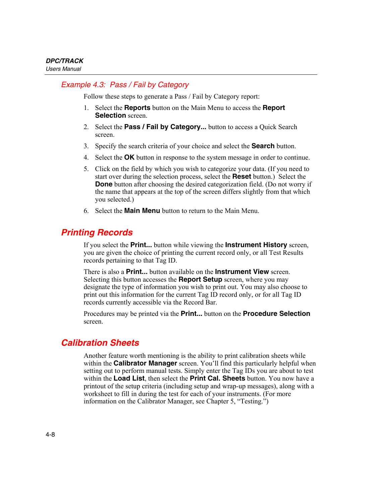## <span id="page-71-0"></span>*Example 4.3: Pass / Fail by Category*

Follow these steps to generate a Pass / Fail by Category report:

- 1. Select the **Reports** button on the Main Menu to access the **Report Selection** screen.
- 2. Select the **Pass / Fail by Category...** button to access a Quick Search screen.
- 3. Specify the search criteria of your choice and select the **Search** button.
- 4. Select the **OK** button in response to the system message in order to continue.
- 5. Click on the field by which you wish to categorize your data. (If you need to start over during the selection process, select the **Reset** button.) Select the **Done** button after choosing the desired categorization field. (Do not worry if the name that appears at the top of the screen differs slightly from that which you selected.)
- 6. Select the **Main Menu** button to return to the Main Menu.

# *Printing Records*

If you select the **Print...** button while viewing the **Instrument History** screen, you are given the choice of printing the current record only, or all Test Results records pertaining to that Tag ID.

There is also a **Print...** button available on the **Instrument View** screen. Selecting this button accesses the **Report Setup** screen, where you may designate the type of information you wish to print out. You may also choose to print out this information for the current Tag ID record only, or for all Tag ID records currently accessible via the Record Bar.

Procedures may be printed via the **Print...** button on the **Procedure Selection** screen.

# *Calibration Sheets*

Another feature worth mentioning is the ability to print calibration sheets while within the **Calibrator Manager** screen. You'll find this particularly helpful when setting out to perform manual tests. Simply enter the Tag IDs you are about to test within the **Load List**, then select the **Print Cal. Sheets** button. You now have a printout of the setup criteria (including setup and wrap-up messages), along with a worksheet to fill in during the test for each of your instruments. (For more information on the Calibrator Manager, see Chapter 5, "Testing.")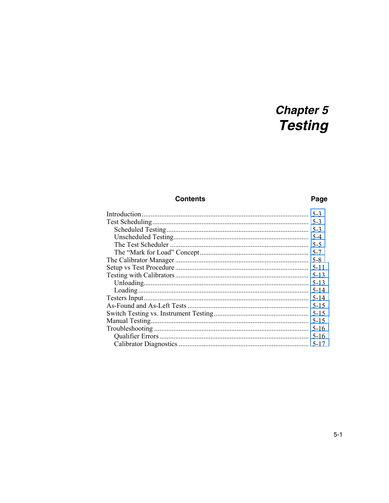# **Chapter 5 Testing**

## **Contents**

## Page

|                 | $5-3$    |
|-----------------|----------|
|                 | $5-3$    |
|                 | $5-3$    |
|                 | $5-4$    |
|                 | $5 - 5$  |
|                 | $5 - 7$  |
|                 | $5-8$    |
|                 | $5 - 11$ |
|                 | $5-13$   |
|                 | $5 - 13$ |
|                 | $5 - 14$ |
|                 | $5 - 14$ |
|                 | $5 - 15$ |
|                 | $5 - 15$ |
| Manual Testing. | $5 - 15$ |
|                 | $5-16$   |
|                 | $5 - 16$ |
|                 | 5-17     |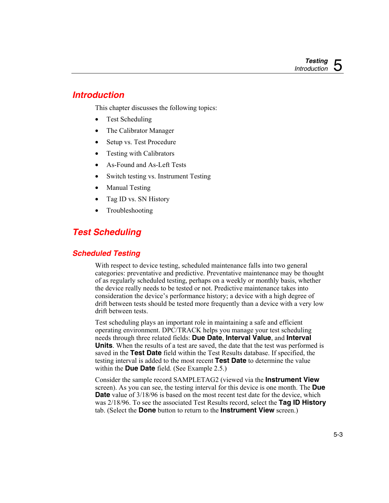# <span id="page-74-0"></span>*Introduction*

This chapter discusses the following topics:

- Test Scheduling
- The Calibrator Manager
- Setup vs. Test Procedure
- Testing with Calibrators
- As-Found and As-Left Tests
- Switch testing vs. Instrument Testing
- Manual Testing
- Tag ID vs. SN History
- Troubleshooting

# *Test Scheduling*

## *Scheduled Testing*

With respect to device testing, scheduled maintenance falls into two general categories: preventative and predictive. Preventative maintenance may be thought of as regularly scheduled testing, perhaps on a weekly or monthly basis, whether the device really needs to be tested or not. Predictive maintenance takes into consideration the device's performance history; a device with a high degree of drift between tests should be tested more frequently than a device with a very low drift between tests.

Test scheduling plays an important role in maintaining a safe and efficient operating environment. DPC/TRACK helps you manage your test scheduling needs through three related fields: **Due Date**, **Interval Value**, and **Interval Units**. When the results of a test are saved, the date that the test was performed is saved in the **Test Date** field within the Test Results database. If specified, the testing interval is added to the most recent **Test Date** to determine the value within the **Due Date** field. (See Example 2.5.)

Consider the sample record SAMPLETAG2 (viewed via the **Instrument View** screen). As you can see, the testing interval for this device is one month. The **Due Date** value of  $3/18/96$  is based on the most recent test date for the device, which was 2/18/96. To see the associated Test Results record, select the **Tag ID History** tab. (Select the **Done** button to return to the **Instrument View** screen.)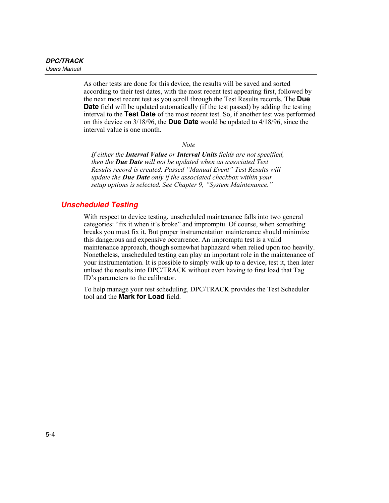<span id="page-75-0"></span>As other tests are done for this device, the results will be saved and sorted according to their test dates, with the most recent test appearing first, followed by the next most recent test as you scroll through the Test Results records. The **Due Date** field will be updated automatically (if the test passed) by adding the testing interval to the **Test Date** of the most recent test. So, if another test was performed on this device on 3/18/96, the **Due Date** would be updated to 4/18/96, since the interval value is one month.

*Note* 

*If either the Interval Value or Interval Units fields are not specified, then the Due Date will not be updated when an associated Test Results record is created. Passed "Manual Event" Test Results will update the Due Date only if the associated checkbox within your setup options is selected. See Chapter 9, "System Maintenance."* 

#### *Unscheduled Testing*

With respect to device testing, unscheduled maintenance falls into two general categories: "fix it when it's broke" and impromptu. Of course, when something breaks you must fix it. But proper instrumentation maintenance should minimize this dangerous and expensive occurrence. An impromptu test is a valid maintenance approach, though somewhat haphazard when relied upon too heavily. Nonetheless, unscheduled testing can play an important role in the maintenance of your instrumentation. It is possible to simply walk up to a device, test it, then later unload the results into DPC/TRACK without even having to first load that Tag ID's parameters to the calibrator.

To help manage your test scheduling, DPC/TRACK provides the Test Scheduler tool and the **Mark for Load** field.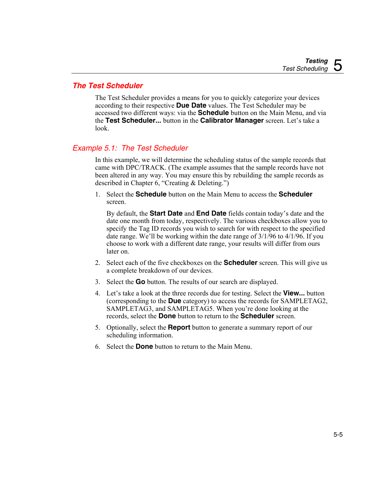#### <span id="page-76-0"></span>*The Test Scheduler*

The Test Scheduler provides a means for you to quickly categorize your devices according to their respective **Due Date** values. The Test Scheduler may be accessed two different ways: via the **Schedule** button on the Main Menu, and via the **Test Scheduler...** button in the **Calibrator Manager** screen. Let's take a look.

#### *Example 5.1: The Test Scheduler*

In this example, we will determine the scheduling status of the sample records that came with DPC/TRACK. (The example assumes that the sample records have not been altered in any way. You may ensure this by rebuilding the sample records as described in Chapter 6, "Creating & Deleting.")

1. Select the **Schedule** button on the Main Menu to access the **Scheduler** screen.

By default, the **Start Date** and **End Date** fields contain today's date and the date one month from today, respectively. The various checkboxes allow you to specify the Tag ID records you wish to search for with respect to the specified date range. We'll be working within the date range of 3/1/96 to 4/1/96. If you choose to work with a different date range, your results will differ from ours later on.

- 2. Select each of the five checkboxes on the **Scheduler** screen. This will give us a complete breakdown of our devices.
- 3. Select the **Go** button. The results of our search are displayed.
- 4. Let's take a look at the three records due for testing. Select the **View...** button (corresponding to the **Due** category) to access the records for SAMPLETAG2, SAMPLETAG3, and SAMPLETAG5. When you're done looking at the records, select the **Done** button to return to the **Scheduler** screen.
- 5. Optionally, select the **Report** button to generate a summary report of our scheduling information.
- 6. Select the **Done** button to return to the Main Menu.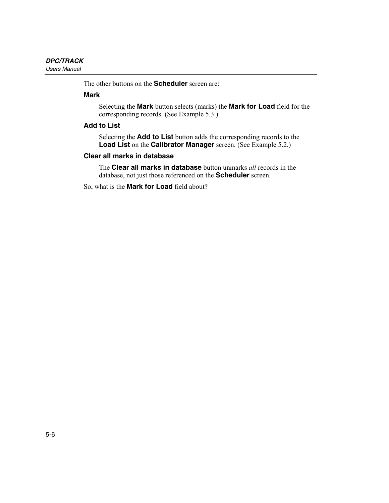The other buttons on the **Scheduler** screen are:

#### **Mark**

Selecting the **Mark** button selects (marks) the **Mark for Load** field for the corresponding records. (See Example 5.3.)

#### **Add to List**

Selecting the **Add to List** button adds the corresponding records to the **Load List** on the **Calibrator Manager** screen. (See Example 5.2.)

#### **Clear all marks in database**

The **Clear all marks in database** button unmarks *all* records in the database, not just those referenced on the **Scheduler** screen.

So, what is the **Mark for Load** field about?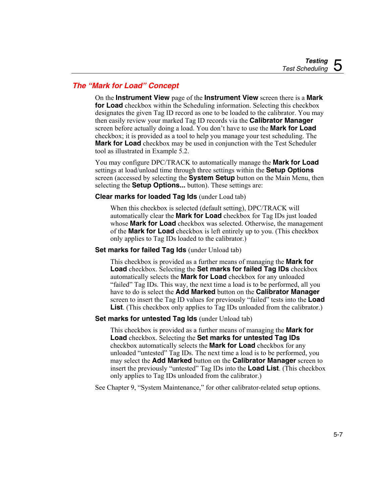## <span id="page-78-0"></span>*The "Mark for Load" Concept*

On the **Instrument View** page of the **Instrument View** screen there is a **Mark for Load** checkbox within the Scheduling information. Selecting this checkbox designates the given Tag ID record as one to be loaded to the calibrator. You may then easily review your marked Tag ID records via the **Calibrator Manager** screen before actually doing a load. You don't have to use the **Mark for Load** checkbox; it is provided as a tool to help you manage your test scheduling. The **Mark for Load** checkbox may be used in conjunction with the Test Scheduler tool as illustrated in Example 5.2.

You may configure DPC/TRACK to automatically manage the **Mark for Load** settings at load/unload time through three settings within the **Setup Options** screen (accessed by selecting the **System Setup** button on the Main Menu, then selecting the **Setup Options...** button). These settings are:

#### **Clear marks for loaded Tag Ids** (under Load tab)

When this checkbox is selected (default setting), DPC/TRACK will automatically clear the **Mark for Load** checkbox for Tag IDs just loaded whose **Mark for Load** checkbox was selected. Otherwise, the management of the **Mark for Load** checkbox is left entirely up to you. (This checkbox only applies to Tag IDs loaded to the calibrator.)

#### **Set marks for failed Tag Ids** (under Unload tab)

This checkbox is provided as a further means of managing the **Mark for Load** checkbox. Selecting the **Set marks for failed Tag IDs** checkbox automatically selects the **Mark for Load** checkbox for any unloaded "failed" Tag IDs. This way, the next time a load is to be performed, all you have to do is select the **Add Marked** button on the **Calibrator Manager** screen to insert the Tag ID values for previously "failed" tests into the **Load List**. (This checkbox only applies to Tag IDs unloaded from the calibrator.)

#### **Set marks for untested Tag Ids (under Unload tab)**

This checkbox is provided as a further means of managing the **Mark for Load** checkbox. Selecting the **Set marks for untested Tag IDs** checkbox automatically selects the **Mark for Load** checkbox for any unloaded "untested" Tag IDs. The next time a load is to be performed, you may select the **Add Marked** button on the **Calibrator Manager** screen to insert the previously "untested" Tag IDs into the **Load List**. (This checkbox only applies to Tag IDs unloaded from the calibrator.)

See Chapter 9, "System Maintenance," for other calibrator-related setup options.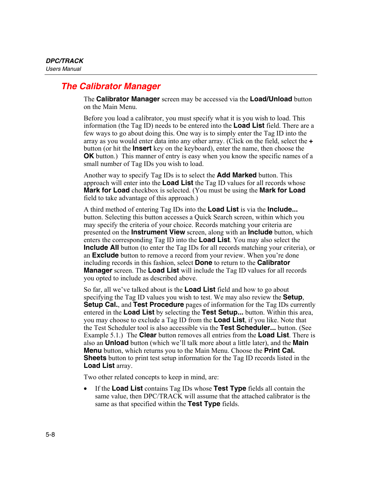# <span id="page-79-0"></span>*The Calibrator Manager*

The **Calibrator Manager** screen may be accessed via the **Load/Unload** button on the Main Menu.

Before you load a calibrator, you must specify what it is you wish to load. This information (the Tag ID) needs to be entered into the **Load List** field. There are a few ways to go about doing this. One way is to simply enter the Tag ID into the array as you would enter data into any other array. (Click on the field, select the **+** button (or hit the **Insert** key on the keyboard), enter the name, then choose the **OK** button.) This manner of entry is easy when you know the specific names of a small number of Tag IDs you wish to load.

Another way to specify Tag IDs is to select the **Add Marked** button. This approach will enter into the **Load List** the Tag ID values for all records whose **Mark for Load** checkbox is selected. (You must be using the **Mark for Load** field to take advantage of this approach.)

A third method of entering Tag IDs into the **Load List** is via the **Include...** button. Selecting this button accesses a Quick Search screen, within which you may specify the criteria of your choice. Records matching your criteria are presented on the **Instrument View** screen, along with an **Include** button, which enters the corresponding Tag ID into the **Load List**. You may also select the **Include All** button (to enter the Tag IDs for all records matching your criteria), or an **Exclude** button to remove a record from your review. When you're done including records in this fashion, select **Done** to return to the **Calibrator Manager** screen. The **Load List** will include the Tag ID values for all records you opted to include as described above.

So far, all we've talked about is the **Load List** field and how to go about specifying the Tag ID values you wish to test. We may also review the **Setup**, **Setup Cal.**, and **Test Procedure** pages of information for the Tag IDs currently entered in the **Load List** by selecting the **Test Setup...** button. Within this area, you may choose to exclude a Tag ID from the **Load List**, if you like. Note that the Test Scheduler tool is also accessible via the **Test Scheduler...** button. (See Example 5.1.) The **Clear** button removes all entries from the **Load List**. There is also an **Unload** button (which we'll talk more about a little later), and the **Main Menu** button, which returns you to the Main Menu. Choose the **Print Cal. Sheets** button to print test setup information for the Tag ID records listed in the **Load List** array.

Two other related concepts to keep in mind, are:

• If the **Load List** contains Tag IDs whose **Test Type** fields all contain the same value, then DPC/TRACK will assume that the attached calibrator is the same as that specified within the **Test Type** fields.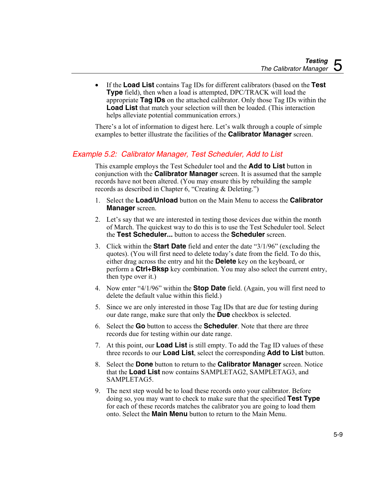• If the **Load List** contains Tag IDs for different calibrators (based on the **Test Type** field), then when a load is attempted, DPC/TRACK will load the appropriate **Tag IDs** on the attached calibrator. Only those Tag IDs within the **Load List** that match your selection will then be loaded. (This interaction helps alleviate potential communication errors.)

There's a lot of information to digest here. Let's walk through a couple of simple examples to better illustrate the facilities of the **Calibrator Manager** screen.

### *Example 5.2: Calibrator Manager, Test Scheduler, Add to List*

This example employs the Test Scheduler tool and the **Add to List** button in conjunction with the **Calibrator Manager** screen. It is assumed that the sample records have not been altered. (You may ensure this by rebuilding the sample records as described in Chapter 6, "Creating & Deleting.")

- 1. Select the **Load/Unload** button on the Main Menu to access the **Calibrator Manager** screen.
- 2. Let's say that we are interested in testing those devices due within the month of March. The quickest way to do this is to use the Test Scheduler tool. Select the **Test Scheduler...** button to access the **Scheduler** screen.
- 3. Click within the **Start Date** field and enter the date "3/1/96" (excluding the quotes). (You will first need to delete today's date from the field. To do this, either drag across the entry and hit the **Delete** key on the keyboard, or perform a **Ctrl+Bksp** key combination. You may also select the current entry, then type over it.)
- 4. Now enter "4/1/96" within the **Stop Date** field. (Again, you will first need to delete the default value within this field.)
- 5. Since we are only interested in those Tag IDs that are due for testing during our date range, make sure that only the **Due** checkbox is selected.
- 6. Select the **Go** button to access the **Scheduler**. Note that there are three records due for testing within our date range.
- 7. At this point, our **Load List** is still empty. To add the Tag ID values of these three records to our **Load List**, select the corresponding **Add to List** button.
- 8. Select the **Done** button to return to the **Calibrator Manager** screen. Notice that the **Load List** now contains SAMPLETAG2, SAMPLETAG3, and SAMPLETAG5.
- 9. The next step would be to load these records onto your calibrator. Before doing so, you may want to check to make sure that the specified **Test Type** for each of these records matches the calibrator you are going to load them onto. Select the **Main Menu** button to return to the Main Menu.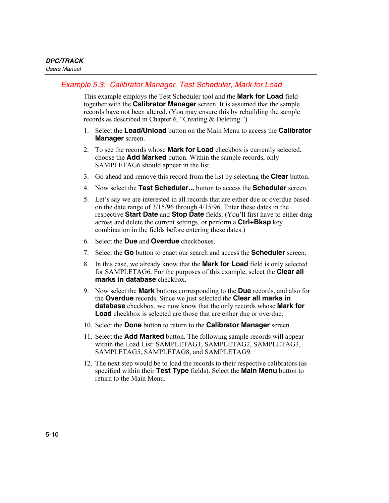#### *Example 5.3: Calibrator Manager, Test Scheduler, Mark for Load*

This example employs the Test Scheduler tool and the **Mark for Load** field together with the **Calibrator Manager** screen. It is assumed that the sample records have not been altered. (You may ensure this by rebuilding the sample records as described in Chapter 6, "Creating & Deleting.")

- 1. Select the **Load/Unload** button on the Main Menu to access the **Calibrator Manager** screen.
- 2. To see the records whose **Mark for Load** checkbox is currently selected, choose the **Add Marked** button. Within the sample records, only SAMPLETAG6 should appear in the list.
- 3. Go ahead and remove this record from the list by selecting the **Clear** button.
- 4. Now select the **Test Scheduler...** button to access the **Scheduler** screen.
- 5. Let's say we are interested in all records that are either due or overdue based on the date range of 3/15/96 through 4/15/96. Enter these dates in the respective **Start Date** and **Stop Date** fields. (You'll first have to either drag across and delete the current settings, or perform a **Ctrl+Bksp** key combination in the fields before entering these dates.)
- 6. Select the **Due** and **Overdue** checkboxes.
- 7. Select the **Go** button to enact our search and access the **Scheduler** screen.
- 8. In this case, we already know that the **Mark for Load** field is only selected for SAMPLETAG6. For the purposes of this example, select the **Clear all marks in database** checkbox.
- 9. Now select the **Mark** buttons corresponding to the **Due** records, and also for the **Overdue** records. Since we just selected the **Clear all marks in database** checkbox, we now know that the only records whose **Mark for Load** checkbox is selected are those that are either due or overdue.
- 10. Select the **Done** button to return to the **Calibrator Manager** screen.
- 11. Select the **Add Marked** button. The following sample records will appear within the Load List: SAMPLETAG1, SAMPLETAG2, SAMPLETAG3, SAMPLETAG5, SAMPLETAG8, and SAMPLETAG9.
- 12. The next step would be to load the records to their respective calibrators (as specified within their **Test Type** fields). Select the **Main Menu** button to return to the Main Menu.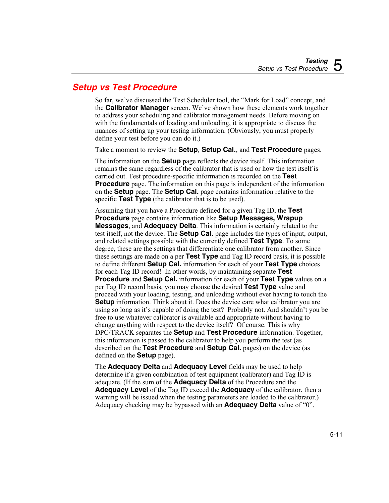# <span id="page-82-0"></span>*Setup vs Test Procedure*

So far, we've discussed the Test Scheduler tool, the "Mark for Load" concept, and the **Calibrator Manager** screen. We've shown how these elements work together to address your scheduling and calibrator management needs. Before moving on with the fundamentals of loading and unloading, it is appropriate to discuss the nuances of setting up your testing information. (Obviously, you must properly define your test before you can do it.)

Take a moment to review the **Setup**, **Setup Cal.**, and **Test Procedure** pages.

The information on the **Setup** page reflects the device itself. This information remains the same regardless of the calibrator that is used or how the test itself is carried out. Test procedure-specific information is recorded on the **Test Procedure** page. The information on this page is independent of the information on the **Setup** page. The **Setup Cal.** page contains information relative to the specific **Test Type** (the calibrator that is to be used).

Assuming that you have a Procedure defined for a given Tag ID, the **Test Procedure** page contains information like **Setup Messages, Wrapup Messages**, and **Adequacy Delta**. This information is certainly related to the test itself, not the device. The **Setup Cal.** page includes the types of input, output, and related settings possible with the currently defined **Test Type**. To some degree, these are the settings that differentiate one calibrator from another. Since these settings are made on a per **Test Type** and Tag ID record basis, it is possible to define different **Setup Cal.** information for each of your **Test Type** choices for each Tag ID record! In other words, by maintaining separate **Test Procedure** and **Setup Cal.** information for each of your **Test Type** values on a per Tag ID record basis, you may choose the desired **Test Type** value and proceed with your loading, testing, and unloading without ever having to touch the **Setup** information. Think about it. Does the device care what calibrator you are using so long as it's capable of doing the test? Probably not. And shouldn't you be free to use whatever calibrator is available and appropriate without having to change anything with respect to the device itself? Of course. This is why DPC/TRACK separates the **Setup** and **Test Procedure** information. Together, this information is passed to the calibrator to help you perform the test (as described on the **Test Procedure** and **Setup Cal.** pages) on the device (as defined on the **Setup** page).

The **Adequacy Delta** and **Adequacy Level** fields may be used to help determine if a given combination of test equipment (calibrator) and Tag ID is adequate. (If the sum of the **Adequacy Delta** of the Procedure and the **Adequacy Level** of the Tag ID exceed the **Adequacy** of the calibrator, then a warning will be issued when the testing parameters are loaded to the calibrator.) Adequacy checking may be bypassed with an **Adequacy Delta** value of "0".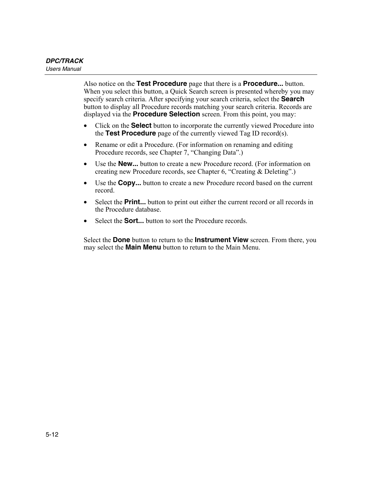Also notice on the **Test Procedure** page that there is a **Procedure...** button. When you select this button, a Quick Search screen is presented whereby you may specify search criteria. After specifying your search criteria, select the **Search** button to display all Procedure records matching your search criteria. Records are displayed via the **Procedure Selection** screen. From this point, you may:

- Click on the **Select** button to incorporate the currently viewed Procedure into the **Test Procedure** page of the currently viewed Tag ID record(s).
- Rename or edit a Procedure. (For information on renaming and editing Procedure records, see Chapter 7, "Changing Data".)
- Use the **New...** button to create a new Procedure record. (For information on creating new Procedure records, see Chapter 6, "Creating & Deleting".)
- Use the **Copy...** button to create a new Procedure record based on the current record.
- Select the **Print...** button to print out either the current record or all records in the Procedure database.
- Select the **Sort...** button to sort the Procedure records

Select the **Done** button to return to the **Instrument View** screen. From there, you may select the **Main Menu** button to return to the Main Menu.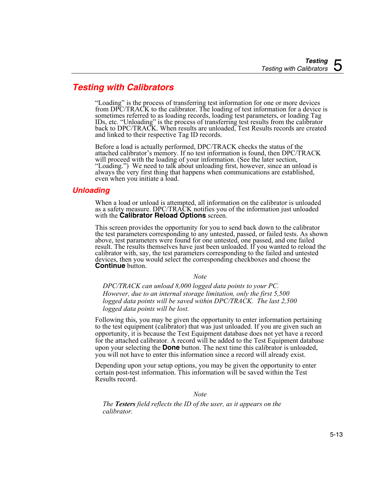# <span id="page-84-0"></span>*Testing with Calibrators*

"Loading" is the process of transferring test information for one or more devices from DPC/TRACK to the calibrator. The loading of test information for a device is sometimes referred to as loading records, loading test parameters, or loading Tag IDs, etc. "Unloading" is the process of transferring test results from the calibrator back to DPC/TRACK. When results are unloaded, Test Results records are created and linked to their respective Tag ID records.

Before a load is actually performed, DPC/TRACK checks the status of the attached calibrator's memory. If no test information is found, then DPC/TRACK will proceed with the loading of your information. (See the later section, "Loading.") We need to talk about unloading first, however, since an unload is always the very first thing that happens when communications are established, even when you initiate a load.

#### *Unloading*

When a load or unload is attempted, all information on the calibrator is unloaded as a safety measure. DPC/TRACK notifies you of the information just unloaded with the **Calibrator Reload Options** screen.

This screen provides the opportunity for you to send back down to the calibrator the test parameters corresponding to any untested, passed, or failed tests. As shown above, test parameters were found for one untested, one passed, and one failed result. The results themselves have just been unloaded. If you wanted to reload the calibrator with, say, the test parameters corresponding to the failed and untested devices, then you would select the corresponding checkboxes and choose the **Continue** button.

*Note* 

*DPC/TRACK can unload 8,000 logged data points to your PC. However, due to an internal storage limitation, only the first 5,500 logged data points will be saved within DPC/TRACK. The last 2,500 logged data points will be lost.* 

Following this, you may be given the opportunity to enter information pertaining to the test equipment (calibrator) that was just unloaded. If you are given such an opportunity, it is because the Test Equipment database does not yet have a record for the attached calibrator. A record will be added to the Test Equipment database upon your selecting the **Done** button. The next time this calibrator is unloaded, you will not have to enter this information since a record will already exist.

Depending upon your setup options, you may be given the opportunity to enter certain post-test information. This information will be saved within the Test Results record.

*Note* 

*The Testers field reflects the ID of the user, as it appears on the calibrator.*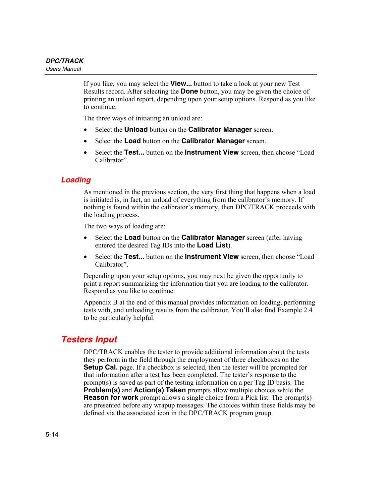<span id="page-85-0"></span>If you like, you may select the **View...** button to take a look at your new Test Results record. After selecting the **Done** button, you may be given the choice of printing an unload report, depending upon your setup options. Respond as you like to continue.

The three ways of initiating an unload are:

- Select the **Unload** button on the **Calibrator Manager** screen.
- Select the **Load** button on the **Calibrator Manager** screen.
- Select the **Test...** button on the **Instrument View** screen, then choose "Load Calibrator".

#### *Loading*

As mentioned in the previous section, the very first thing that happens when a load is initiated is, in fact, an unload of everything from the calibrator's memory. If nothing is found within the calibrator's memory, then DPC/TRACK proceeds with the loading process.

The two ways of loading are:

- Select the **Load** button on the **Calibrator Manager** screen (after having entered the desired Tag IDs into the **Load List**).
- Select the **Test...** button on the **Instrument View** screen, then choose "Load Calibrator".

Depending upon your setup options, you may next be given the opportunity to print a report summarizing the information that you are loading to the calibrator. Respond as you like to continue.

Appendix B at the end of this manual provides information on loading, performing tests with, and unloading results from the calibrator. You'll also find Example 2.4 to be particularly helpful.

# *Testers Input*

DPC/TRACK enables the tester to provide additional information about the tests they perform in the field through the employment of three checkboxes on the **Setup Cal.** page. If a checkbox is selected, then the tester will be prompted for that information after a test has been completed. The tester's response to the prompt(s) is saved as part of the testing information on a per Tag ID basis. The **Problem(s)** and **Action(s) Taken** prompts allow multiple choices while the **Reason for work** prompt allows a single choice from a Pick list. The prompt(s) are presented before any wrapup messages. The choices within these fields may be defined via the associated icon in the DPC/TRACK program group.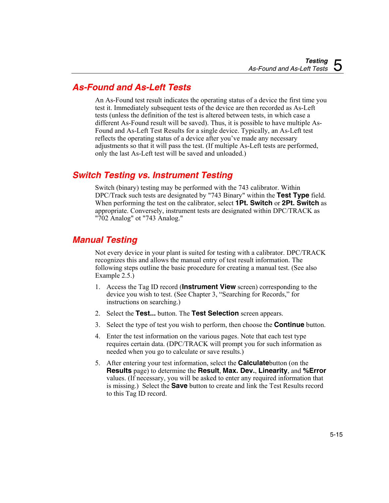# <span id="page-86-0"></span>*As-Found and As-Left Tests*

An As-Found test result indicates the operating status of a device the first time you test it. Immediately subsequent tests of the device are then recorded as As-Left tests (unless the definition of the test is altered between tests, in which case a different As-Found result will be saved). Thus, it is possible to have multiple As-Found and As-Left Test Results for a single device. Typically, an As-Left test reflects the operating status of a device after you've made any necessary adjustments so that it will pass the test. (If multiple As-Left tests are performed, only the last As-Left test will be saved and unloaded.)

# *Switch Testing vs. Instrument Testing*

Switch (binary) testing may be performed with the 743 calibrator. Within DPC/Track such tests are designated by "743 Binary" within the **Test Type** field. When performing the test on the calibrator, select **1Pt. Switch** or **2Pt. Switch** as appropriate. Conversely, instrument tests are designated within DPC/TRACK as "702 Analog" ot "743 Analog."

# *Manual Testing*

Not every device in your plant is suited for testing with a calibrator. DPC/TRACK recognizes this and allows the manual entry of test result information. The following steps outline the basic procedure for creating a manual test. (See also Example 2.5.)

- 1. Access the Tag ID record (**Instrument View** screen) corresponding to the device you wish to test. (See Chapter 3, "Searching for Records," for instructions on searching.)
- 2. Select the **Test...** button. The **Test Selection** screen appears.
- 3. Select the type of test you wish to perform, then choose the **Continue** button.
- 4. Enter the test information on the various pages. Note that each test type requires certain data. (DPC/TRACK will prompt you for such information as needed when you go to calculate or save results.)
- 5. After entering your test information, select the **Calculate**button (on the **Results** page) to determine the **Result**, **Max. Dev.**, **Linearity**, and **%Error** values. (If necessary, you will be asked to enter any required information that is missing.) Select the **Save** button to create and link the Test Results record to this Tag ID record.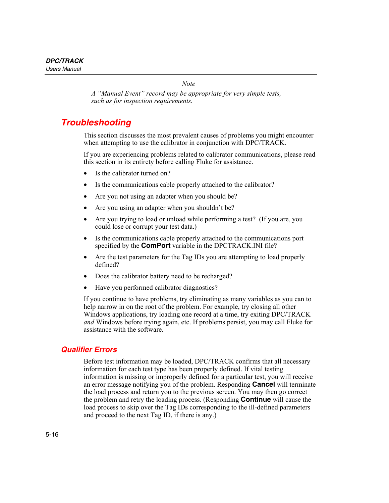*Note* 

*A "Manual Event" record may be appropriate for very simple tests, such as for inspection requirements.* 

# <span id="page-87-0"></span>*Troubleshooting*

This section discusses the most prevalent causes of problems you might encounter when attempting to use the calibrator in conjunction with DPC/TRACK.

If you are experiencing problems related to calibrator communications, please read this section in its entirety before calling Fluke for assistance.

- Is the calibrator turned on?
- Is the communications cable properly attached to the calibrator?
- Are you not using an adapter when you should be?
- Are you using an adapter when you shouldn't be?
- Are you trying to load or unload while performing a test? (If you are, you could lose or corrupt your test data.)
- Is the communications cable properly attached to the communications port specified by the **ComPort** variable in the DPCTRACK.INI file?
- Are the test parameters for the Tag IDs you are attempting to load properly defined?
- Does the calibrator battery need to be recharged?
- Have you performed calibrator diagnostics?

If you continue to have problems, try eliminating as many variables as you can to help narrow in on the root of the problem. For example, try closing all other Windows applications, try loading one record at a time, try exiting DPC/TRACK *and* Windows before trying again, etc. If problems persist, you may call Fluke for assistance with the software.

#### *Qualifier Errors*

Before test information may be loaded, DPC/TRACK confirms that all necessary information for each test type has been properly defined. If vital testing information is missing or improperly defined for a particular test, you will receive an error message notifying you of the problem. Responding **Cancel** will terminate the load process and return you to the previous screen. You may then go correct the problem and retry the loading process. (Responding **Continue** will cause the load process to skip over the Tag IDs corresponding to the ill-defined parameters and proceed to the next Tag ID, if there is any.)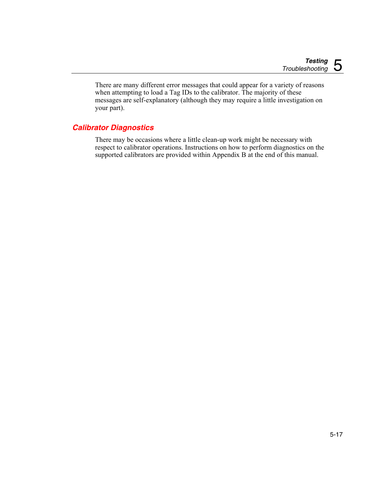<span id="page-88-0"></span>There are many different error messages that could appear for a variety of reasons when attempting to load a Tag IDs to the calibrator. The majority of these messages are self-explanatory (although they may require a little investigation on your part).

## *Calibrator Diagnostics*

There may be occasions where a little clean-up work might be necessary with respect to calibrator operations. Instructions on how to perform diagnostics on the supported calibrators are provided within Appendix B at the end of this manual.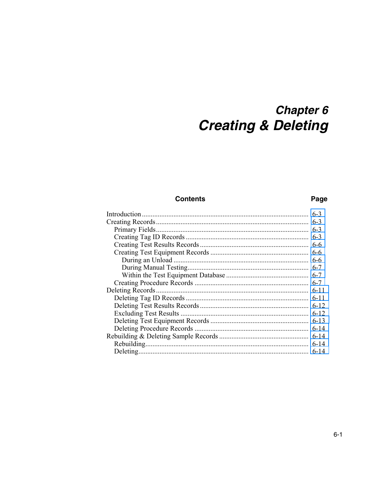# **Chapter 6 Creating & Deleting**

#### **Contents**

#### Page

| $6 - 6$  |
|----------|
| $6 - 6$  |
|          |
|          |
| $6 - 7$  |
|          |
| $6 - 11$ |
|          |
|          |
|          |
|          |
|          |
|          |
|          |
| $6 - 14$ |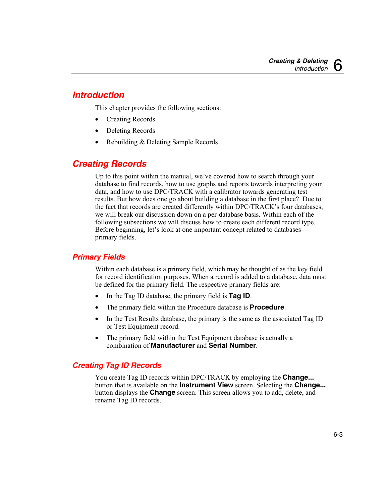# <span id="page-92-0"></span>*Introduction*

This chapter provides the following sections:

- Creating Records
- Deleting Records
- Rebuilding & Deleting Sample Records

# *Creating Records*

Up to this point within the manual, we've covered how to search through your database to find records, how to use graphs and reports towards interpreting your data, and how to use DPC/TRACK with a calibrator towards generating test results. But how does one go about building a database in the first place? Due to the fact that records are created differently within DPC/TRACK's four databases, we will break our discussion down on a per-database basis. Within each of the following subsections we will discuss how to create each different record type. Before beginning, let's look at one important concept related to databases primary fields.

## *Primary Fields*

Within each database is a primary field, which may be thought of as the key field for record identification purposes. When a record is added to a database, data must be defined for the primary field. The respective primary fields are:

- In the Tag ID database, the primary field is **Tag ID**.
- The primary field within the Procedure database is **Procedure**.
- In the Test Results database, the primary is the same as the associated Tag ID or Test Equipment record.
- The primary field within the Test Equipment database is actually a combination of **Manufacturer** and **Serial Number**.

## *Creating Tag ID Records*

You create Tag ID records within DPC/TRACK by employing the **Change...** button that is available on the **Instrument View** screen. Selecting the **Change...** button displays the **Change** screen. This screen allows you to add, delete, and rename Tag ID records.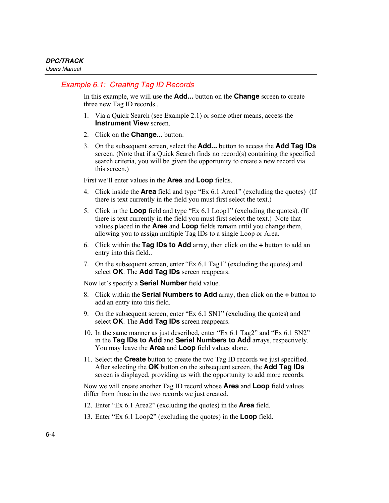## *Example 6.1: Creating Tag ID Records*

In this example, we will use the **Add...** button on the **Change** screen to create three new Tag ID records..

- 1. Via a Quick Search (see Example 2.1) or some other means, access the **Instrument View screen**
- 2. Click on the **Change...** button.
- 3. On the subsequent screen, select the **Add...** button to access the **Add Tag IDs** screen. (Note that if a Quick Search finds no record(s) containing the specified search criteria, you will be given the opportunity to create a new record via this screen.)

First we'll enter values in the **Area** and **Loop** fields.

- 4. Click inside the **Area** field and type "Ex 6.1 Area1" (excluding the quotes) (If there is text currently in the field you must first select the text.)
- 5. Click in the **Loop** field and type "Ex 6.1 Loop1" (excluding the quotes). (If there is text currently in the field you must first select the text.) Note that values placed in the **Area** and **Loop** fields remain until you change them, allowing you to assign multiple Tag IDs to a single Loop or Area.
- 6. Click within the **Tag IDs to Add** array, then click on the **+** button to add an entry into this field..
- 7. On the subsequent screen, enter "Ex 6.1 Tag1" (excluding the quotes) and select **OK**. The **Add Tag IDs** screen reappears.

Now let's specify a **Serial Number** field value.

- 8. Click within the **Serial Numbers to Add** array, then click on the **+** button to add an entry into this field.
- 9. On the subsequent screen, enter "Ex 6.1 SN1" (excluding the quotes) and select **OK**. The **Add Tag IDs** screen reappears.
- 10. In the same manner as just described, enter "Ex 6.1 Tag2" and "Ex 6.1 SN2" in the **Tag IDs to Add** and **Serial Numbers to Add** arrays, respectively. You may leave the **Area** and **Loop** field values alone.
- 11. Select the **Create** button to create the two Tag ID records we just specified. After selecting the **OK** button on the subsequent screen, the **Add Tag IDs** screen is displayed, providing us with the opportunity to add more records.

Now we will create another Tag ID record whose **Area** and **Loop** field values differ from those in the two records we just created.

- 12. Enter "Ex 6.1 Area2" (excluding the quotes) in the **Area** field.
- 13. Enter "Ex 6.1 Loop2" (excluding the quotes) in the **Loop** field.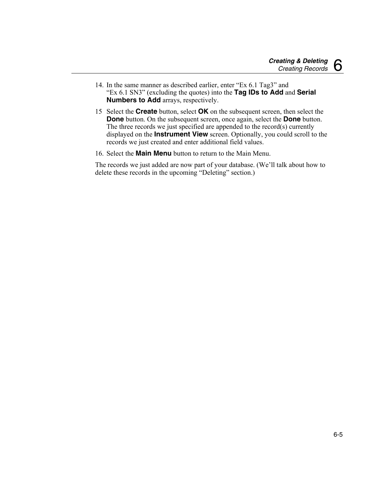- 14. In the same manner as described earlier, enter "Ex 6.1 Tag3" and "Ex 6.1 SN3" (excluding the quotes) into the **Tag IDs to Add** and **Serial Numbers to Add** arrays, respectively.
- 15 Select the **Create** button, select **OK** on the subsequent screen, then select the **Done** button. On the subsequent screen, once again, select the **Done** button. The three records we just specified are appended to the record(s) currently displayed on the **Instrument View** screen. Optionally, you could scroll to the records we just created and enter additional field values.
- 16. Select the **Main Menu** button to return to the Main Menu.

The records we just added are now part of your database. (We'll talk about how to delete these records in the upcoming "Deleting" section.)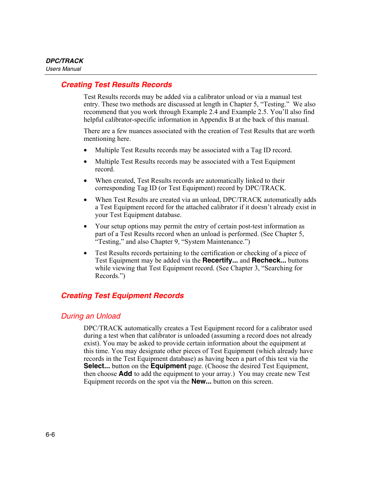#### <span id="page-95-0"></span>*Creating Test Results Records*

Test Results records may be added via a calibrator unload or via a manual test entry. These two methods are discussed at length in Chapter 5, "Testing." We also recommend that you work through Example 2.4 and Example 2.5. You'll also find helpful calibrator-specific information in Appendix B at the back of this manual.

There are a few nuances associated with the creation of Test Results that are worth mentioning here.

- Multiple Test Results records may be associated with a Tag ID record.
- Multiple Test Results records may be associated with a Test Equipment record.
- When created, Test Results records are automatically linked to their corresponding Tag ID (or Test Equipment) record by DPC/TRACK.
- When Test Results are created via an unload, DPC/TRACK automatically adds a Test Equipment record for the attached calibrator if it doesn't already exist in your Test Equipment database.
- Your setup options may permit the entry of certain post-test information as part of a Test Results record when an unload is performed. (See Chapter 5, "Testing," and also Chapter 9, "System Maintenance.")
- Test Results records pertaining to the certification or checking of a piece of Test Equipment may be added via the **Recertify...** and **Recheck...** buttons while viewing that Test Equipment record. (See Chapter 3, "Searching for Records.")

## *Creating Test Equipment Records*

## *During an Unload*

DPC/TRACK automatically creates a Test Equipment record for a calibrator used during a test when that calibrator is unloaded (assuming a record does not already exist). You may be asked to provide certain information about the equipment at this time. You may designate other pieces of Test Equipment (which already have records in the Test Equipment database) as having been a part of this test via the **Select...** button on the **Equipment** page. (Choose the desired Test Equipment, then choose **Add** to add the equipment to your array.) You may create new Test Equipment records on the spot via the **New...** button on this screen.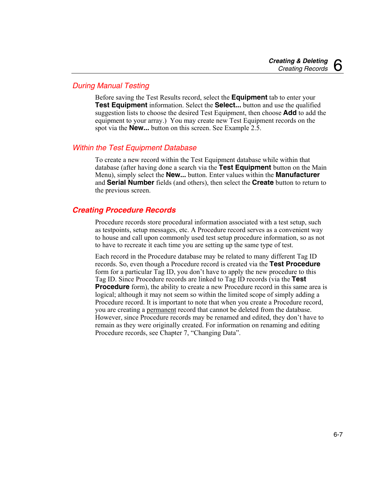## <span id="page-96-0"></span>*During Manual Testing*

Before saving the Test Results record, select the **Equipment** tab to enter your **Test Equipment** information. Select the **Select...** button and use the qualified suggestion lists to choose the desired Test Equipment, then choose **Add** to add the equipment to your array.) You may create new Test Equipment records on the spot via the **New...** button on this screen. See Example 2.5.

#### *Within the Test Equipment Database*

To create a new record within the Test Equipment database while within that database (after having done a search via the **Test Equipment** button on the Main Menu), simply select the **New...** button. Enter values within the **Manufacturer** and **Serial Number** fields (and others), then select the **Create** button to return to the previous screen.

### *Creating Procedure Records*

Procedure records store procedural information associated with a test setup, such as testpoints, setup messages, etc. A Procedure record serves as a convenient way to house and call upon commonly used test setup procedure information, so as not to have to recreate it each time you are setting up the same type of test.

Each record in the Procedure database may be related to many different Tag ID records. So, even though a Procedure record is created via the **Test Procedure** form for a particular Tag ID, you don't have to apply the new procedure to this Tag ID. Since Procedure records are linked to Tag ID records (via the **Test Procedure** form), the ability to create a new Procedure record in this same area is logical; although it may not seem so within the limited scope of simply adding a Procedure record. It is important to note that when you create a Procedure record, you are creating a permanent record that cannot be deleted from the database. However, since Procedure records may be renamed and edited, they don't have to remain as they were originally created. For information on renaming and editing Procedure records, see Chapter 7, "Changing Data".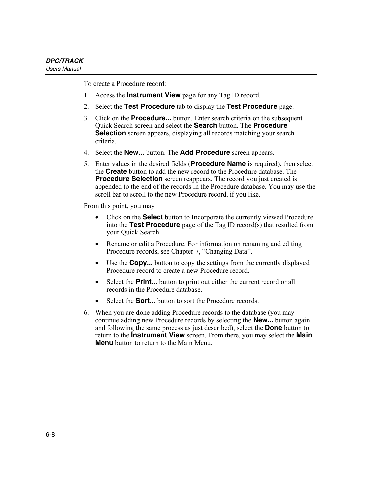To create a Procedure record:

- 1. Access the **Instrument View** page for any Tag ID record.
- 2. Select the **Test Procedure** tab to display the **Test Procedure** page.
- 3. Click on the **Procedure...** button. Enter search criteria on the subsequent Quick Search screen and select the **Search** button. The **Procedure Selection** screen appears, displaying all records matching your search criteria.
- 4. Select the **New...** button. The **Add Procedure** screen appears.
- 5. Enter values in the desired fields (**Procedure Name** is required), then select the **Create** button to add the new record to the Procedure database. The **Procedure Selection** screen reappears. The record you just created is appended to the end of the records in the Procedure database. You may use the scroll bar to scroll to the new Procedure record, if you like.

From this point, you may

- Click on the **Select** button to Incorporate the currently viewed Procedure into the **Test Procedure** page of the Tag ID record(s) that resulted from your Quick Search.
- Rename or edit a Procedure. For information on renaming and editing Procedure records, see Chapter 7, "Changing Data".
- Use the **Copy...** button to copy the settings from the currently displayed Procedure record to create a new Procedure record.
- Select the **Print...** button to print out either the current record or all records in the Procedure database.
- Select the **Sort...** button to sort the Procedure records.
- 6. When you are done adding Procedure records to the database (you may continue adding new Procedure records by selecting the **New...** button again and following the same process as just described), select the **Done** button to return to the **Instrument View** screen. From there, you may select the **Main Menu** button to return to the Main Menu.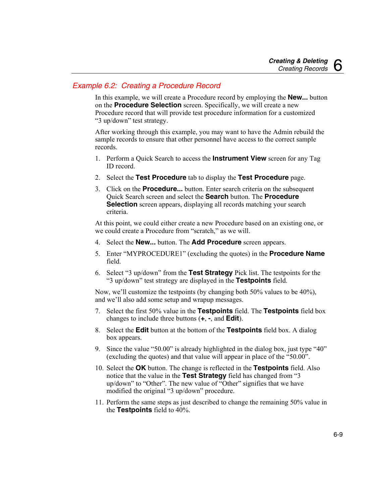## *Example 6.2: Creating a Procedure Record*

In this example, we will create a Procedure record by employing the **New...** button on the **Procedure Selection** screen. Specifically, we will create a new Procedure record that will provide test procedure information for a customized "3 up/down" test strategy.

After working through this example, you may want to have the Admin rebuild the sample records to ensure that other personnel have access to the correct sample records.

- 1. Perform a Quick Search to access the **Instrument View** screen for any Tag ID record.
- 2. Select the **Test Procedure** tab to display the **Test Procedure** page.
- 3. Click on the **Procedure...** button. Enter search criteria on the subsequent Quick Search screen and select the **Search** button. The **Procedure Selection** screen appears, displaying all records matching your search criteria.

At this point, we could either create a new Procedure based on an existing one, or we could create a Procedure from "scratch," as we will.

- 4. Select the **New...** button. The **Add Procedure** screen appears.
- 5. Enter "MYPROCEDURE1" (excluding the quotes) in the **Procedure Name** field.
- 6. Select "3 up/down" from the **Test Strategy** Pick list. The testpoints for the "3 up/down" test strategy are displayed in the **Testpoints** field.

Now, we'll customize the testpoints (by changing both 50% values to be 40%), and we'll also add some setup and wrapup messages.

- 7. Select the first 50% value in the **Testpoints** field. The **Testpoints** field box changes to include three buttons (**+**, **-**, and **Edit**).
- 8. Select the **Edit** button at the bottom of the **Testpoints** field box. A dialog box appears.
- 9. Since the value "50.00" is already highlighted in the dialog box, just type "40" (excluding the quotes) and that value will appear in place of the "50.00".
- 10. Select the **OK** button. The change is reflected in the **Testpoints** field. Also notice that the value in the **Test Strategy** field has changed from "3 up/down" to "Other". The new value of "Other" signifies that we have modified the original "3 up/down" procedure.
- 11. Perform the same steps as just described to change the remaining 50% value in the **Testpoints** field to 40%.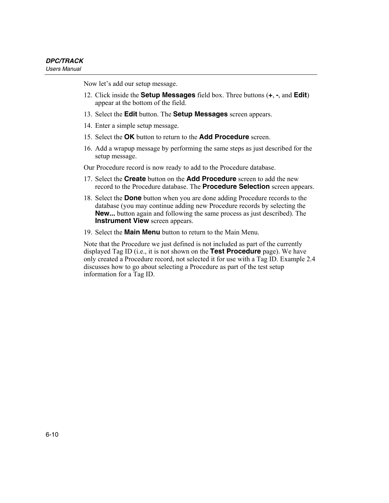Now let's add our setup message.

- 12. Click inside the **Setup Messages** field box. Three buttons (**+**, **-**, and **Edit**) appear at the bottom of the field.
- 13. Select the **Edit** button. The **Setup Messages** screen appears.
- 14. Enter a simple setup message.
- 15. Select the **OK** button to return to the **Add Procedure** screen.
- 16. Add a wrapup message by performing the same steps as just described for the setup message.

Our Procedure record is now ready to add to the Procedure database.

- 17. Select the **Create** button on the **Add Procedure** screen to add the new record to the Procedure database. The **Procedure Selection** screen appears.
- 18. Select the **Done** button when you are done adding Procedure records to the database (you may continue adding new Procedure records by selecting the **New...** button again and following the same process as just described). The **Instrument View** screen appears.
- 19. Select the **Main Menu** button to return to the Main Menu.

Note that the Procedure we just defined is not included as part of the currently displayed Tag ID (i.e., it is not shown on the **Test Procedure** page). We have only created a Procedure record, not selected it for use with a Tag ID. Example 2.4 discusses how to go about selecting a Procedure as part of the test setup information for a Tag ID.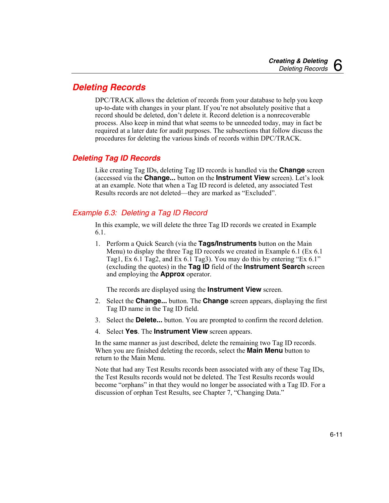# <span id="page-100-0"></span>*Deleting Records*

DPC/TRACK allows the deletion of records from your database to help you keep up-to-date with changes in your plant. If you're not absolutely positive that a record should be deleted, don't delete it. Record deletion is a nonrecoverable process. Also keep in mind that what seems to be unneeded today, may in fact be required at a later date for audit purposes. The subsections that follow discuss the procedures for deleting the various kinds of records within DPC/TRACK.

## *Deleting Tag ID Records*

Like creating Tag IDs, deleting Tag ID records is handled via the **Change** screen (accessed via the **Change...** button on the **Instrument View** screen). Let's look at an example. Note that when a Tag ID record is deleted, any associated Test Results records are not deleted—they are marked as "Excluded".

## *Example 6.3: Deleting a Tag ID Record*

In this example, we will delete the three Tag ID records we created in Example 6.1.

1. Perform a Quick Search (via the **Tags/Instruments** button on the Main Menu) to display the three Tag ID records we created in Example 6.1 (Ex 6.1 Tag1, Ex 6.1 Tag2, and Ex 6.1 Tag3). You may do this by entering "Ex 6.1" (excluding the quotes) in the **Tag ID** field of the **Instrument Search** screen and employing the **Approx** operator.

The records are displayed using the **Instrument View** screen.

- 2. Select the **Change...** button. The **Change** screen appears, displaying the first Tag ID name in the Tag ID field.
- 3. Select the **Delete...** button. You are prompted to confirm the record deletion.
- 4. Select **Yes**. The **Instrument View** screen appears.

In the same manner as just described, delete the remaining two Tag ID records. When you are finished deleting the records, select the **Main Menu** button to return to the Main Menu.

Note that had any Test Results records been associated with any of these Tag IDs, the Test Results records would not be deleted. The Test Results records would become "orphans" in that they would no longer be associated with a Tag ID. For a discussion of orphan Test Results, see Chapter 7, "Changing Data."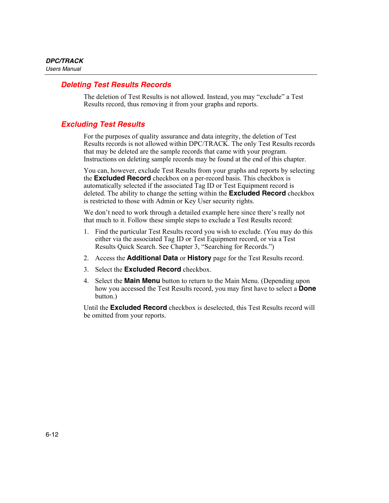#### <span id="page-101-0"></span>*Deleting Test Results Records*

The deletion of Test Results is not allowed. Instead, you may "exclude" a Test Results record, thus removing it from your graphs and reports.

#### *Excluding Test Results*

For the purposes of quality assurance and data integrity, the deletion of Test Results records is not allowed within DPC/TRACK. The only Test Results records that may be deleted are the sample records that came with your program. Instructions on deleting sample records may be found at the end of this chapter.

You can, however, exclude Test Results from your graphs and reports by selecting the **Excluded Record** checkbox on a per-record basis. This checkbox is automatically selected if the associated Tag ID or Test Equipment record is deleted. The ability to change the setting within the **Excluded Record** checkbox is restricted to those with Admin or Key User security rights.

We don't need to work through a detailed example here since there's really not that much to it. Follow these simple steps to exclude a Test Results record:

- 1. Find the particular Test Results record you wish to exclude. (You may do this either via the associated Tag ID or Test Equipment record, or via a Test Results Quick Search. See Chapter 3, "Searching for Records.")
- 2. Access the **Additional Data** or **History** page for the Test Results record.
- 3. Select the **Excluded Record** checkbox.
- 4. Select the **Main Menu** button to return to the Main Menu. (Depending upon how you accessed the Test Results record, you may first have to select a **Done** button.)

Until the **Excluded Record** checkbox is deselected, this Test Results record will be omitted from your reports.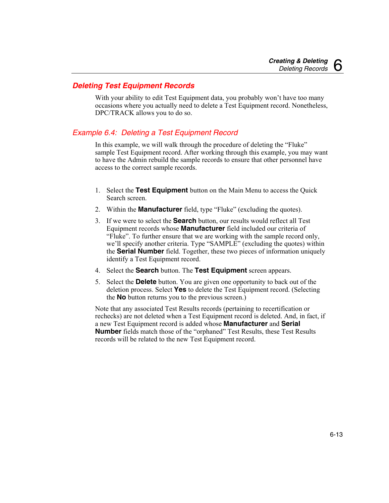### <span id="page-102-0"></span>*Deleting Test Equipment Records*

With your ability to edit Test Equipment data, you probably won't have too many occasions where you actually need to delete a Test Equipment record. Nonetheless, DPC/TRACK allows you to do so.

#### *Example 6.4: Deleting a Test Equipment Record*

In this example, we will walk through the procedure of deleting the "Fluke" sample Test Equipment record. After working through this example, you may want to have the Admin rebuild the sample records to ensure that other personnel have access to the correct sample records.

- 1. Select the **Test Equipment** button on the Main Menu to access the Quick Search screen.
- 2. Within the **Manufacturer** field, type "Fluke" (excluding the quotes).
- 3. If we were to select the **Search** button, our results would reflect all Test Equipment records whose **Manufacturer** field included our criteria of "Fluke". To further ensure that we are working with the sample record only, we'll specify another criteria. Type "SAMPLE" (excluding the quotes) within the **Serial Number** field. Together, these two pieces of information uniquely identify a Test Equipment record.
- 4. Select the **Search** button. The **Test Equipment** screen appears.
- 5. Select the **Delete** button. You are given one opportunity to back out of the deletion process. Select **Yes** to delete the Test Equipment record. (Selecting the **No** button returns you to the previous screen.)

Note that any associated Test Results records (pertaining to recertification or rechecks) are not deleted when a Test Equipment record is deleted. And, in fact, if a new Test Equipment record is added whose **Manufacturer** and **Serial Number** fields match those of the "orphaned" Test Results, these Test Results records will be related to the new Test Equipment record.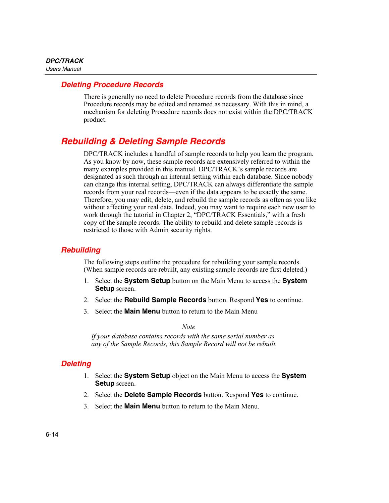#### <span id="page-103-0"></span>*Deleting Procedure Records*

There is generally no need to delete Procedure records from the database since Procedure records may be edited and renamed as necessary. With this in mind, a mechanism for deleting Procedure records does not exist within the DPC/TRACK product.

# *Rebuilding & Deleting Sample Records*

DPC/TRACK includes a handful of sample records to help you learn the program. As you know by now, these sample records are extensively referred to within the many examples provided in this manual. DPC/TRACK's sample records are designated as such through an internal setting within each database. Since nobody can change this internal setting, DPC/TRACK can always differentiate the sample records from your real records—even if the data appears to be exactly the same. Therefore, you may edit, delete, and rebuild the sample records as often as you like without affecting your real data. Indeed, you may want to require each new user to work through the tutorial in Chapter 2, "DPC/TRACK Essentials," with a fresh copy of the sample records. The ability to rebuild and delete sample records is restricted to those with Admin security rights.

#### *Rebuilding*

The following steps outline the procedure for rebuilding your sample records. (When sample records are rebuilt, any existing sample records are first deleted.)

- 1. Select the **System Setup** button on the Main Menu to access the **System Setup** screen.
- 2. Select the **Rebuild Sample Records** button. Respond **Yes** to continue.
- 3. Select the **Main Menu** button to return to the Main Menu

*Note* 

*If your database contains records with the same serial number as any of the Sample Records, this Sample Record will not be rebuilt.* 

## *Deleting*

- 1. Select the **System Setup** object on the Main Menu to access the **System Setup** screen.
- 2. Select the **Delete Sample Records** button. Respond **Yes** to continue.
- 3. Select the **Main Menu** button to return to the Main Menu.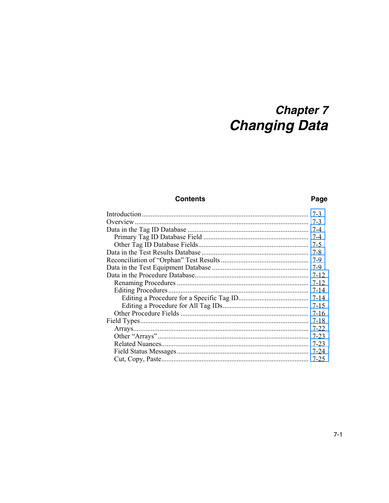# **Chapter 7 Changing Data**

#### **Contents**

### Page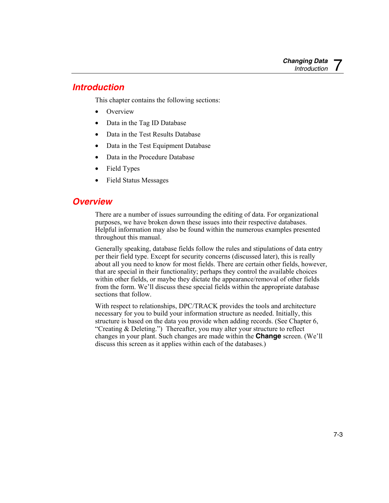# <span id="page-106-0"></span>*Introduction*

This chapter contains the following sections:

- Overview
- Data in the Tag ID Database
- Data in the Test Results Database
- Data in the Test Equipment Database
- Data in the Procedure Database
- Field Types
- Field Status Messages

# *Overview*

There are a number of issues surrounding the editing of data. For organizational purposes, we have broken down these issues into their respective databases. Helpful information may also be found within the numerous examples presented throughout this manual.

Generally speaking, database fields follow the rules and stipulations of data entry per their field type. Except for security concerns (discussed later), this is really about all you need to know for most fields. There are certain other fields, however, that are special in their functionality; perhaps they control the available choices within other fields, or maybe they dictate the appearance/removal of other fields from the form. We'll discuss these special fields within the appropriate database sections that follow.

With respect to relationships, DPC/TRACK provides the tools and architecture necessary for you to build your information structure as needed. Initially, this structure is based on the data you provide when adding records. (See Chapter 6, "Creating & Deleting.") Thereafter, you may alter your structure to reflect changes in your plant. Such changes are made within the **Change** screen. (We'll discuss this screen as it applies within each of the databases.)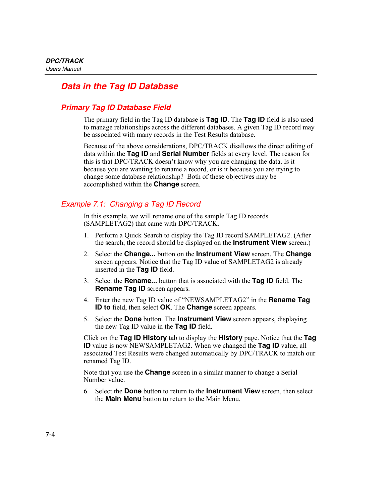# <span id="page-107-0"></span>*Data in the Tag ID Database*

## *Primary Tag ID Database Field*

The primary field in the Tag ID database is **Tag ID**. The **Tag ID** field is also used to manage relationships across the different databases. A given Tag ID record may be associated with many records in the Test Results database.

Because of the above considerations, DPC/TRACK disallows the direct editing of data within the **Tag ID** and **Serial Number** fields at every level. The reason for this is that DPC/TRACK doesn't know why you are changing the data. Is it because you are wanting to rename a record, or is it because you are trying to change some database relationship? Both of these objectives may be accomplished within the **Change** screen.

## *Example 7.1: Changing a Tag ID Record*

In this example, we will rename one of the sample Tag ID records (SAMPLETAG2) that came with DPC/TRACK.

- 1. Perform a Quick Search to display the Tag ID record SAMPLETAG2. (After the search, the record should be displayed on the **Instrument View** screen.)
- 2. Select the **Change...** button on the **Instrument View** screen. The **Change** screen appears. Notice that the Tag ID value of SAMPLETAG2 is already inserted in the **Tag ID** field.
- 3. Select the **Rename...** button that is associated with the **Tag ID** field. The **Rename Tag ID** screen appears.
- 4. Enter the new Tag ID value of "NEWSAMPLETAG2" in the **Rename Tag ID to** field, then select **OK**. The **Change** screen appears.
- 5. Select the **Done** button. The **Instrument View** screen appears, displaying the new Tag ID value in the **Tag ID** field.

Click on the **Tag ID History** tab to display the **History** page. Notice that the **Tag ID** value is now NEWSAMPLETAG2. When we changed the **Tag ID** value, all associated Test Results were changed automatically by DPC/TRACK to match our renamed Tag ID.

Note that you use the **Change** screen in a similar manner to change a Serial Number value.

6. Select the **Done** button to return to the **Instrument View** screen, then select the **Main Menu** button to return to the Main Menu.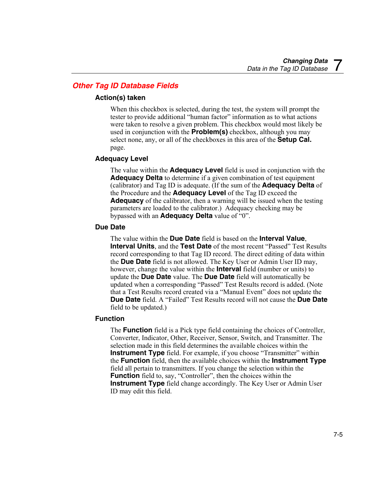# *Other Tag ID Database Fields*

### **Action(s) taken**

When this checkbox is selected, during the test, the system will prompt the tester to provide additional "human factor" information as to what actions were taken to resolve a given problem. This checkbox would most likely be used in conjunction with the **Problem(s)** checkbox, although you may select none, any, or all of the checkboxes in this area of the **Setup Cal.** page.

### **Adequacy Level**

The value within the **Adequacy Level** field is used in conjunction with the **Adequacy Delta** to determine if a given combination of test equipment (calibrator) and Tag ID is adequate. (If the sum of the **Adequacy Delta** of the Procedure and the **Adequacy Level** of the Tag ID exceed the **Adequacy** of the calibrator, then a warning will be issued when the testing parameters are loaded to the calibrator.) Adequacy checking may be bypassed with an **Adequacy Delta** value of "0".

### **Due Date**

The value within the **Due Date** field is based on the **Interval Value**, **Interval Units**, and the **Test Date** of the most recent "Passed" Test Results record corresponding to that Tag ID record. The direct editing of data within the **Due Date** field is not allowed. The Key User or Admin User ID may, however, change the value within the **Interval** field (number or units) to update the **Due Date** value. The **Due Date** field will automatically be updated when a corresponding "Passed" Test Results record is added. (Note that a Test Results record created via a "Manual Event" does not update the **Due Date** field. A "Failed" Test Results record will not cause the **Due Date** field to be updated.)

### **Function**

The **Function** field is a Pick type field containing the choices of Controller, Converter, Indicator, Other, Receiver, Sensor, Switch, and Transmitter. The selection made in this field determines the available choices within the **Instrument Type** field. For example, if you choose "Transmitter" within the **Function** field, then the available choices within the **Instrument Type** field all pertain to transmitters. If you change the selection within the **Function** field to, say, "Controller", then the choices within the **Instrument Type** field change accordingly. The Key User or Admin User ID may edit this field.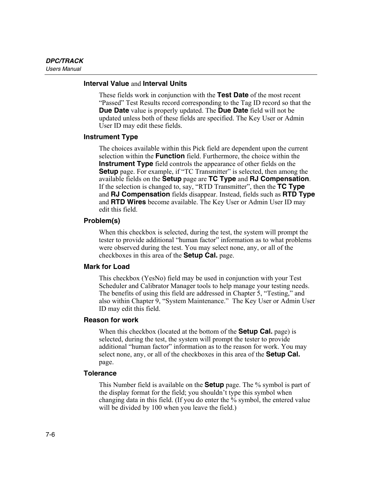#### **Interval Value** and **Interval Units**

These fields work in conjunction with the **Test Date** of the most recent "Passed" Test Results record corresponding to the Tag ID record so that the **Due Date** value is properly updated. The **Due Date** field will not be updated unless both of these fields are specified. The Key User or Admin User ID may edit these fields.

#### **Instrument Type**

The choices available within this Pick field are dependent upon the current selection within the **Function** field. Furthermore, the choice within the **Instrument Type** field controls the appearance of other fields on the **Setup** page. For example, if "TC Transmitter" is selected, then among the available fields on the **Setup** page are **TC Type** and **RJ Compensation**. If the selection is changed to, say, "RTD Transmitter", then the **TC Type** and **RJ Compensation** fields disappear. Instead, fields such as **RTD Type** and **RTD Wires** become available. The Key User or Admin User ID may edit this field.

#### **Problem(s)**

When this checkbox is selected, during the test, the system will prompt the tester to provide additional "human factor" information as to what problems were observed during the test. You may select none, any, or all of the checkboxes in this area of the **Setup Cal.** page.

#### **Mark for Load**

This checkbox (YesNo) field may be used in conjunction with your Test Scheduler and Calibrator Manager tools to help manage your testing needs. The benefits of using this field are addressed in Chapter 5, "Testing," and also within Chapter 9, "System Maintenance." The Key User or Admin User ID may edit this field.

#### **Reason for work**

When this checkbox (located at the bottom of the **Setup Cal.** page) is selected, during the test, the system will prompt the tester to provide additional "human factor" information as to the reason for work. You may select none, any, or all of the checkboxes in this area of the **Setup Cal.** page.

#### **Tolerance**

This Number field is available on the **Setup** page. The % symbol is part of the display format for the field; you shouldn't type this symbol when changing data in this field. (If you do enter the % symbol, the entered value will be divided by 100 when you leave the field.)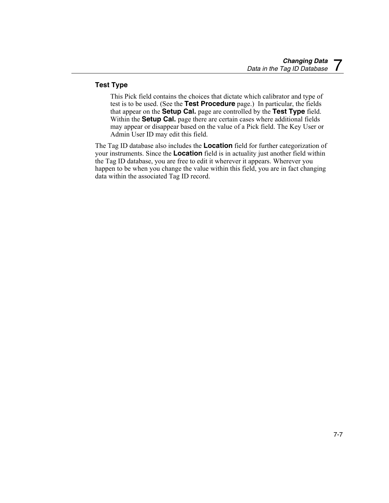### **Test Type**

This Pick field contains the choices that dictate which calibrator and type of test is to be used. (See the **Test Procedure** page.) In particular, the fields that appear on the **Setup Cal.** page are controlled by the **Test Type** field. Within the **Setup Cal.** page there are certain cases where additional fields may appear or disappear based on the value of a Pick field. The Key User or Admin User ID may edit this field.

The Tag ID database also includes the **Location** field for further categorization of your instruments. Since the **Location** field is in actuality just another field within the Tag ID database, you are free to edit it wherever it appears. Wherever you happen to be when you change the value within this field, you are in fact changing data within the associated Tag ID record.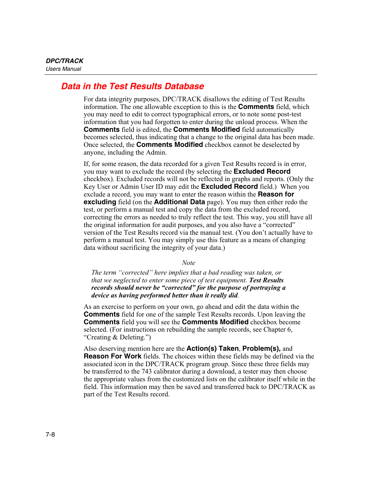# *Data in the Test Results Database*

For data integrity purposes, DPC/TRACK disallows the editing of Test Results information. The one allowable exception to this is the **Comments** field, which you may need to edit to correct typographical errors, or to note some post-test information that you had forgotten to enter during the unload process. When the **Comments** field is edited, the **Comments Modified** field automatically becomes selected, thus indicating that a change to the original data has been made. Once selected, the **Comments Modified** checkbox cannot be deselected by anyone, including the Admin.

If, for some reason, the data recorded for a given Test Results record is in error, you may want to exclude the record (by selecting the **Excluded Record** checkbox). Excluded records will not be reflected in graphs and reports. (Only the Key User or Admin User ID may edit the **Excluded Record** field.) When you exclude a record, you may want to enter the reason within the **Reason for excluding** field (on the **Additional Data** page). You may then either redo the test, or perform a manual test and copy the data from the excluded record, correcting the errors as needed to truly reflect the test. This way, you still have all the original information for audit purposes, and you also have a "corrected" version of the Test Results record via the manual test. (You don't actually have to perform a manual test. You may simply use this feature as a means of changing data without sacrificing the integrity of your data.)

*Note* 

*The term "corrected" here implies that a bad reading was taken, or that we neglected to enter some piece of test equipment. Test Results records should never be "corrected" for the purpose of portraying a device as having performed better than it really did.* 

As an exercise to perform on your own, go ahead and edit the data within the **Comments** field for one of the sample Test Results records. Upon leaving the **Comments** field you will see the **Comments Modified** checkbox become selected. (For instructions on rebuilding the sample records, see Chapter 6, "Creating & Deleting.")

Also deserving mention here are the **Action(s) Taken**, **Problem(s),** and **Reason For Work** fields. The choices within these fields may be defined via the associated icon in the DPC/TRACK program group. Since these three fields may be transferred to the 743 calibrator during a download, a tester may then choose the appropriate values from the customized lists on the calibrator itself while in the field. This information may then be saved and transferred back to DPC/TRACK as part of the Test Results record.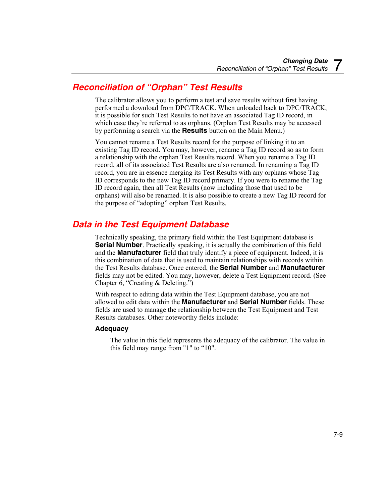# *Reconciliation of "Orphan" Test Results*

The calibrator allows you to perform a test and save results without first having performed a download from DPC/TRACK. When unloaded back to DPC/TRACK, it is possible for such Test Results to not have an associated Tag ID record, in which case they're referred to as orphans. (Orphan Test Results may be accessed by performing a search via the **Results** button on the Main Menu.)

You cannot rename a Test Results record for the purpose of linking it to an existing Tag ID record. You may, however, rename a Tag ID record so as to form a relationship with the orphan Test Results record. When you rename a Tag ID record, all of its associated Test Results are also renamed. In renaming a Tag ID record, you are in essence merging its Test Results with any orphans whose Tag ID corresponds to the new Tag ID record primary. If you were to rename the Tag ID record again, then all Test Results (now including those that used to be orphans) will also be renamed. It is also possible to create a new Tag ID record for the purpose of "adopting" orphan Test Results.

# *Data in the Test Equipment Database*

Technically speaking, the primary field within the Test Equipment database is **Serial Number**. Practically speaking, it is actually the combination of this field and the **Manufacturer** field that truly identify a piece of equipment. Indeed, it is this combination of data that is used to maintain relationships with records within the Test Results database. Once entered, the **Serial Number** and **Manufacturer** fields may not be edited. You may, however, delete a Test Equipment record. (See Chapter 6, "Creating & Deleting.")

With respect to editing data within the Test Equipment database, you are not allowed to edit data within the **Manufacturer** and **Serial Number** fields. These fields are used to manage the relationship between the Test Equipment and Test Results databases. Other noteworthy fields include:

### **Adequacy**

The value in this field represents the adequacy of the calibrator. The value in this field may range from "1" to "10".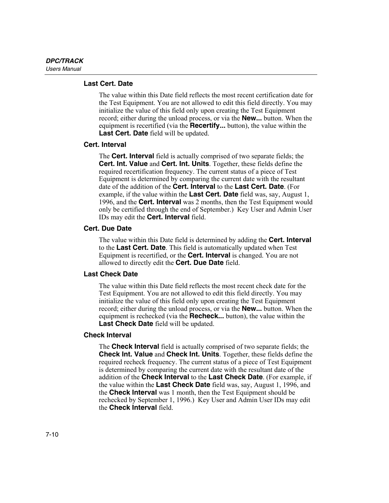### **Last Cert. Date**

The value within this Date field reflects the most recent certification date for the Test Equipment. You are not allowed to edit this field directly. You may initialize the value of this field only upon creating the Test Equipment record; either during the unload process, or via the **New...** button. When the equipment is recertified (via the **Recertify...** button), the value within the **Last Cert. Date** field will be updated.

### **Cert. Interval**

The **Cert. Interval** field is actually comprised of two separate fields; the **Cert. Int. Value** and **Cert. Int. Units**. Together, these fields define the required recertification frequency. The current status of a piece of Test Equipment is determined by comparing the current date with the resultant date of the addition of the **Cert. Interval** to the **Last Cert. Date**. (For example, if the value within the **Last Cert. Date** field was, say, August 1, 1996, and the **Cert. Interval** was 2 months, then the Test Equipment would only be certified through the end of September.) Key User and Admin User IDs may edit the **Cert. Interval** field.

### **Cert. Due Date**

The value within this Date field is determined by adding the **Cert. Interval** to the **Last Cert. Date**. This field is automatically updated when Test Equipment is recertified, or the **Cert. Interval** is changed. You are not allowed to directly edit the **Cert. Due Date** field.

### **Last Check Date**

The value within this Date field reflects the most recent check date for the Test Equipment. You are not allowed to edit this field directly. You may initialize the value of this field only upon creating the Test Equipment record; either during the unload process, or via the **New...** button. When the equipment is rechecked (via the **Recheck...** button), the value within the **Last Check Date** field will be updated.

### **Check Interval**

The **Check Interval** field is actually comprised of two separate fields; the **Check Int. Value** and **Check Int. Units**. Together, these fields define the required recheck frequency. The current status of a piece of Test Equipment is determined by comparing the current date with the resultant date of the addition of the **Check Interval** to the **Last Check Date**. (For example, if the value within the **Last Check Date** field was, say, August 1, 1996, and the **Check Interval** was 1 month, then the Test Equipment should be rechecked by September 1, 1996.) Key User and Admin User IDs may edit the **Check Interval** field.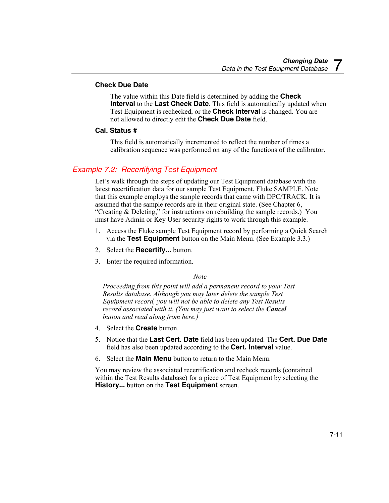### **Check Due Date**

The value within this Date field is determined by adding the **Check Interval** to the **Last Check Date**. This field is automatically updated when Test Equipment is rechecked, or the **Check Interval** is changed. You are not allowed to directly edit the **Check Due Date** field.

### **Cal. Status #**

This field is automatically incremented to reflect the number of times a calibration sequence was performed on any of the functions of the calibrator.

### *Example 7.2: Recertifying Test Equipment*

Let's walk through the steps of updating our Test Equipment database with the latest recertification data for our sample Test Equipment, Fluke SAMPLE. Note that this example employs the sample records that came with DPC/TRACK. It is assumed that the sample records are in their original state. (See Chapter 6, "Creating & Deleting," for instructions on rebuilding the sample records.) You must have Admin or Key User security rights to work through this example.

- 1. Access the Fluke sample Test Equipment record by performing a Quick Search via the **Test Equipment** button on the Main Menu. (See Example 3.3.)
- 2. Select the **Recertify...** button.
- 3. Enter the required information.

### *Note*

*Proceeding from this point will add a permanent record to your Test Results database. Although you may later delete the sample Test Equipment record, you will not be able to delete any Test Results record associated with it. (You may just want to select the Cancel button and read along from here.)* 

- 4. Select the **Create** button.
- 5. Notice that the **Last Cert. Date** field has been updated. The **Cert. Due Date** field has also been updated according to the **Cert. Interval** value.
- 6. Select the **Main Menu** button to return to the Main Menu.

You may review the associated recertification and recheck records (contained within the Test Results database) for a piece of Test Equipment by selecting the **History...** button on the **Test Equipment** screen.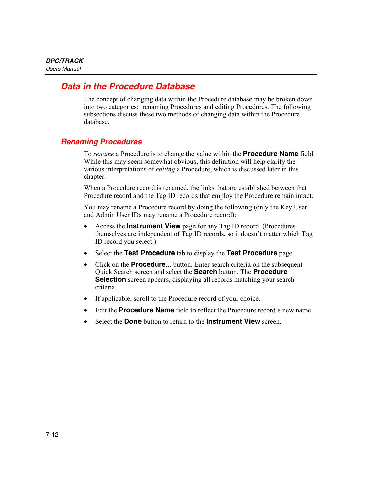# *Data in the Procedure Database*

The concept of changing data within the Procedure database may be broken down into two categories: renaming Procedures and editing Procedures. The following subsections discuss these two methods of changing data within the Procedure database.

### *Renaming Procedures*

To *rename* a Procedure is to change the value within the **Procedure Name** field. While this may seem somewhat obvious, this definition will help clarify the various interpretations of *editing* a Procedure, which is discussed later in this chapter.

When a Procedure record is renamed, the links that are established between that Procedure record and the Tag ID records that employ the Procedure remain intact.

You may rename a Procedure record by doing the following (only the Key User and Admin User IDs may rename a Procedure record):

- Access the **Instrument View** page for any Tag ID record. (Procedures themselves are independent of Tag ID records, so it doesn't matter which Tag ID record you select.)
- Select the **Test Procedure** tab to display the **Test Procedure** page.
- Click on the **Procedure...** button. Enter search criteria on the subsequent Quick Search screen and select the **Search** button. The **Procedure Selection** screen appears, displaying all records matching your search criteria.
- If applicable, scroll to the Procedure record of your choice.
- Edit the **Procedure Name** field to reflect the Procedure record's new name.
- Select the **Done** button to return to the **Instrument View** screen.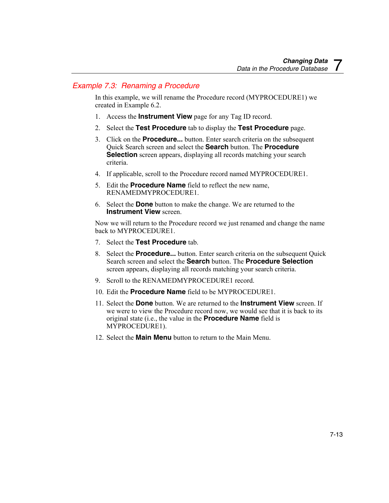# *Example 7.3: Renaming a Procedure*

In this example, we will rename the Procedure record (MYPROCEDURE1) we created in Example 6.2.

- 1. Access the **Instrument View** page for any Tag ID record.
- 2. Select the **Test Procedure** tab to display the **Test Procedure** page.
- 3. Click on the **Procedure...** button. Enter search criteria on the subsequent Quick Search screen and select the **Search** button. The **Procedure Selection** screen appears, displaying all records matching your search criteria.
- 4. If applicable, scroll to the Procedure record named MYPROCEDURE1.
- 5. Edit the **Procedure Name** field to reflect the new name, RENAMEDMYPROCEDURE1.
- 6. Select the **Done** button to make the change. We are returned to the **Instrument View** screen.

Now we will return to the Procedure record we just renamed and change the name back to MYPROCEDURE1.

- 7. Select the **Test Procedure** tab.
- 8. Select the **Procedure...** button. Enter search criteria on the subsequent Quick Search screen and select the **Search** button. The **Procedure Selection** screen appears, displaying all records matching your search criteria.
- 9. Scroll to the RENAMEDMYPROCEDURE1 record.
- 10. Edit the **Procedure Name** field to be MYPROCEDURE1.
- 11. Select the **Done** button. We are returned to the **Instrument View** screen. If we were to view the Procedure record now, we would see that it is back to its original state (i.e., the value in the **Procedure Name** field is MYPROCEDURE1).
- 12. Select the **Main Menu** button to return to the Main Menu.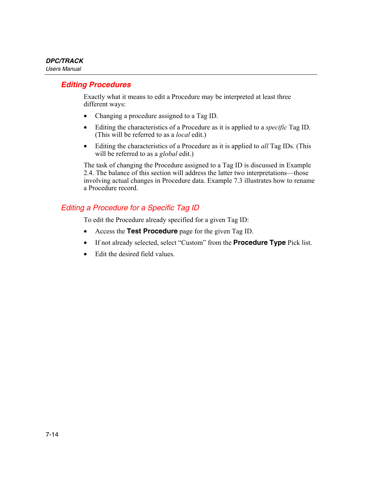# *Editing Procedures*

Exactly what it means to edit a Procedure may be interpreted at least three different ways:

- Changing a procedure assigned to a Tag ID.
- Editing the characteristics of a Procedure as it is applied to a *specific* Tag ID. (This will be referred to as a *local* edit.)
- Editing the characteristics of a Procedure as it is applied to *all* Tag IDs. (This will be referred to as a *global* edit.)

The task of changing the Procedure assigned to a Tag ID is discussed in Example 2.4. The balance of this section will address the latter two interpretations—those involving actual changes in Procedure data. Example 7.3 illustrates how to rename a Procedure record.

# *Editing a Procedure for a Specific Tag ID*

To edit the Procedure already specified for a given Tag ID:

- Access the **Test Procedure** page for the given Tag ID.
- If not already selected, select "Custom" from the **Procedure Type** Pick list.
- Edit the desired field values.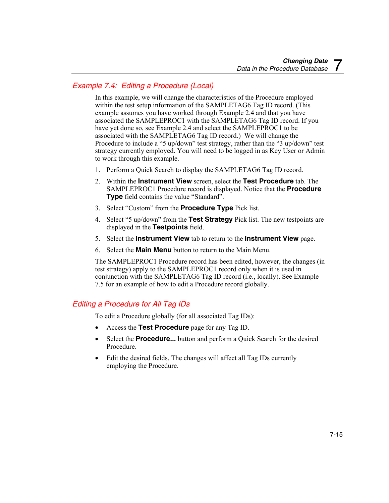# *Example 7.4: Editing a Procedure (Local)*

In this example, we will change the characteristics of the Procedure employed within the test setup information of the SAMPLETAG6 Tag ID record. (This example assumes you have worked through Example 2.4 and that you have associated the SAMPLEPROC1 with the SAMPLETAG6 Tag ID record. If you have yet done so, see Example 2.4 and select the SAMPLEPROC1 to be associated with the SAMPLETAG6 Tag ID record.) We will change the Procedure to include a "5 up/down" test strategy, rather than the "3 up/down" test strategy currently employed. You will need to be logged in as Key User or Admin to work through this example.

- 1. Perform a Quick Search to display the SAMPLETAG6 Tag ID record.
- 2. Within the **Instrument View** screen, select the **Test Procedure** tab. The SAMPLEPROC1 Procedure record is displayed. Notice that the **Procedure Type** field contains the value "Standard".
- 3. Select "Custom" from the **Procedure Type** Pick list.
- 4. Select "5 up/down" from the **Test Strategy** Pick list. The new testpoints are displayed in the **Testpoints** field.
- 5. Select the **Instrument View** tab to return to the **Instrument View** page.
- 6. Select the **Main Menu** button to return to the Main Menu.

The SAMPLEPROC1 Procedure record has been edited, however, the changes (in test strategy) apply to the SAMPLEPROC1 record only when it is used in conjunction with the SAMPLETAG6 Tag ID record (i.e., locally). See Example 7.5 for an example of how to edit a Procedure record globally.

# *Editing a Procedure for All Tag IDs*

To edit a Procedure globally (for all associated Tag IDs):

- Access the **Test Procedure** page for any Tag ID.
- Select the **Procedure...** button and perform a Quick Search for the desired Procedure.
- Edit the desired fields. The changes will affect all Tag IDs currently employing the Procedure.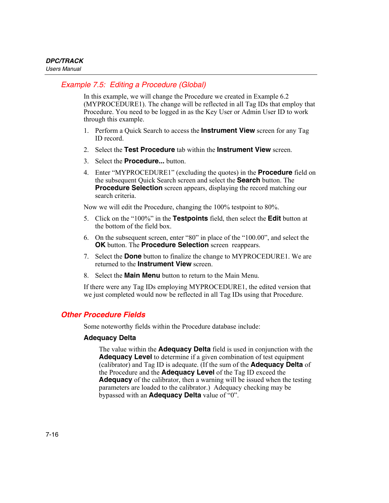# *Example 7.5: Editing a Procedure (Global)*

In this example, we will change the Procedure we created in Example 6.2 (MYPROCEDURE1). The change will be reflected in all Tag IDs that employ that Procedure. You need to be logged in as the Key User or Admin User ID to work through this example.

- 1. Perform a Quick Search to access the **Instrument View** screen for any Tag ID record.
- 2. Select the **Test Procedure** tab within the **Instrument View** screen.
- 3. Select the **Procedure...** button.
- 4. Enter "MYPROCEDURE1" (excluding the quotes) in the **Procedure** field on the subsequent Quick Search screen and select the **Search** button. The **Procedure Selection** screen appears, displaying the record matching our search criteria.

Now we will edit the Procedure, changing the 100% testpoint to 80%.

- 5. Click on the "100%" in the **Testpoints** field, then select the **Edit** button at the bottom of the field box.
- 6. On the subsequent screen, enter "80" in place of the "100.00", and select the **OK** button. The **Procedure Selection** screen reappears.
- 7. Select the **Done** button to finalize the change to MYPROCEDURE1. We are returned to the **Instrument View** screen.
- 8. Select the **Main Menu** button to return to the Main Menu.

If there were any Tag IDs employing MYPROCEDURE1, the edited version that we just completed would now be reflected in all Tag IDs using that Procedure.

### *Other Procedure Fields*

Some noteworthy fields within the Procedure database include:

### **Adequacy Delta**

The value within the **Adequacy Delta** field is used in conjunction with the **Adequacy Level** to determine if a given combination of test equipment (calibrator) and Tag ID is adequate. (If the sum of the **Adequacy Delta** of the Procedure and the **Adequacy Level** of the Tag ID exceed the **Adequacy** of the calibrator, then a warning will be issued when the testing parameters are loaded to the calibrator.) Adequacy checking may be bypassed with an **Adequacy Delta** value of "0".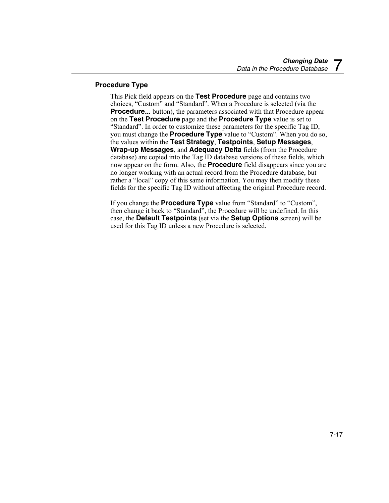### **Procedure Type**

This Pick field appears on the **Test Procedure** page and contains two choices, "Custom" and "Standard". When a Procedure is selected (via the **Procedure...** button), the parameters associated with that Procedure appear on the **Test Procedure** page and the **Procedure Type** value is set to "Standard". In order to customize these parameters for the specific Tag ID, you must change the **Procedure Type** value to "Custom". When you do so, the values within the **Test Strategy**, **Testpoints**, **Setup Messages**, **Wrap-up Messages**, and **Adequacy Delta** fields (from the Procedure database) are copied into the Tag ID database versions of these fields, which now appear on the form. Also, the **Procedure** field disappears since you are no longer working with an actual record from the Procedure database, but rather a "local" copy of this same information. You may then modify these fields for the specific Tag ID without affecting the original Procedure record.

If you change the **Procedure Type** value from "Standard" to "Custom", then change it back to "Standard", the Procedure will be undefined. In this case, the **Default Testpoints** (set via the **Setup Options** screen) will be used for this Tag ID unless a new Procedure is selected.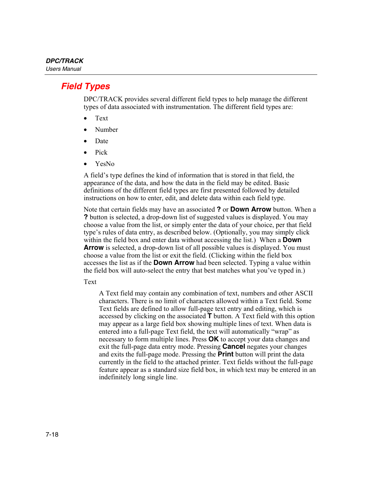# *Field Types*

DPC/TRACK provides several different field types to help manage the different types of data associated with instrumentation. The different field types are:

- Text
- Number
- Date
- Pick
- YesNo

A field's type defines the kind of information that is stored in that field, the appearance of the data, and how the data in the field may be edited. Basic definitions of the different field types are first presented followed by detailed instructions on how to enter, edit, and delete data within each field type.

Note that certain fields may have an associated **?** or **Down Arrow** button. When a **?** button is selected, a drop-down list of suggested values is displayed. You may choose a value from the list, or simply enter the data of your choice, per that field type's rules of data entry, as described below. (Optionally, you may simply click within the field box and enter data without accessing the list.) When a **Down Arrow** is selected, a drop-down list of all possible values is displayed. You must choose a value from the list or exit the field. (Clicking within the field box accesses the list as if the **Down Arrow** had been selected. Typing a value within the field box will auto-select the entry that best matches what you've typed in.)

Text

A Text field may contain any combination of text, numbers and other ASCII characters. There is no limit of characters allowed within a Text field. Some Text fields are defined to allow full-page text entry and editing, which is accessed by clicking on the associated **T** button. A Text field with this option may appear as a large field box showing multiple lines of text. When data is entered into a full-page Text field, the text will automatically "wrap" as necessary to form multiple lines. Press **OK** to accept your data changes and exit the full-page data entry mode. Pressing **Cancel** negates your changes and exits the full-page mode. Pressing the **Print** button will print the data currently in the field to the attached printer. Text fields without the full-page feature appear as a standard size field box, in which text may be entered in an indefinitely long single line.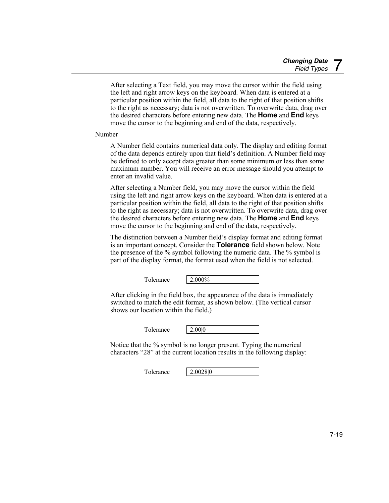After selecting a Text field, you may move the cursor within the field using the left and right arrow keys on the keyboard. When data is entered at a particular position within the field, all data to the right of that position shifts to the right as necessary; data is not overwritten. To overwrite data, drag over the desired characters before entering new data. The **Home** and **End** keys move the cursor to the beginning and end of the data, respectively.

Number

A Number field contains numerical data only. The display and editing format of the data depends entirely upon that field's definition. A Number field may be defined to only accept data greater than some minimum or less than some maximum number. You will receive an error message should you attempt to enter an invalid value.

After selecting a Number field, you may move the cursor within the field using the left and right arrow keys on the keyboard. When data is entered at a particular position within the field, all data to the right of that position shifts to the right as necessary; data is not overwritten. To overwrite data, drag over the desired characters before entering new data. The **Home** and **End** keys move the cursor to the beginning and end of the data, respectively.

The distinction between a Number field's display format and editing format is an important concept. Consider the **Tolerance** field shown below. Note the presence of the % symbol following the numeric data. The % symbol is part of the display format, the format used when the field is not selected.

Tolerance 2.000%

After clicking in the field box, the appearance of the data is immediately switched to match the edit format, as shown below. (The vertical cursor shows our location within the field.)

Tolerance 2.000

Notice that the % symbol is no longer present. Typing the numerical characters "28" at the current location results in the following display:

Tolerance 2.0028|0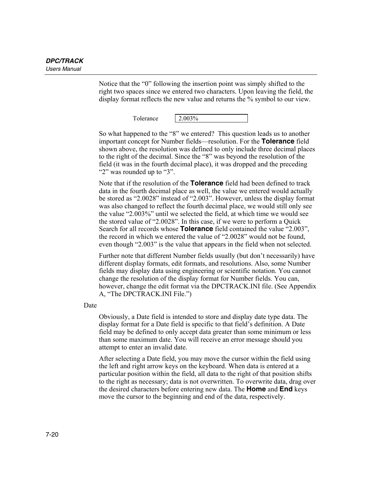Notice that the "0" following the insertion point was simply shifted to the right two spaces since we entered two characters. Upon leaving the field, the display format reflects the new value and returns the % symbol to our view.

Tolerance  $\frac{12.003\%}{2.003\%}$ 

So what happened to the "8" we entered? This question leads us to another important concept for Number fields—resolution. For the **Tolerance** field shown above, the resolution was defined to only include three decimal places to the right of the decimal. Since the "8" was beyond the resolution of the field (it was in the fourth decimal place), it was dropped and the preceding "2" was rounded up to "3".

Note that if the resolution of the **Tolerance** field had been defined to track data in the fourth decimal place as well, the value we entered would actually be stored as "2.0028" instead of "2.003". However, unless the display format was also changed to reflect the fourth decimal place, we would still only see the value "2.003%" until we selected the field, at which time we would see the stored value of "2.0028". In this case, if we were to perform a Quick Search for all records whose **Tolerance** field contained the value "2.003", the record in which we entered the value of "2.0028" would not be found, even though "2.003" is the value that appears in the field when not selected.

Further note that different Number fields usually (but don't necessarily) have different display formats, edit formats, and resolutions. Also, some Number fields may display data using engineering or scientific notation. You cannot change the resolution of the display format for Number fields. You can, however, change the edit format via the DPCTRACK.INI file. (See Appendix A, "The DPCTRACK.INI File.")

Date

Obviously, a Date field is intended to store and display date type data. The display format for a Date field is specific to that field's definition. A Date field may be defined to only accept data greater than some minimum or less than some maximum date. You will receive an error message should you attempt to enter an invalid date.

After selecting a Date field, you may move the cursor within the field using the left and right arrow keys on the keyboard. When data is entered at a particular position within the field, all data to the right of that position shifts to the right as necessary; data is not overwritten. To overwrite data, drag over the desired characters before entering new data. The **Home** and **End** keys move the cursor to the beginning and end of the data, respectively.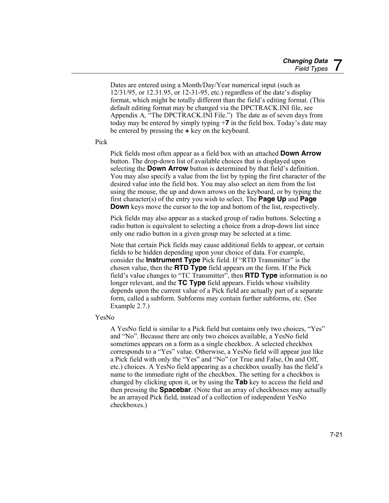Dates are entered using a Month/Day/Year numerical input (such as 12/31/95, or 12.31.95, or 12-31-95, etc.) regardless of the date's display format, which might be totally different than the field's editing format. (This default editing format may be changed via the DPCTRACK.INI file, see Appendix A*,* "The DPCTRACK.INI File.") The date as of seven days from today may be entered by simply typing +**7** in the field box. Today's date may be entered by pressing the **+** key on the keyboard.

Pick

Pick fields most often appear as a field box with an attached **Down Arrow** button. The drop-down list of available choices that is displayed upon selecting the **Down Arrow** button is determined by that field's definition. You may also specify a value from the list by typing the first character of the desired value into the field box. You may also select an item from the list using the mouse, the up and down arrows on the keyboard, or by typing the first character(s) of the entry you wish to select. The **Page Up** and **Page Down** keys move the cursor to the top and bottom of the list, respectively.

Pick fields may also appear as a stacked group of radio buttons. Selecting a radio button is equivalent to selecting a choice from a drop-down list since only one radio button in a given group may be selected at a time.

Note that certain Pick fields may cause additional fields to appear, or certain fields to be hidden depending upon your choice of data. For example, consider the **Instrument Type** Pick field. If "RTD Transmitter" is the chosen value, then the **RTD Type** field appears on the form. If the Pick field's value changes to "TC Transmitter", then **RTD Type** information is no longer relevant, and the **TC Type** field appears. Fields whose visibility depends upon the current value of a Pick field are actually part of a separate form, called a subform. Subforms may contain further subforms, etc. (See Example 2.7.)

YesNo

A YesNo field is similar to a Pick field but contains only two choices, "Yes" and "No". Because there are only two choices available, a YesNo field sometimes appears on a form as a single checkbox. A selected checkbox corresponds to a "Yes" value. Otherwise, a YesNo field will appear just like a Pick field with only the "Yes" and "No" (or True and False, On and Off, etc.) choices. A YesNo field appearing as a checkbox usually has the field's name to the immediate right of the checkbox. The setting for a checkbox is changed by clicking upon it, or by using the **Tab** key to access the field and then pressing the **Spacebar**. (Note that an array of checkboxes may actually be an arrayed Pick field, instead of a collection of independent YesNo checkboxes.)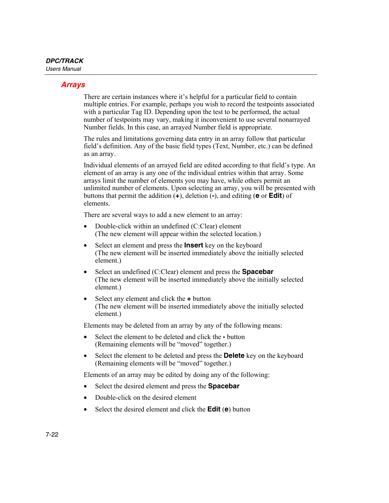### *Arrays*

There are certain instances where it's helpful for a particular field to contain multiple entries. For example, perhaps you wish to record the testpoints associated with a particular Tag ID. Depending upon the test to be performed, the actual number of testpoints may vary, making it inconvenient to use several nonarrayed Number fields. In this case, an arrayed Number field is appropriate.

The rules and limitations governing data entry in an array follow that particular field's definition. Any of the basic field types (Text, Number, etc.) can be defined as an array.

Individual elements of an arrayed field are edited according to that field's type. An element of an array is any one of the individual entries within that array. Some arrays limit the number of elements you may have, while others permit an unlimited number of elements. Upon selecting an array, you will be presented with buttons that permit the addition (**+**), deletion (**-**), and editing (**e** or **Edit**) of elements.

There are several ways to add a new element to an array:

- Double-click within an undefined (C:Clear) element (The new element will appear within the selected location.)
- Select an element and press the **Insert** key on the keyboard (The new element will be inserted immediately above the initially selected element.)
- Select an undefined (C:Clear) element and press the **Spacebar**  (The new element will be inserted immediately above the initially selected element.)
- Select any element and click the **+** button (The new element will be inserted immediately above the initially selected element.)

Elements may be deleted from an array by any of the following means:

- Select the element to be deleted and click the **-** button (Remaining elements will be "moved" together.)
- Select the element to be deleted and press the **Delete** key on the keyboard (Remaining elements will be "moved" together.)

Elements of an array may be edited by doing any of the following:

- Select the desired element and press the **Spacebar**
- Double-click on the desired element
- Select the desired element and click the **Edit** (**e**) button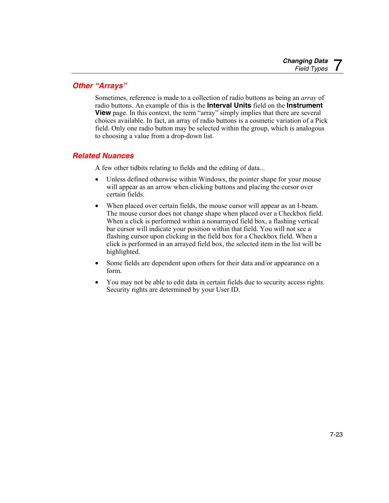# *Other "Arrays"*

Sometimes, reference is made to a collection of radio buttons as being an *array* of radio buttons. An example of this is the **Interval Units** field on the **Instrument View** page. In this context, the term "array" simply implies that there are several choices available. In fact, an array of radio buttons is a cosmetic variation of a Pick field. Only one radio button may be selected within the group, which is analogous to choosing a value from a drop-down list.

# *Related Nuances*

A few other tidbits relating to fields and the editing of data...

- Unless defined otherwise within Windows, the pointer shape for your mouse will appear as an arrow when clicking buttons and placing the cursor over certain fields.
- When placed over certain fields, the mouse cursor will appear as an I-beam. The mouse cursor does not change shape when placed over a Checkbox field. When a click is performed within a nonarrayed field box, a flashing vertical bar cursor will indicate your position within that field. You will not see a flashing cursor upon clicking in the field box for a Checkbox field. When a click is performed in an arrayed field box, the selected item in the list will be highlighted.
- Some fields are dependent upon others for their data and/or appearance on a form.
- You may not be able to edit data in certain fields due to security access rights. Security rights are determined by your User ID.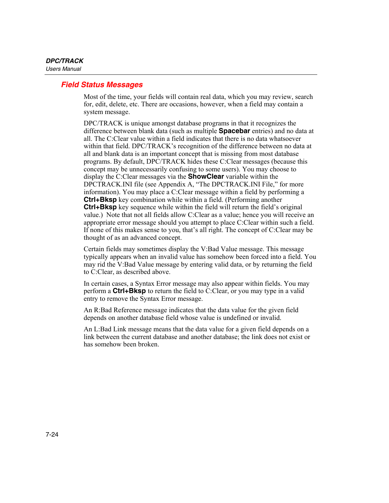### *Field Status Messages*

Most of the time, your fields will contain real data, which you may review, search for, edit, delete, etc. There are occasions, however, when a field may contain a system message.

DPC/TRACK is unique amongst database programs in that it recognizes the difference between blank data (such as multiple **Spacebar** entries) and no data at all. The C:Clear value within a field indicates that there is no data whatsoever within that field. DPC/TRACK's recognition of the difference between no data at all and blank data is an important concept that is missing from most database programs. By default, DPC/TRACK hides these C:Clear messages (because this concept may be unnecessarily confusing to some users). You may choose to display the C:Clear messages via the **ShowClear** variable within the DPCTRACK.INI file (see Appendix A, "The DPCTRACK.INI File," for more information). You may place a C:Clear message within a field by performing a **Ctrl+Bksp** key combination while within a field. (Performing another **Ctrl+Bksp** key sequence while within the field will return the field's original value.) Note that not all fields allow C:Clear as a value; hence you will receive an appropriate error message should you attempt to place C:Clear within such a field. If none of this makes sense to you, that's all right. The concept of C:Clear may be thought of as an advanced concept.

Certain fields may sometimes display the V:Bad Value message. This message typically appears when an invalid value has somehow been forced into a field. You may rid the V:Bad Value message by entering valid data, or by returning the field to C:Clear, as described above.

In certain cases, a Syntax Error message may also appear within fields. You may perform a **Ctrl+Bksp** to return the field to C:Clear, or you may type in a valid entry to remove the Syntax Error message.

An R:Bad Reference message indicates that the data value for the given field depends on another database field whose value is undefined or invalid.

An L:Bad Link message means that the data value for a given field depends on a link between the current database and another database; the link does not exist or has somehow been broken.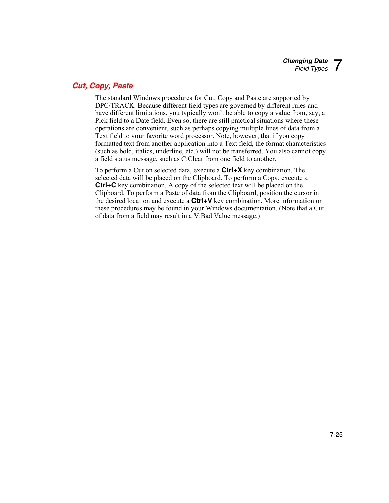# *Cut, Copy, Paste*

The standard Windows procedures for Cut, Copy and Paste are supported by DPC/TRACK. Because different field types are governed by different rules and have different limitations, you typically won't be able to copy a value from, say, a Pick field to a Date field. Even so, there are still practical situations where these operations are convenient, such as perhaps copying multiple lines of data from a Text field to your favorite word processor. Note, however, that if you copy formatted text from another application into a Text field, the format characteristics (such as bold, italics, underline, etc.) will not be transferred. You also cannot copy a field status message, such as C:Clear from one field to another.

To perform a Cut on selected data, execute a **Ctrl+X** key combination. The selected data will be placed on the Clipboard. To perform a Copy, execute a **Ctrl+C** key combination. A copy of the selected text will be placed on the Clipboard. To perform a Paste of data from the Clipboard, position the cursor in the desired location and execute a **Ctrl+V** key combination. More information on these procedures may be found in your Windows documentation. (Note that a Cut of data from a field may result in a V:Bad Value message.)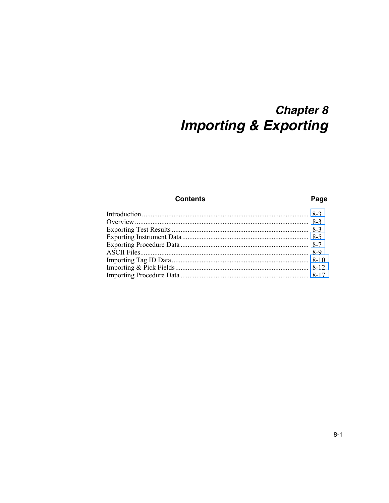# **Chapter 8 Importing & Exporting**

### **Contents**

### Page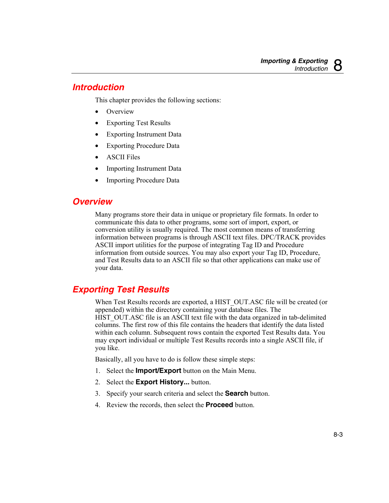# <span id="page-132-0"></span>*Introduction*

This chapter provides the following sections:

- Overview
- Exporting Test Results
- Exporting Instrument Data
- Exporting Procedure Data
- ASCII Files
- Importing Instrument Data
- **Importing Procedure Data**

# *Overview*

Many programs store their data in unique or proprietary file formats. In order to communicate this data to other programs, some sort of import, export, or conversion utility is usually required. The most common means of transferring information between programs is through ASCII text files. DPC/TRACK provides ASCII import utilities for the purpose of integrating Tag ID and Procedure information from outside sources. You may also export your Tag ID, Procedure, and Test Results data to an ASCII file so that other applications can make use of your data.

# *Exporting Test Results*

When Test Results records are exported, a HIST\_OUT.ASC file will be created (or appended) within the directory containing your database files. The HIST\_OUT.ASC file is an ASCII text file with the data organized in tab-delimited columns. The first row of this file contains the headers that identify the data listed within each column. Subsequent rows contain the exported Test Results data. You may export individual or multiple Test Results records into a single ASCII file, if you like.

Basically, all you have to do is follow these simple steps:

- 1. Select the **Import/Export** button on the Main Menu.
- 2. Select the **Export History...** button.
- 3. Specify your search criteria and select the **Search** button.
- 4. Review the records, then select the **Proceed** button.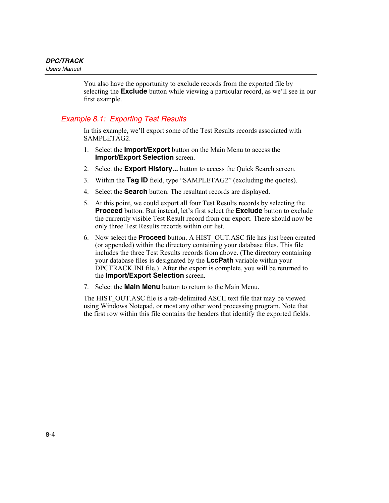You also have the opportunity to exclude records from the exported file by selecting the **Exclude** button while viewing a particular record, as we'll see in our first example.

# *Example 8.1: Exporting Test Results*

In this example, we'll export some of the Test Results records associated with SAMPLETAG2.

- 1. Select the **Import/Export** button on the Main Menu to access the **Import/Export Selection** screen.
- 2. Select the **Export History...** button to access the Quick Search screen.
- 3. Within the **Tag ID** field, type "SAMPLETAG2" (excluding the quotes).
- 4. Select the **Search** button. The resultant records are displayed.
- 5. At this point, we could export all four Test Results records by selecting the **Proceed** button. But instead, let's first select the **Exclude** button to exclude the currently visible Test Result record from our export. There should now be only three Test Results records within our list.
- 6. Now select the **Proceed** button. A HIST\_OUT.ASC file has just been created (or appended) within the directory containing your database files. This file includes the three Test Results records from above. (The directory containing your database files is designated by the **LccPath** variable within your DPCTRACK.INI file.) After the export is complete, you will be returned to the **Import/Export Selection** screen.
- 7. Select the **Main Menu** button to return to the Main Menu.

The HIST\_OUT.ASC file is a tab-delimited ASCII text file that may be viewed using Windows Notepad, or most any other word processing program. Note that the first row within this file contains the headers that identify the exported fields.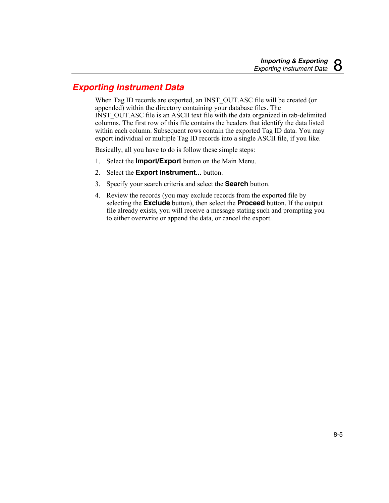# <span id="page-134-0"></span>*Exporting Instrument Data*

When Tag ID records are exported, an INST OUT.ASC file will be created (or appended) within the directory containing your database files. The INST\_OUT.ASC file is an ASCII text file with the data organized in tab-delimited columns. The first row of this file contains the headers that identify the data listed within each column. Subsequent rows contain the exported Tag ID data. You may export individual or multiple Tag ID records into a single ASCII file, if you like.

Basically, all you have to do is follow these simple steps:

- 1. Select the **Import/Export** button on the Main Menu.
- 2. Select the **Export Instrument...** button.
- 3. Specify your search criteria and select the **Search** button.
- 4. Review the records (you may exclude records from the exported file by selecting the **Exclude** button), then select the **Proceed** button. If the output file already exists, you will receive a message stating such and prompting you to either overwrite or append the data, or cancel the export.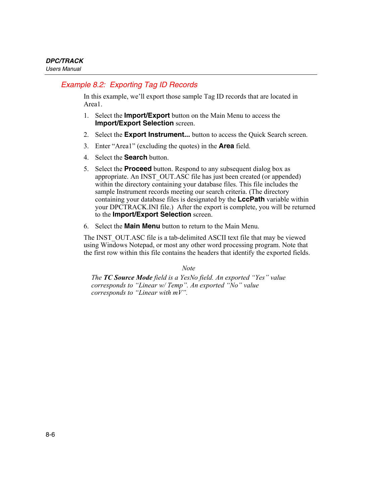# *Example 8.2: Exporting Tag ID Records*

In this example, we'll export those sample Tag ID records that are located in Area1.

- 1. Select the **Import/Export** button on the Main Menu to access the **Import/Export Selection** screen.
- 2. Select the **Export Instrument...** button to access the Quick Search screen.
- 3. Enter "Area1" (excluding the quotes) in the **Area** field.
- 4. Select the **Search** button.
- 5. Select the **Proceed** button. Respond to any subsequent dialog box as appropriate. An INST\_OUT.ASC file has just been created (or appended) within the directory containing your database files. This file includes the sample Instrument records meeting our search criteria. (The directory containing your database files is designated by the **LccPath** variable within your DPCTRACK.INI file.) After the export is complete, you will be returned to the **Import/Export Selection** screen.
- 6. Select the **Main Menu** button to return to the Main Menu.

The INST\_OUT.ASC file is a tab-delimited ASCII text file that may be viewed using Windows Notepad, or most any other word processing program. Note that the first row within this file contains the headers that identify the exported fields.

*Note* 

*The TC Source Mode field is a YesNo field. An exported "Yes" value corresponds to "Linear w/ Temp". An exported "No" value corresponds to "Linear with mV".*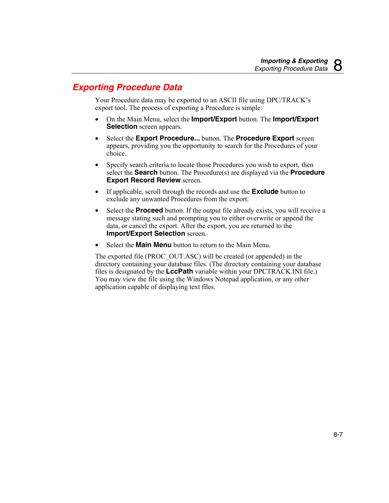# <span id="page-136-0"></span>*Exporting Procedure Data*

Your Procedure data may be exported to an ASCII file using DPC/TRACK's export tool. The process of exporting a Procedure is simple:

- On the Main Menu, select the **Import/Export** button. The **Import/Export Selection** screen appears.
- Select the **Export Procedure...** button. The **Procedure Export** screen appears, providing you the opportunity to search for the Procedures of your choice.
- Specify search criteria to locate those Procedures you wish to export, then select the **Search** button. The Procedure(s) are displayed via the **Procedure Export Record Review** screen.
- If applicable, scroll through the records and use the **Exclude** button to exclude any unwanted Procedures from the export.
- Select the **Proceed** button. If the output file already exists, you will receive a message stating such and prompting you to either overwrite or append the data, or cancel the export. After the export, you are returned to the **Import/Export Selection** screen.
- Select the **Main Menu** button to return to the Main Menu.

The exported file (PROC\_OUT.ASC) will be created (or appended) in the directory containing your database files. (The directory containing your database files is designated by the **LccPath** variable within your DPCTRACK.INI file.) You may view the file using the Windows Notepad application, or any other application capable of displaying text files.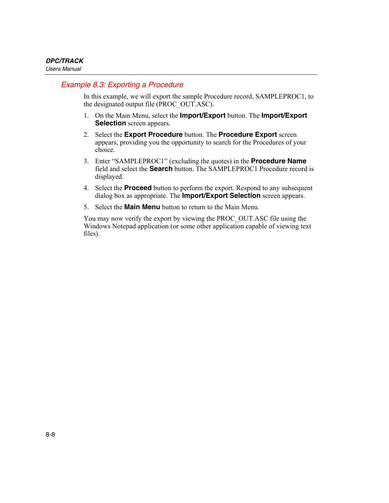# *Example 8.3: Exporting a Procedure*

In this example, we will export the sample Procedure record, SAMPLEPROC1, to the designated output file (PROC\_OUT.ASC).

- 1. On the Main Menu, select the **Import/Export** button. The **Import/Export Selection** screen appears.
- 2. Select the **Export Procedure** button. The **Procedure Export** screen appears, providing you the opportunity to search for the Procedures of your choice.
- 3. Enter "SAMPLEPROC1" (excluding the quotes) in the **Procedure Name** field and select the **Search** button. The SAMPLEPROC1 Procedure record is displayed.
- 4. Select the **Proceed** button to perform the export. Respond to any subsequent dialog box as appropriate. The **Import/Export Selection** screen appears.
- 5. Select the **Main Menu** button to return to the Main Menu.

You may now verify the export by viewing the PROC\_OUT.ASC file using the Windows Notepad application (or some other application capable of viewing text files).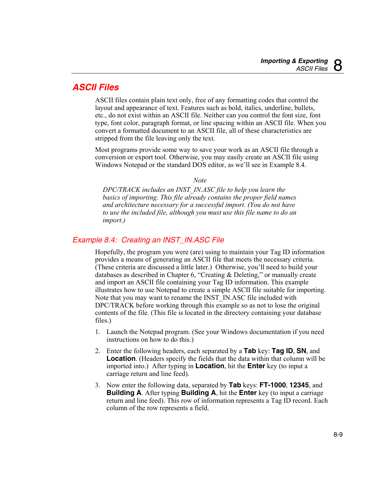# <span id="page-138-0"></span>*ASCII Files*

ASCII files contain plain text only, free of any formatting codes that control the layout and appearance of text. Features such as bold, italics, underline, bullets, etc., do not exist within an ASCII file. Neither can you control the font size, font type, font color, paragraph format, or line spacing within an ASCII file. When you convert a formatted document to an ASCII file, all of these characteristics are stripped from the file leaving only the text.

Most programs provide some way to save your work as an ASCII file through a conversion or export tool. Otherwise, you may easily create an ASCII file using Windows Notepad or the standard DOS editor, as we'll see in Example 8.4.

*Note* 

*DPC/TRACK includes an INST\_IN.ASC file to help you learn the basics of importing. This file already contains the proper field names and architecture necessary for a successful import. (You do not have to use the included file, although you must use this file name to do an import.)* 

# *Example 8.4: Creating an INST\_IN.ASC File*

Hopefully, the program you were (are) using to maintain your Tag ID information provides a means of generating an ASCII file that meets the necessary criteria. (These criteria are discussed a little later.) Otherwise, you'll need to build your databases as described in Chapter 6, "Creating & Deleting," or manually create and import an ASCII file containing your Tag ID information. This example illustrates how to use Notepad to create a simple ASCII file suitable for importing. Note that you may want to rename the INST\_IN.ASC file included with DPC/TRACK before working through this example so as not to lose the original contents of the file. (This file is located in the directory containing your database files.)

- 1. Launch the Notepad program. (See your Windows documentation if you need instructions on how to do this.)
- 2. Enter the following headers, each separated by a **Tab** key: **Tag ID**, **SN**, and **Location**. (Headers specify the fields that the data within that column will be imported into.) After typing in **Location**, hit the **Enter** key (to input a carriage return and line feed).
- 3. Now enter the following data, separated by **Tab** keys: **FT-1000**, **12345**, and **Building A**. After typing **Building A**, hit the **Enter** key (to input a carriage return and line feed). This row of information represents a Tag ID record. Each column of the row represents a field.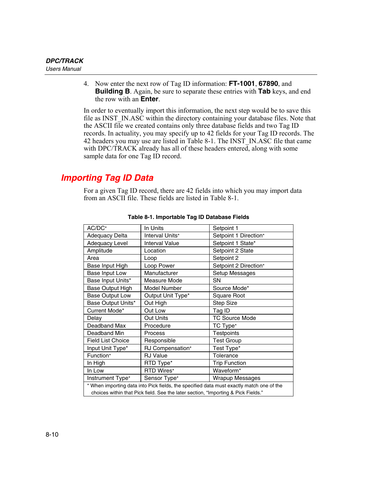<span id="page-139-0"></span>4. Now enter the next row of Tag ID information: **FT-1001**, **67890**, and **Building B**. Again, be sure to separate these entries with **Tab** keys, and end the row with an **Enter**.

In order to eventually import this information, the next step would be to save this file as INST\_IN.ASC within the directory containing your database files. Note that the ASCII file we created contains only three database fields and two Tag ID records. In actuality, you may specify up to 42 fields for your Tag ID records. The 42 headers you may use are listed in Table 8-1. The INST\_IN.ASC file that came with DPC/TRACK already has all of these headers entered, along with some sample data for one Tag ID record.

# *Importing Tag ID Data*

For a given Tag ID record, there are 42 fields into which you may import data from an ASCII file. These fields are listed in Table 8-1.

| AC/DC*                                                                                   | In Units              | Setpoint 1             |  |
|------------------------------------------------------------------------------------------|-----------------------|------------------------|--|
| <b>Adequacy Delta</b>                                                                    | Interval Units*       | Setpoint 1 Direction*  |  |
| <b>Adequacy Level</b>                                                                    | <b>Interval Value</b> | Setpoint 1 State*      |  |
| Amplitude                                                                                | Location              | Setpoint 2 State       |  |
| Area                                                                                     | Loop                  | Setpoint 2             |  |
| Base Input High                                                                          | Loop Power            | Setpoint 2 Direction*  |  |
| Base Input Low                                                                           | Manufacturer          | Setup Messages         |  |
| Base Input Units*                                                                        | Measure Mode          | SΝ                     |  |
| Base Output High                                                                         | Model Number          | Source Mode*           |  |
| <b>Base Output Low</b>                                                                   | Output Unit Type*     | Square Root            |  |
| Base Output Units*                                                                       | Out High              | <b>Step Size</b>       |  |
| Current Mode*                                                                            | Out Low               | Tag ID                 |  |
| Delay                                                                                    | Out Units             | <b>TC Source Mode</b>  |  |
| Deadband Max                                                                             | Procedure             | TC Type*               |  |
| Deadband Min                                                                             | Process               | <b>Testpoints</b>      |  |
| <b>Field List Choice</b>                                                                 | Responsible           | <b>Test Group</b>      |  |
| Input Unit Type*                                                                         | RJ Compensation*      | Test Type*             |  |
| Function*                                                                                | <b>RJ Value</b>       | Tolerance              |  |
| In High                                                                                  | RTD Type*             | <b>Trip Function</b>   |  |
| In Low                                                                                   | RTD Wires*            | Waveform <sup>*</sup>  |  |
| Instrument Type*                                                                         | Sensor Type*          | <b>Wrapup Messages</b> |  |
| * When importing data into Pick fields, the specified data must exactly match one of the |                       |                        |  |
| choices within that Pick field. See the later section, "Importing & Pick Fields."        |                       |                        |  |

**Table 8-1. Importable Tag ID Database Fields**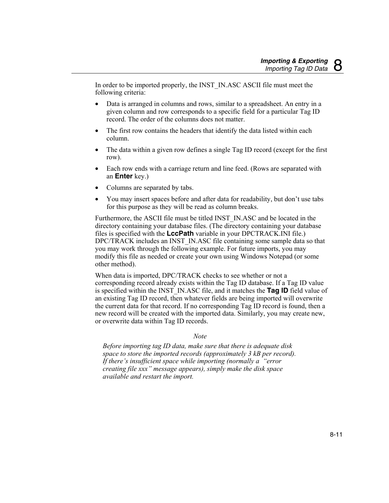In order to be imported properly, the INST\_IN.ASC ASCII file must meet the following criteria:

- Data is arranged in columns and rows, similar to a spreadsheet. An entry in a given column and row corresponds to a specific field for a particular Tag ID record. The order of the columns does not matter.
- The first row contains the headers that identify the data listed within each column.
- The data within a given row defines a single Tag ID record (except for the first row).
- Each row ends with a carriage return and line feed. (Rows are separated with an **Enter** key.)
- Columns are separated by tabs.
- You may insert spaces before and after data for readability, but don't use tabs for this purpose as they will be read as column breaks.

Furthermore, the ASCII file must be titled INST\_IN.ASC and be located in the directory containing your database files. (The directory containing your database files is specified with the **LccPath** variable in your DPCTRACK.INI file.) DPC/TRACK includes an INST\_IN.ASC file containing some sample data so that you may work through the following example. For future imports, you may modify this file as needed or create your own using Windows Notepad (or some other method).

When data is imported, DPC/TRACK checks to see whether or not a corresponding record already exists within the Tag ID database. If a Tag ID value is specified within the INST\_IN.ASC file, and it matches the **Tag ID** field value of an existing Tag ID record, then whatever fields are being imported will overwrite the current data for that record. If no corresponding Tag ID record is found, then a new record will be created with the imported data. Similarly, you may create new, or overwrite data within Tag ID records.

#### *Note*

*Before importing tag ID data, make sure that there is adequate disk space to store the imported records (approximately 3 kB per record). If there's insufficient space while importing (normally a "error creating file xxx" message appears), simply make the disk space available and restart the import.*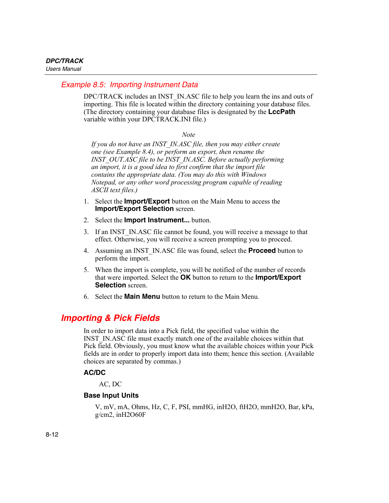### <span id="page-141-0"></span>*Example 8.5: Importing Instrument Data*

DPC/TRACK includes an INST\_IN.ASC file to help you learn the ins and outs of importing. This file is located within the directory containing your database files. (The directory containing your database files is designated by the **LccPath** variable within your DPCTRACK.INI file.)

*Note* 

*If you do not have an INST\_IN.ASC file, then you may either create one (see Example 8.4), or perform an export, then rename the INST\_OUT.ASC file to be INST\_IN.ASC. Before actually performing an import, it is a good idea to first confirm that the import file contains the appropriate data. (You may do this with Windows Notepad, or any other word processing program capable of reading ASCII text files.)* 

- 1. Select the **Import/Export** button on the Main Menu to access the **Import/Export Selection** screen.
- 2. Select the **Import Instrument...** button.
- 3. If an INST\_IN.ASC file cannot be found, you will receive a message to that effect. Otherwise, you will receive a screen prompting you to proceed.
- 4. Assuming an INST\_IN.ASC file was found, select the **Proceed** button to perform the import.
- 5. When the import is complete, you will be notified of the number of records that were imported. Select the **OK** button to return to the **Import/Export Selection** screen
- 6. Select the **Main Menu** button to return to the Main Menu.

# *Importing & Pick Fields*

In order to import data into a Pick field, the specified value within the INST\_IN.ASC file must exactly match one of the available choices within that Pick field. Obviously, you must know what the available choices within your Pick fields are in order to properly import data into them; hence this section. (Available choices are separated by commas.)

### **AC/DC**

AC, DC

### **Base Input Units**

V, mV, mA, Ohms, Hz, C, F, PSI, mmHG, inH2O, ftH2O, mmH2O, Bar, kPa, g/cm2, inH2O60F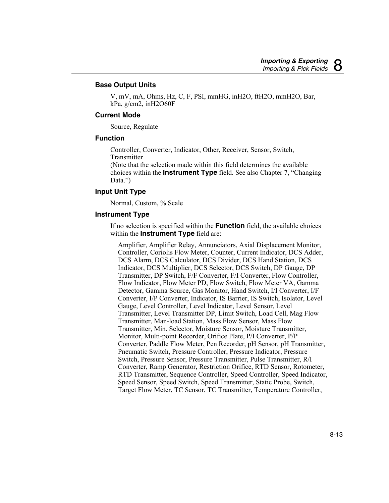### **Base Output Units**

V, mV, mA, Ohms, Hz, C, F, PSI, mmHG, inH2O, ftH2O, mmH2O, Bar,  $kPa$ ,  $g/cm2$ , inH2O60F

#### **Current Mode**

Source, Regulate

#### **Function**

Controller, Converter, Indicator, Other, Receiver, Sensor, Switch, **Transmitter** 

(Note that the selection made within this field determines the available choices within the **Instrument Type** field. See also Chapter 7, "Changing Data.")

### **Input Unit Type**

Normal, Custom, % Scale

### **Instrument Type**

If no selection is specified within the **Function** field, the available choices within the **Instrument Type** field are:

Amplifier, Amplifier Relay, Annunciators, Axial Displacement Monitor, Controller, Coriolis Flow Meter, Counter, Current Indicator, DCS Adder, DCS Alarm, DCS Calculator, DCS Divider, DCS Hand Station, DCS Indicator, DCS Multiplier, DCS Selector, DCS Switch, DP Gauge, DP Transmitter, DP Switch, F/F Converter, F/I Converter, Flow Controller, Flow Indicator, Flow Meter PD, Flow Switch, Flow Meter VA, Gamma Detector, Gamma Source, Gas Monitor, Hand Switch, I/I Converter, I/F Converter, I/P Converter, Indicator, IS Barrier, IS Switch, Isolator, Level Gauge, Level Controller, Level Indicator, Level Sensor, Level Transmitter, Level Transmitter DP, Limit Switch, Load Cell, Mag Flow Transmitter, Man-load Station, Mass Flow Sensor, Mass Flow Transmitter, Min. Selector, Moisture Sensor, Moisture Transmitter, Monitor, Multi-point Recorder, Orifice Plate, P/I Converter, P/P Converter, Paddle Flow Meter, Pen Recorder, pH Sensor, pH Transmitter, Pneumatic Switch, Pressure Controller, Pressure Indicator, Pressure Switch, Pressure Sensor, Pressure Transmitter, Pulse Transmitter, R/I Converter, Ramp Generator, Restriction Orifice, RTD Sensor, Rotometer, RTD Transmitter, Sequence Controller, Speed Controller, Speed Indicator, Speed Sensor, Speed Switch, Speed Transmitter, Static Probe, Switch, Target Flow Meter, TC Sensor, TC Transmitter, Temperature Controller,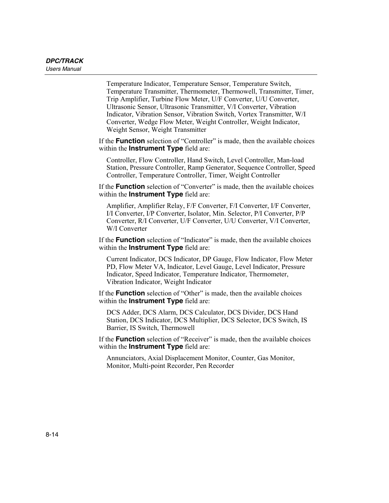Temperature Indicator, Temperature Sensor, Temperature Switch, Temperature Transmitter, Thermometer, Thermowell, Transmitter, Timer, Trip Amplifier, Turbine Flow Meter, U/F Converter, U/U Converter, Ultrasonic Sensor, Ultrasonic Transmitter, V/I Converter, Vibration Indicator, Vibration Sensor, Vibration Switch, Vortex Transmitter, W/I Converter, Wedge Flow Meter, Weight Controller, Weight Indicator, Weight Sensor, Weight Transmitter

If the **Function** selection of "Controller" is made, then the available choices within the **Instrument Type** field are:

Controller, Flow Controller, Hand Switch, Level Controller, Man-load Station, Pressure Controller, Ramp Generator, Sequence Controller, Speed Controller, Temperature Controller, Timer, Weight Controller

If the **Function** selection of "Converter" is made, then the available choices within the **Instrument Type** field are:

Amplifier, Amplifier Relay, F/F Converter, F/I Converter, I/F Converter, I/I Converter, I/P Converter, Isolator, Min. Selector, P/I Converter, P/P Converter, R/I Converter, U/F Converter, U/U Converter, V/I Converter, W/I Converter

If the **Function** selection of "Indicator" is made, then the available choices within the **Instrument Type** field are:

Current Indicator, DCS Indicator, DP Gauge, Flow Indicator, Flow Meter PD, Flow Meter VA, Indicator, Level Gauge, Level Indicator, Pressure Indicator, Speed Indicator, Temperature Indicator, Thermometer, Vibration Indicator, Weight Indicator

If the **Function** selection of "Other" is made, then the available choices within the **Instrument Type** field are:

DCS Adder, DCS Alarm, DCS Calculator, DCS Divider, DCS Hand Station, DCS Indicator, DCS Multiplier, DCS Selector, DCS Switch, IS Barrier, IS Switch, Thermowell

If the **Function** selection of "Receiver" is made, then the available choices within the **Instrument Type** field are:

Annunciators, Axial Displacement Monitor, Counter, Gas Monitor, Monitor, Multi-point Recorder, Pen Recorder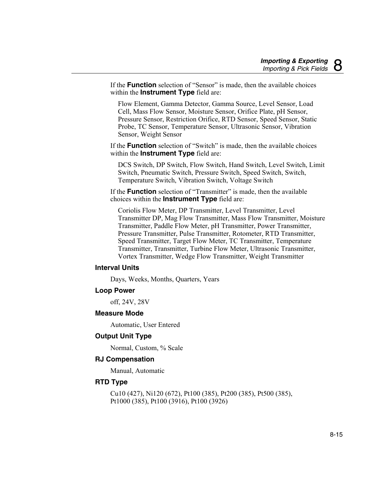If the **Function** selection of "Sensor" is made, then the available choices within the **Instrument Type** field are:

Flow Element, Gamma Detector, Gamma Source, Level Sensor, Load Cell, Mass Flow Sensor, Moisture Sensor, Orifice Plate, pH Sensor, Pressure Sensor, Restriction Orifice, RTD Sensor, Speed Sensor, Static Probe, TC Sensor, Temperature Sensor, Ultrasonic Sensor, Vibration Sensor, Weight Sensor

If the **Function** selection of "Switch" is made, then the available choices within the **Instrument Type** field are:

DCS Switch, DP Switch, Flow Switch, Hand Switch, Level Switch, Limit Switch, Pneumatic Switch, Pressure Switch, Speed Switch, Switch, Temperature Switch, Vibration Switch, Voltage Switch

If the **Function** selection of "Transmitter" is made, then the available choices within the **Instrument Type** field are:

Coriolis Flow Meter, DP Transmitter, Level Transmitter, Level Transmitter DP, Mag Flow Transmitter, Mass Flow Transmitter, Moisture Transmitter, Paddle Flow Meter, pH Transmitter, Power Transmitter, Pressure Transmitter, Pulse Transmitter, Rotometer, RTD Transmitter, Speed Transmitter, Target Flow Meter, TC Transmitter, Temperature Transmitter, Transmitter, Turbine Flow Meter, Ultrasonic Transmitter, Vortex Transmitter, Wedge Flow Transmitter, Weight Transmitter

#### **Interval Units**

Days, Weeks, Months, Quarters, Years

#### **Loop Power**

off, 24V, 28V

#### **Measure Mode**

Automatic, User Entered

#### **Output Unit Type**

Normal, Custom, % Scale

#### **RJ Compensation**

Manual, Automatic

#### **RTD Type**

Cu10 (427), Ni120 (672), Pt100 (385), Pt200 (385), Pt500 (385), Pt1000 (385), Pt100 (3916), Pt100 (3926)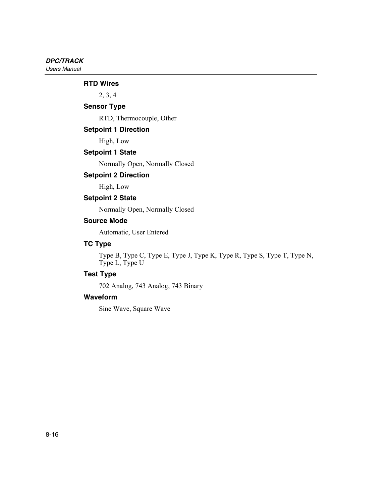#### **RTD Wires**

2, 3, 4

## **Sensor Type**

RTD, Thermocouple, Other

#### **Setpoint 1 Direction**

High, Low

## **Setpoint 1 State**

Normally Open, Normally Closed

## **Setpoint 2 Direction**

High, Low

#### **Setpoint 2 State**

Normally Open, Normally Closed

#### **Source Mode**

Automatic, User Entered

## **TC Type**

Type B, Type C, Type E, Type J, Type K, Type R, Type S, Type T, Type N, Type L, Type U

## **Test Type**

702 Analog, 743 Analog, 743 Binary

### **Waveform**

Sine Wave, Square Wave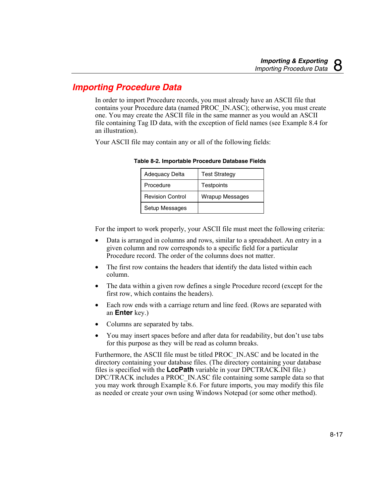# *Importing Procedure Data*

In order to import Procedure records, you must already have an ASCII file that contains your Procedure data (named PROC\_IN.ASC); otherwise, you must create one. You may create the ASCII file in the same manner as you would an ASCII file containing Tag ID data, with the exception of field names (see Example 8.4 for an illustration).

Your ASCII file may contain any or all of the following fields:

| Adequacy Delta          | <b>Test Strategy</b>   |
|-------------------------|------------------------|
| Procedure               | <b>Testpoints</b>      |
| <b>Revision Control</b> | <b>Wrapup Messages</b> |
| Setup Messages          |                        |

**Table 8-2. Importable Procedure Database Fields** 

For the import to work properly, your ASCII file must meet the following criteria:

- Data is arranged in columns and rows, similar to a spreadsheet. An entry in a given column and row corresponds to a specific field for a particular Procedure record. The order of the columns does not matter.
- The first row contains the headers that identify the data listed within each column.
- The data within a given row defines a single Procedure record (except for the first row, which contains the headers).
- Each row ends with a carriage return and line feed. (Rows are separated with an **Enter** key.)
- Columns are separated by tabs.
- You may insert spaces before and after data for readability, but don't use tabs for this purpose as they will be read as column breaks.

Furthermore, the ASCII file must be titled PROC\_IN.ASC and be located in the directory containing your database files. (The directory containing your database files is specified with the **LccPath** variable in your DPCTRACK.INI file.) DPC/TRACK includes a PROC\_IN.ASC file containing some sample data so that you may work through Example 8.6. For future imports, you may modify this file as needed or create your own using Windows Notepad (or some other method).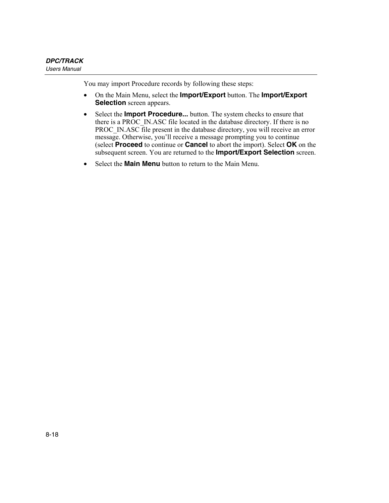You may import Procedure records by following these steps:

- On the Main Menu, select the **Import/Export** button. The **Import/Export Selection** screen appears.
- Select the **Import Procedure...** button. The system checks to ensure that there is a PROC\_IN.ASC file located in the database directory. If there is no PROC\_IN.ASC file present in the database directory, you will receive an error message. Otherwise, you'll receive a message prompting you to continue (select **Proceed** to continue or **Cancel** to abort the import). Select **OK** on the subsequent screen. You are returned to the **Import/Export Selection** screen.
- Select the **Main Menu** button to return to the Main Menu.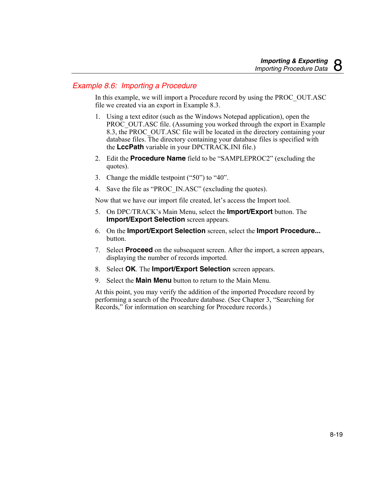## *Example 8.6: Importing a Procedure*

In this example, we will import a Procedure record by using the PROC\_OUT.ASC file we created via an export in Example 8.3.

- 1. Using a text editor (such as the Windows Notepad application), open the PROC\_OUT.ASC file. (Assuming you worked through the export in Example 8.3, the PROC\_OUT.ASC file will be located in the directory containing your database files. The directory containing your database files is specified with the **LccPath** variable in your DPCTRACK.INI file.)
- 2. Edit the **Procedure Name** field to be "SAMPLEPROC2" (excluding the quotes).
- 3. Change the middle testpoint ("50") to "40".
- 4. Save the file as "PROC\_IN.ASC" (excluding the quotes).

Now that we have our import file created, let's access the Import tool.

- 5. On DPC/TRACK's Main Menu, select the **Import/Export** button. The **Import/Export Selection** screen appears.
- 6. On the **Import/Export Selection** screen, select the **Import Procedure...** button.
- 7. Select **Proceed** on the subsequent screen. After the import, a screen appears, displaying the number of records imported.
- 8. Select **OK**. The **Import/Export Selection** screen appears.
- 9. Select the **Main Menu** button to return to the Main Menu.

At this point, you may verify the addition of the imported Procedure record by performing a search of the Procedure database. (See Chapter 3, "Searching for Records," for information on searching for Procedure records.)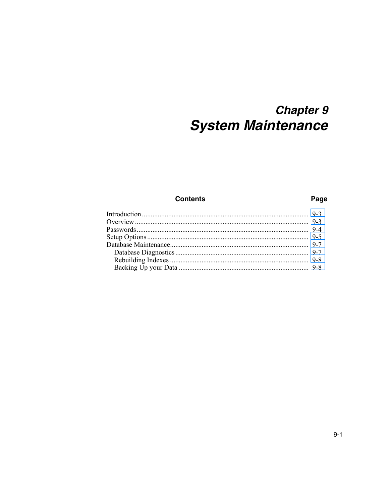# **Chapter 9 System Maintenance**

## **Contents**

## Page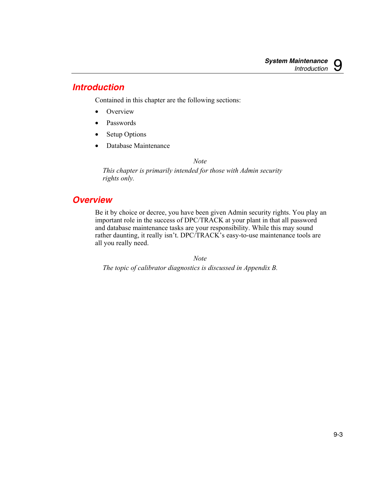## <span id="page-152-0"></span>*Introduction*

Contained in this chapter are the following sections:

- Overview
- Passwords
- Setup Options
- Database Maintenance

*Note* 

*This chapter is primarily intended for those with Admin security rights only.* 

# *Overview*

Be it by choice or decree, you have been given Admin security rights. You play an important role in the success of DPC/TRACK at your plant in that all password and database maintenance tasks are your responsibility. While this may sound rather daunting, it really isn't. DPC/TRACK's easy-to-use maintenance tools are all you really need.

*Note* 

*The topic of calibrator diagnostics is discussed in Appendix B.*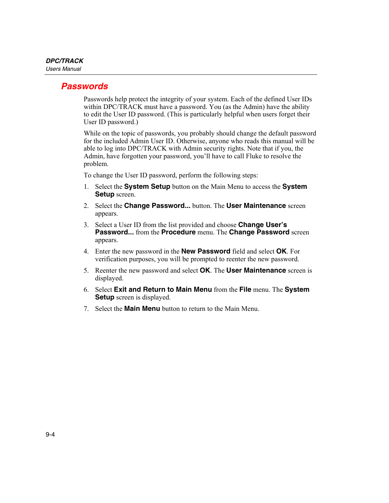## <span id="page-153-0"></span>*Passwords*

Passwords help protect the integrity of your system. Each of the defined User IDs within DPC/TRACK must have a password. You (as the Admin) have the ability to edit the User ID password. (This is particularly helpful when users forget their User ID password.)

While on the topic of passwords, you probably should change the default password for the included Admin User ID. Otherwise, anyone who reads this manual will be able to log into DPC/TRACK with Admin security rights. Note that if you, the Admin, have forgotten your password, you'll have to call Fluke to resolve the problem.

To change the User ID password, perform the following steps:

- 1. Select the **System Setup** button on the Main Menu to access the **System Setup** screen.
- 2. Select the **Change Password...** button. The **User Maintenance** screen appears.
- 3. Select a User ID from the list provided and choose **Change User's Password...** from the **Procedure** menu. The **Change Password** screen appears.
- 4. Enter the new password in the **New Password** field and select **OK**. For verification purposes, you will be prompted to reenter the new password.
- 5. Reenter the new password and select **OK**. The **User Maintenance** screen is displayed.
- 6. Select **Exit and Return to Main Menu** from the **File** menu. The **System Setup** screen is displayed.
- 7. Select the **Main Menu** button to return to the Main Menu.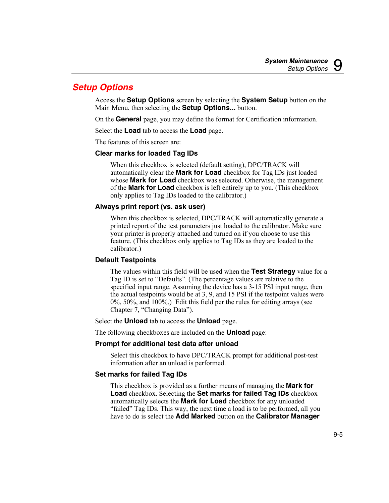# <span id="page-154-0"></span>*Setup Options*

Access the **Setup Options** screen by selecting the **System Setup** button on the Main Menu, then selecting the **Setup Options...** button.

On the **General** page, you may define the format for Certification information.

Select the **Load** tab to access the **Load** page.

The features of this screen are:

## **Clear marks for loaded Tag IDs**

When this checkbox is selected (default setting), DPC/TRACK will automatically clear the **Mark for Load** checkbox for Tag IDs just loaded whose **Mark for Load** checkbox was selected. Otherwise, the management of the **Mark for Load** checkbox is left entirely up to you. (This checkbox only applies to Tag IDs loaded to the calibrator.)

## **Always print report (vs. ask user)**

When this checkbox is selected, DPC/TRACK will automatically generate a printed report of the test parameters just loaded to the calibrator. Make sure your printer is properly attached and turned on if you choose to use this feature. (This checkbox only applies to Tag IDs as they are loaded to the calibrator.)

## **Default Testpoints**

The values within this field will be used when the **Test Strategy** value for a Tag ID is set to "Defaults". (The percentage values are relative to the specified input range. Assuming the device has a 3-15 PSI input range, then the actual testpoints would be at 3, 9, and 15 PSI if the testpoint values were 0%, 50%, and 100%.) Edit this field per the rules for editing arrays (see Chapter 7, "Changing Data").

Select the **Unload** tab to access the **Unload** page.

The following checkboxes are included on the **Unload** page:

## **Prompt for additional test data after unload**

Select this checkbox to have DPC/TRACK prompt for additional post-test information after an unload is performed.

## **Set marks for failed Tag IDs**

This checkbox is provided as a further means of managing the **Mark for Load** checkbox. Selecting the **Set marks for failed Tag IDs** checkbox automatically selects the **Mark for Load** checkbox for any unloaded "failed" Tag IDs. This way, the next time a load is to be performed, all you have to do is select the **Add Marked** button on the **Calibrator Manager**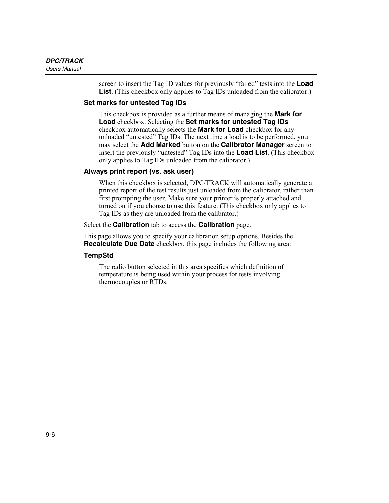screen to insert the Tag ID values for previously "failed" tests into the **Load List**. (This checkbox only applies to Tag IDs unloaded from the calibrator.)

## **Set marks for untested Tag IDs**

This checkbox is provided as a further means of managing the **Mark for Load** checkbox. Selecting the **Set marks for untested Tag IDs** checkbox automatically selects the **Mark for Load** checkbox for any unloaded "untested" Tag IDs. The next time a load is to be performed, you may select the **Add Marked** button on the **Calibrator Manager** screen to insert the previously "untested" Tag IDs into the **Load List**. (This checkbox only applies to Tag IDs unloaded from the calibrator.)

#### **Always print report (vs. ask user)**

When this checkbox is selected, DPC/TRACK will automatically generate a printed report of the test results just unloaded from the calibrator, rather than first prompting the user. Make sure your printer is properly attached and turned on if you choose to use this feature. (This checkbox only applies to Tag IDs as they are unloaded from the calibrator.)

Select the **Calibration** tab to access the **Calibration** page.

This page allows you to specify your calibration setup options. Besides the **Recalculate Due Date** checkbox, this page includes the following area:

### **TempStd**

The radio button selected in this area specifies which definition of temperature is being used within your process for tests involving thermocouples or RTDs.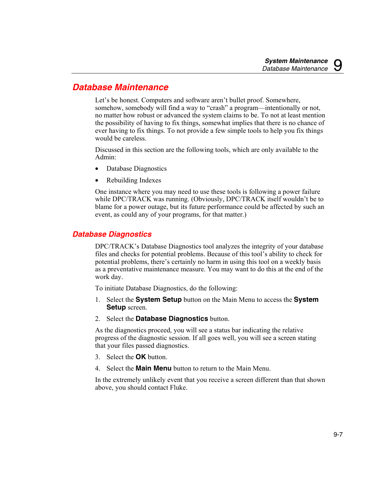## <span id="page-156-0"></span>*Database Maintenance*

Let's be honest. Computers and software aren't bullet proof. Somewhere, somehow, somebody will find a way to "crash" a program—intentionally or not, no matter how robust or advanced the system claims to be. To not at least mention the possibility of having to fix things, somewhat implies that there is no chance of ever having to fix things. To not provide a few simple tools to help you fix things would be careless.

Discussed in this section are the following tools, which are only available to the Admin:

- Database Diagnostics
- Rebuilding Indexes

One instance where you may need to use these tools is following a power failure while DPC/TRACK was running. (Obviously, DPC/TRACK itself wouldn't be to blame for a power outage, but its future performance could be affected by such an event, as could any of your programs, for that matter.)

## *Database Diagnostics*

DPC/TRACK's Database Diagnostics tool analyzes the integrity of your database files and checks for potential problems. Because of this tool's ability to check for potential problems, there's certainly no harm in using this tool on a weekly basis as a preventative maintenance measure. You may want to do this at the end of the work day.

To initiate Database Diagnostics, do the following:

- 1. Select the **System Setup** button on the Main Menu to access the **System Setup** screen.
- 2. Select the **Database Diagnostics** button.

As the diagnostics proceed, you will see a status bar indicating the relative progress of the diagnostic session. If all goes well, you will see a screen stating that your files passed diagnostics.

- 3. Select the **OK** button.
- 4. Select the **Main Menu** button to return to the Main Menu.

In the extremely unlikely event that you receive a screen different than that shown above, you should contact Fluke.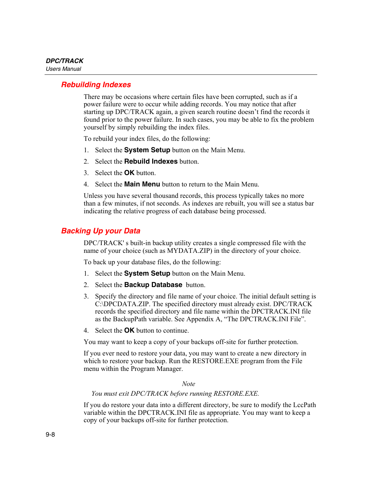## <span id="page-157-0"></span>*Rebuilding Indexes*

There may be occasions where certain files have been corrupted, such as if a power failure were to occur while adding records. You may notice that after starting up DPC/TRACK again, a given search routine doesn't find the records it found prior to the power failure. In such cases, you may be able to fix the problem yourself by simply rebuilding the index files.

To rebuild your index files, do the following:

- 1. Select the **System Setup** button on the Main Menu.
- 2. Select the **Rebuild Indexes** button.
- 3. Select the **OK** button.
- 4. Select the **Main Menu** button to return to the Main Menu.

Unless you have several thousand records, this process typically takes no more than a few minutes, if not seconds. As indexes are rebuilt, you will see a status bar indicating the relative progress of each database being processed.

## *Backing Up your Data*

DPC/TRACK' s built-in backup utility creates a single compressed file with the name of your choice (such as MYDATA.ZIP) in the directory of your choice.

To back up your database files, do the following:

- 1. Select the **System Setup** button on the Main Menu.
- 2. Select the **Backup Database** button.
- 3. Specify the directory and file name of your choice. The initial default setting is C:\DPCDATA.ZIP. The specified directory must already exist. DPC/TRACK records the specified directory and file name within the DPCTRACK.INI file as the BackupPath variable. See Appendix A, "The DPCTRACK.INI File".
- 4. Select the **OK** button to continue.

You may want to keep a copy of your backups off-site for further protection.

If you ever need to restore your data, you may want to create a new directory in which to restore your backup. Run the RESTORE.EXE program from the File menu within the Program Manager.

*Note* 

#### *You must exit DPC/TRACK before running RESTORE.EXE.*

If you do restore your data into a different directory, be sure to modify the LccPath variable within the DPCTRACK.INI file as appropriate. You may want to keep a copy of your backups off-site for further protection.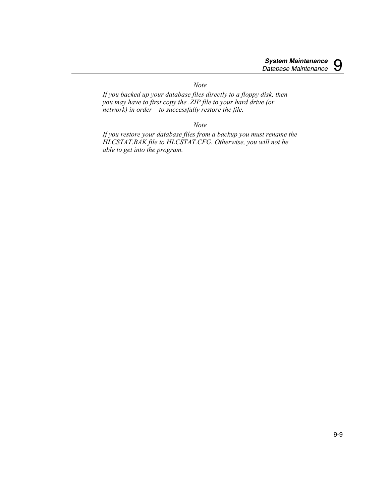*Note* 

*If you backed up your database files directly to a floppy disk, then you may have to first copy the .ZIP file to your hard drive (or network) in order to successfully restore the file.* 

*Note* 

*If you restore your database files from a backup you must rename the HLCSTAT.BAK file to HLCSTAT.CFG. Otherwise, you will not be able to get into the program.*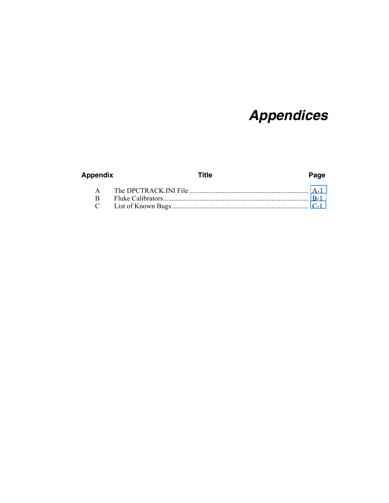# **Appendices**

| Appendix | Title | Page |
|----------|-------|------|
|          |       |      |
|          |       |      |
|          |       |      |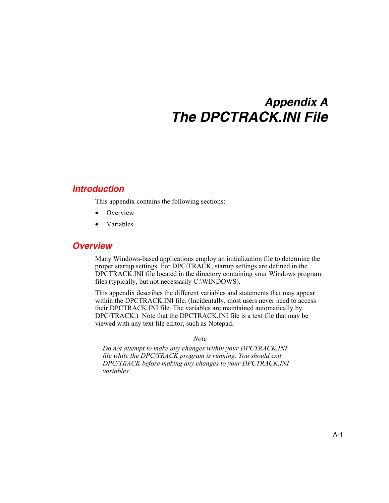# *Appendix A The DPCTRACK.INI File*

## <span id="page-162-0"></span>*Introduction*

This appendix contains the following sections:

- **Overview**
- Variables

## *Overview*

Many Windows-based applications employ an initialization file to determine the proper startup settings. For DPC/TRACK, startup settings are defined in the DPCTRACK.INI file located in the directory containing your Windows program files (typically, but not necessarily C:\WINDOWS).

This appendix describes the different variables and statements that may appear within the DPCTRACK.INI file. (Incidentally, most users never need to access their DPCTRACK.INI file. The variables are maintained automatically by DPC/TRACK.) Note that the DPCTRACK.INI file is a text file that may be viewed with any text file editor, such as Notepad.

*Note* 

*Do not attempt to make any changes within your DPCTRACK.INI file while the DPC/TRACK program is running. You should exit DPC/TRACK before making any changes to your DPCTRACK.INI variables.*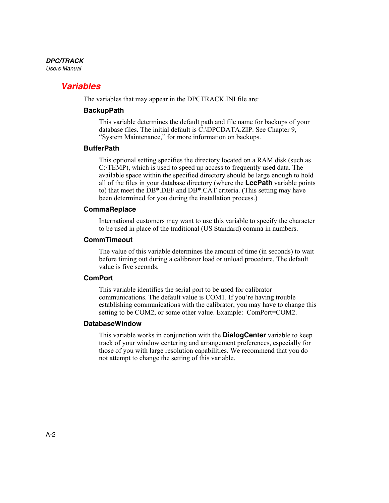## *Variables*

The variables that may appear in the DPCTRACK.INI file are:

### **BackupPath**

This variable determines the default path and file name for backups of your database files. The initial default is C:\DPCDATA.ZIP. See Chapter 9, "System Maintenance," for more information on backups.

## **BufferPath**

This optional setting specifies the directory located on a RAM disk (such as C:\TEMP), which is used to speed up access to frequently used data. The available space within the specified directory should be large enough to hold all of the files in your database directory (where the **LccPath** variable points to) that meet the DB\*.DEF and DB\*.CAT criteria. (This setting may have been determined for you during the installation process.)

## **CommaReplace**

International customers may want to use this variable to specify the character to be used in place of the traditional (US Standard) comma in numbers.

#### **CommTimeout**

The value of this variable determines the amount of time (in seconds) to wait before timing out during a calibrator load or unload procedure. The default value is five seconds.

#### **ComPort**

This variable identifies the serial port to be used for calibrator communications. The default value is COM1. If you're having trouble establishing communications with the calibrator, you may have to change this setting to be COM2, or some other value. Example: ComPort=COM2.

#### **DatabaseWindow**

This variable works in conjunction with the **DialogCenter** variable to keep track of your window centering and arrangement preferences, especially for those of you with large resolution capabilities. We recommend that you do not attempt to change the setting of this variable.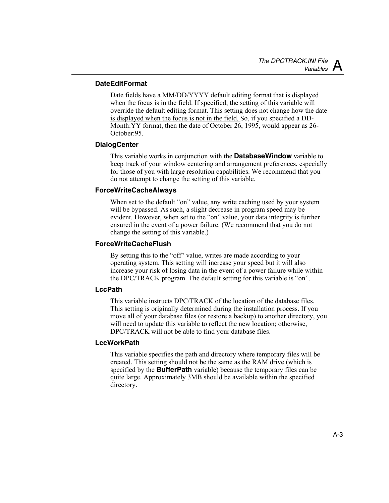## **DateEditFormat**

Date fields have a MM/DD/YYYY default editing format that is displayed when the focus is in the field. If specified, the setting of this variable will override the default editing format. This setting does not change how the date is displayed when the focus is not in the field. So, if you specified a DD-Month:YY format, then the date of October 26, 1995, would appear as 26- October:95.

## **DialogCenter**

This variable works in conjunction with the **DatabaseWindow** variable to keep track of your window centering and arrangement preferences, especially for those of you with large resolution capabilities. We recommend that you do not attempt to change the setting of this variable.

## **ForceWriteCacheAlways**

When set to the default "on" value, any write caching used by your system will be bypassed. As such, a slight decrease in program speed may be evident. However, when set to the "on" value, your data integrity is further ensured in the event of a power failure. (We recommend that you do not change the setting of this variable.)

## **ForceWriteCacheFlush**

By setting this to the "off" value, writes are made according to your operating system. This setting will increase your speed but it will also increase your risk of losing data in the event of a power failure while within the DPC/TRACK program. The default setting for this variable is "on".

## **LccPath**

This variable instructs DPC/TRACK of the location of the database files. This setting is originally determined during the installation process. If you move all of your database files (or restore a backup) to another directory, you will need to update this variable to reflect the new location; otherwise, DPC/TRACK will not be able to find your database files.

#### **LccWorkPath**

This variable specifies the path and directory where temporary files will be created. This setting should not be the same as the RAM drive (which is specified by the **BufferPath** variable) because the temporary files can be quite large. Approximately 3MB should be available within the specified directory.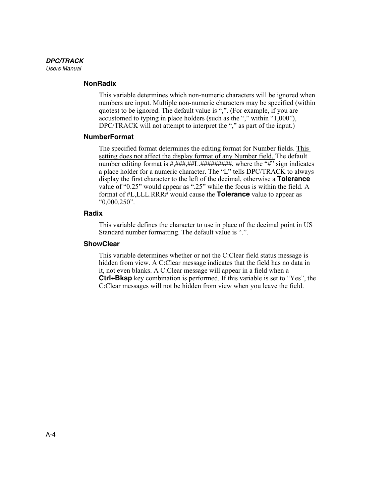### **NonRadix**

This variable determines which non-numeric characters will be ignored when numbers are input. Multiple non-numeric characters may be specified (within quotes) to be ignored. The default value is ",". (For example, if you are accustomed to typing in place holders (such as the "," within "1,000"), DPC/TRACK will not attempt to interpret the "," as part of the input.)

#### **NumberFormat**

The specified format determines the editing format for Number fields. This setting does not affect the display format of any Number field. The default number editing format is  $\#\#\#\#H$ .  $\#\#\#H$ . Where the "#" sign indicates a place holder for a numeric character. The "L" tells DPC/TRACK to always display the first character to the left of the decimal, otherwise a **Tolerance** value of "0.25" would appear as ".25" while the focus is within the field. A format of #L,LLL.RRR# would cause the **Tolerance** value to appear as "0,000.250".

#### **Radix**

This variable defines the character to use in place of the decimal point in US Standard number formatting. The default value is ".".

#### **ShowClear**

This variable determines whether or not the C:Clear field status message is hidden from view. A C:Clear message indicates that the field has no data in it, not even blanks. A C:Clear message will appear in a field when a **Ctrl+Bksp** key combination is performed. If this variable is set to "Yes", the C:Clear messages will not be hidden from view when you leave the field.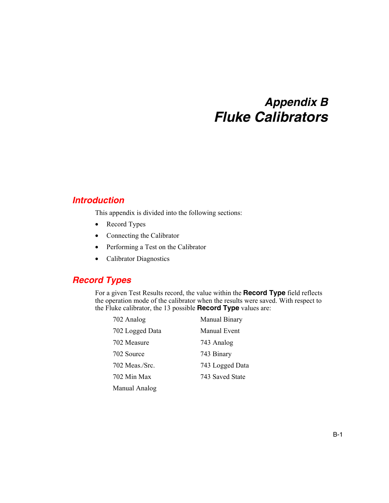# *Appendix B Fluke Calibrators*

## <span id="page-166-0"></span>*Introduction*

This appendix is divided into the following sections:

- Record Types
- Connecting the Calibrator
- Performing a Test on the Calibrator
- Calibrator Diagnostics

## *Record Types*

For a given Test Results record, the value within the **Record Type** field reflects the operation mode of the calibrator when the results were saved. With respect to the Fluke calibrator, the 13 possible **Record Type** values are:

| 702 Analog      | Manual Binary   |
|-----------------|-----------------|
| 702 Logged Data | Manual Event    |
| 702 Measure     | 743 Analog      |
| 702 Source      | 743 Binary      |
| 702 Meas / Src. | 743 Logged Data |
| 702 Min Max     | 743 Saved State |
| Manual Analog   |                 |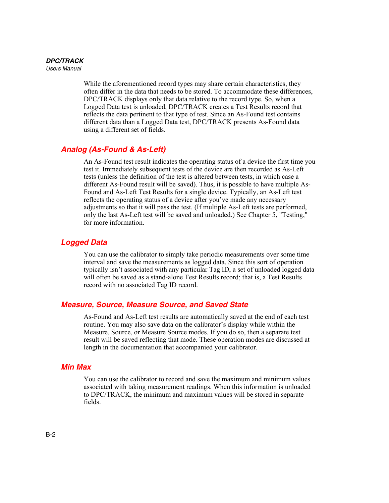While the aforementioned record types may share certain characteristics, they often differ in the data that needs to be stored. To accommodate these differences, DPC/TRACK displays only that data relative to the record type. So, when a Logged Data test is unloaded, DPC/TRACK creates a Test Results record that reflects the data pertinent to that type of test. Since an As-Found test contains different data than a Logged Data test, DPC/TRACK presents As-Found data using a different set of fields.

## *Analog (As-Found & As-Left)*

An As-Found test result indicates the operating status of a device the first time you test it. Immediately subsequent tests of the device are then recorded as As-Left tests (unless the definition of the test is altered between tests, in which case a different As-Found result will be saved). Thus, it is possible to have multiple As-Found and As-Left Test Results for a single device. Typically, an As-Left test reflects the operating status of a device after you've made any necessary adjustments so that it will pass the test. (If multiple As-Left tests are performed, only the last As-Left test will be saved and unloaded.) See Chapter 5, "Testing," for more information.

## *Logged Data*

You can use the calibrator to simply take periodic measurements over some time interval and save the measurements as logged data. Since this sort of operation typically isn't associated with any particular Tag ID, a set of unloaded logged data will often be saved as a stand-alone Test Results record; that is, a Test Results record with no associated Tag ID record.

## *Measure, Source, Measure Source, and Saved State*

As-Found and As-Left test results are automatically saved at the end of each test routine. You may also save data on the calibrator's display while within the Measure, Source, or Measure Source modes. If you do so, then a separate test result will be saved reflecting that mode. These operation modes are discussed at length in the documentation that accompanied your calibrator.

## *Min Max*

You can use the calibrator to record and save the maximum and minimum values associated with taking measurement readings. When this information is unloaded to DPC/TRACK, the minimum and maximum values will be stored in separate fields.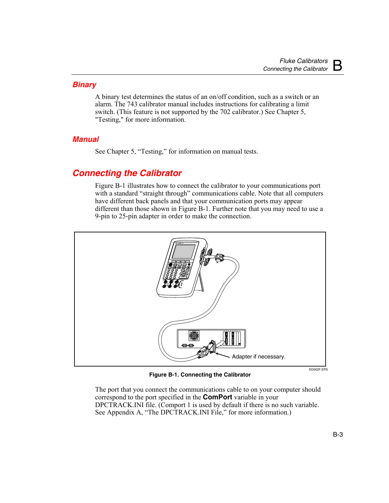## *Binary*

A binary test determines the status of an on/off condition, such as a switch or an alarm. The 743 calibrator manual includes instructions for calibrating a limit switch. (This feature is not supported by the 702 calibrator.) See Chapter 5, "Testing," for more information.

## *Manual*

See Chapter 5, "Testing," for information on manual tests.

# *Connecting the Calibrator*

Figure B-1 illustrates how to connect the calibrator to your communications port with a standard "straight through" communications cable. Note that all computers have different back panels and that your communication ports may appear different than those shown in Figure B-1. Further note that you may need to use a 9-pin to 25-pin adapter in order to make the connection.



**Figure B-1. Connecting the Calibrator** 

The port that you connect the communications cable to on your computer should correspond to the port specified in the **ComPort** variable in your DPCTRACK.INI file. (Comport 1 is used by default if there is no such variable. See Appendix A, "The DPCTRACK.INI File," for more information.)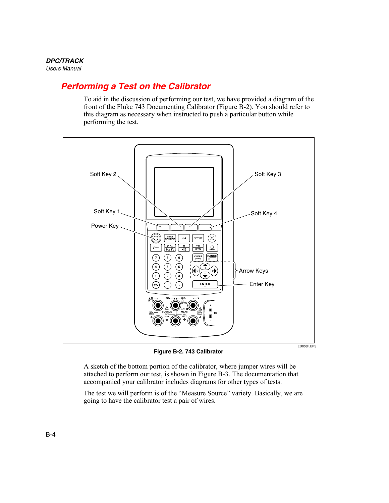# *Performing a Test on the Calibrator*

To aid in the discussion of performing our test, we have provided a diagram of the front of the Fluke 743 Documenting Calibrator (Figure B-2). You should refer to this diagram as necessary when instructed to push a particular button while performing the test.



**Figure B-2. 743 Calibrator** 

A sketch of the bottom portion of the calibrator, where jumper wires will be attached to perform our test, is shown in Figure B-3. The documentation that accompanied your calibrator includes diagrams for other types of tests.

The test we will perform is of the "Measure Source" variety. Basically, we are going to have the calibrator test a pair of wires.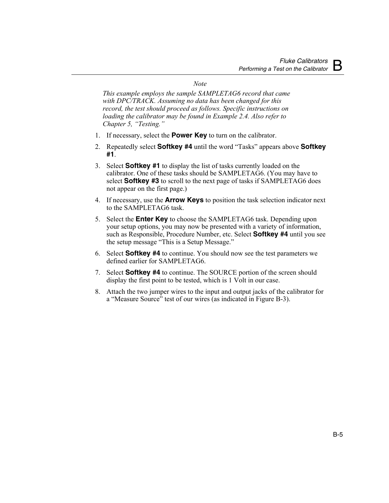#### *Note*

*This example employs the sample SAMPLETAG6 record that came with DPC/TRACK. Assuming no data has been changed for this record, the test should proceed as follows. Specific instructions on loading the calibrator may be found in Example 2.4. Also refer to Chapter 5, "Testing."* 

- 1. If necessary, select the **Power Key** to turn on the calibrator.
- 2. Repeatedly select **Softkey #4** until the word "Tasks" appears above **Softkey #1**.
- 3. Select **Softkey #1** to display the list of tasks currently loaded on the calibrator. One of these tasks should be SAMPLETAG6. (You may have to select **Softkey #3** to scroll to the next page of tasks if SAMPLETAG6 does not appear on the first page.)
- 4. If necessary, use the **Arrow Keys** to position the task selection indicator next to the SAMPLETAG6 task.
- 5. Select the **Enter Key** to choose the SAMPLETAG6 task. Depending upon your setup options, you may now be presented with a variety of information, such as Responsible, Procedure Number, etc. Select **Softkey #4** until you see the setup message "This is a Setup Message."
- 6. Select **Softkey #4** to continue. You should now see the test parameters we defined earlier for SAMPLETAG6.
- 7. Select **Softkey #4** to continue. The SOURCE portion of the screen should display the first point to be tested, which is 1 Volt in our case.
- 8. Attach the two jumper wires to the input and output jacks of the calibrator for a "Measure Source" test of our wires (as indicated in Figure B-3).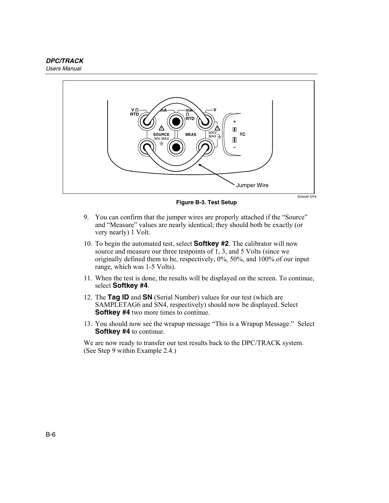

**Figure B-3. Test Setup** 

- 9. You can confirm that the jumper wires are properly attached if the "Source" and "Measure" values are nearly identical; they should both be exactly (or very nearly) 1 Volt.
- 10. To begin the automated test, select **Softkey #2**. The calibrator will now source and measure our three testpoints of 1, 3, and 5 Volts (since we originally defined them to be, respectively, 0%, 50%, and 100% of our input range, which was 1-5 Volts).
- 11. When the test is done, the results will be displayed on the screen. To continue, select **Softkey #4**.
- 12. The **Tag ID** and **SN** (Serial Number) values for our test (which are SAMPLETAG6 and SN4, respectively) should now be displayed. Select **Softkey #4** two more times to continue.
- 13. You should now see the wrapup message "This is a Wrapup Message." Select **Softkey #4** to continue.

We are now ready to transfer our test results back to the DPC/TRACK system. (See Step 9 within Example 2.4.)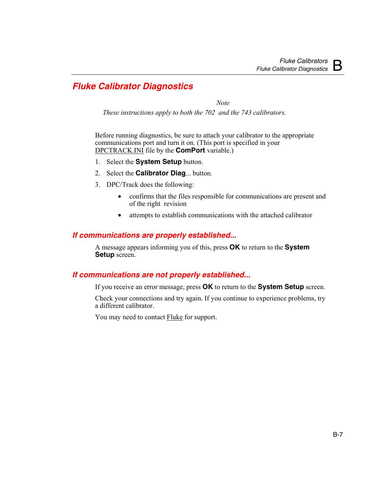# *Fluke Calibrator Diagnostics*

 *Note* 

*These instructions apply to both the 702 and the 743 calibrators.* 

Before running diagnostics, be sure to attach your calibrator to the appropriate communications port and turn it on. (This port is specified in your DPCTRACK.INI file by the **ComPort** variable.)

- 1. Select the **System Setup** button.
- 2. Select the **Calibrator Diag**... button.
- 3. DPC/Track does the following:
	- confirms that the files responsible for communications are present and of the right revision
	- attempts to establish communications with the attached calibrator

## *If communications are properly established...*

A message appears informing you of this, press **OK** to return to the **System Setup** screen.

## *If communications are not properly established...*

If you receive an error message, press **OK** to return to the **System Setup** screen.

Check your connections and try again. If you continue to experience problems, try a different calibrator.

You may need to contact Fluke for support.